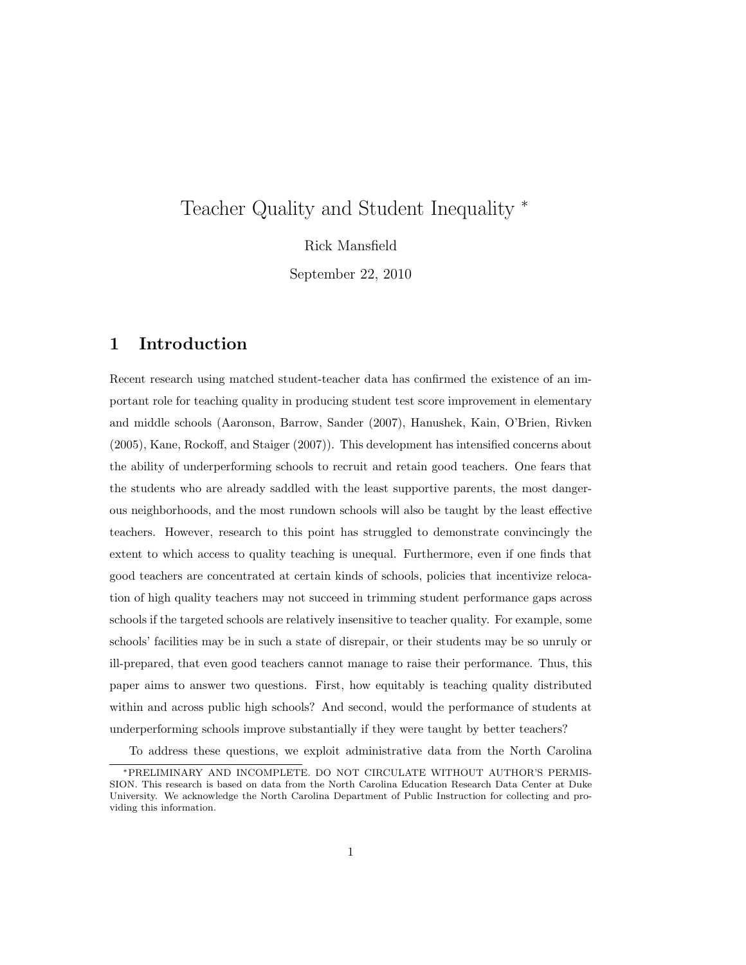# Teacher Quality and Student Inequality <sup>∗</sup>

Rick Mansfield

September 22, 2010

# 1 Introduction

Recent research using matched student-teacher data has confirmed the existence of an important role for teaching quality in producing student test score improvement in elementary and middle schools (Aaronson, Barrow, Sander (2007), Hanushek, Kain, O'Brien, Rivken (2005), Kane, Rockoff, and Staiger (2007)). This development has intensified concerns about the ability of underperforming schools to recruit and retain good teachers. One fears that the students who are already saddled with the least supportive parents, the most dangerous neighborhoods, and the most rundown schools will also be taught by the least effective teachers. However, research to this point has struggled to demonstrate convincingly the extent to which access to quality teaching is unequal. Furthermore, even if one finds that good teachers are concentrated at certain kinds of schools, policies that incentivize relocation of high quality teachers may not succeed in trimming student performance gaps across schools if the targeted schools are relatively insensitive to teacher quality. For example, some schools' facilities may be in such a state of disrepair, or their students may be so unruly or ill-prepared, that even good teachers cannot manage to raise their performance. Thus, this paper aims to answer two questions. First, how equitably is teaching quality distributed within and across public high schools? And second, would the performance of students at underperforming schools improve substantially if they were taught by better teachers?

To address these questions, we exploit administrative data from the North Carolina

<sup>∗</sup>PRELIMINARY AND INCOMPLETE. DO NOT CIRCULATE WITHOUT AUTHOR'S PERMIS-SION. This research is based on data from the North Carolina Education Research Data Center at Duke University. We acknowledge the North Carolina Department of Public Instruction for collecting and providing this information.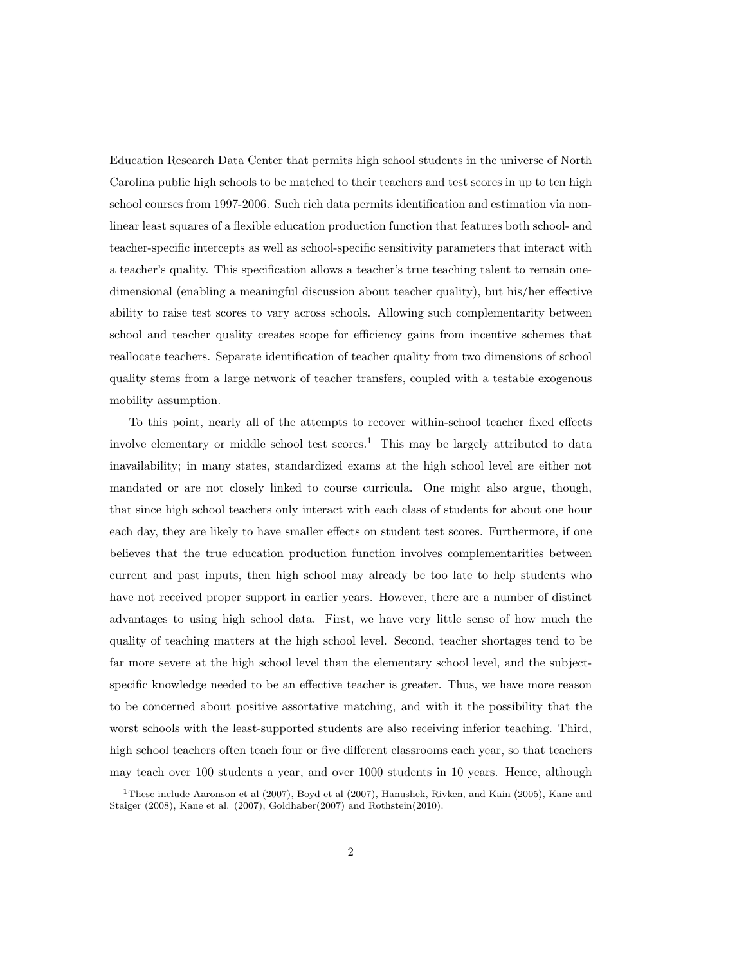Education Research Data Center that permits high school students in the universe of North Carolina public high schools to be matched to their teachers and test scores in up to ten high school courses from 1997-2006. Such rich data permits identification and estimation via nonlinear least squares of a flexible education production function that features both school- and teacher-specific intercepts as well as school-specific sensitivity parameters that interact with a teacher's quality. This specification allows a teacher's true teaching talent to remain onedimensional (enabling a meaningful discussion about teacher quality), but his/her effective ability to raise test scores to vary across schools. Allowing such complementarity between school and teacher quality creates scope for efficiency gains from incentive schemes that reallocate teachers. Separate identification of teacher quality from two dimensions of school quality stems from a large network of teacher transfers, coupled with a testable exogenous mobility assumption.

To this point, nearly all of the attempts to recover within-school teacher fixed effects involve elementary or middle school test scores.<sup>1</sup> This may be largely attributed to data inavailability; in many states, standardized exams at the high school level are either not mandated or are not closely linked to course curricula. One might also argue, though, that since high school teachers only interact with each class of students for about one hour each day, they are likely to have smaller effects on student test scores. Furthermore, if one believes that the true education production function involves complementarities between current and past inputs, then high school may already be too late to help students who have not received proper support in earlier years. However, there are a number of distinct advantages to using high school data. First, we have very little sense of how much the quality of teaching matters at the high school level. Second, teacher shortages tend to be far more severe at the high school level than the elementary school level, and the subjectspecific knowledge needed to be an effective teacher is greater. Thus, we have more reason to be concerned about positive assortative matching, and with it the possibility that the worst schools with the least-supported students are also receiving inferior teaching. Third, high school teachers often teach four or five different classrooms each year, so that teachers may teach over 100 students a year, and over 1000 students in 10 years. Hence, although

<sup>&</sup>lt;sup>1</sup>These include Aaronson et al  $(2007)$ , Boyd et al  $(2007)$ , Hanushek, Rivken, and Kain  $(2005)$ , Kane and Staiger (2008), Kane et al. (2007), Goldhaber(2007) and Rothstein(2010).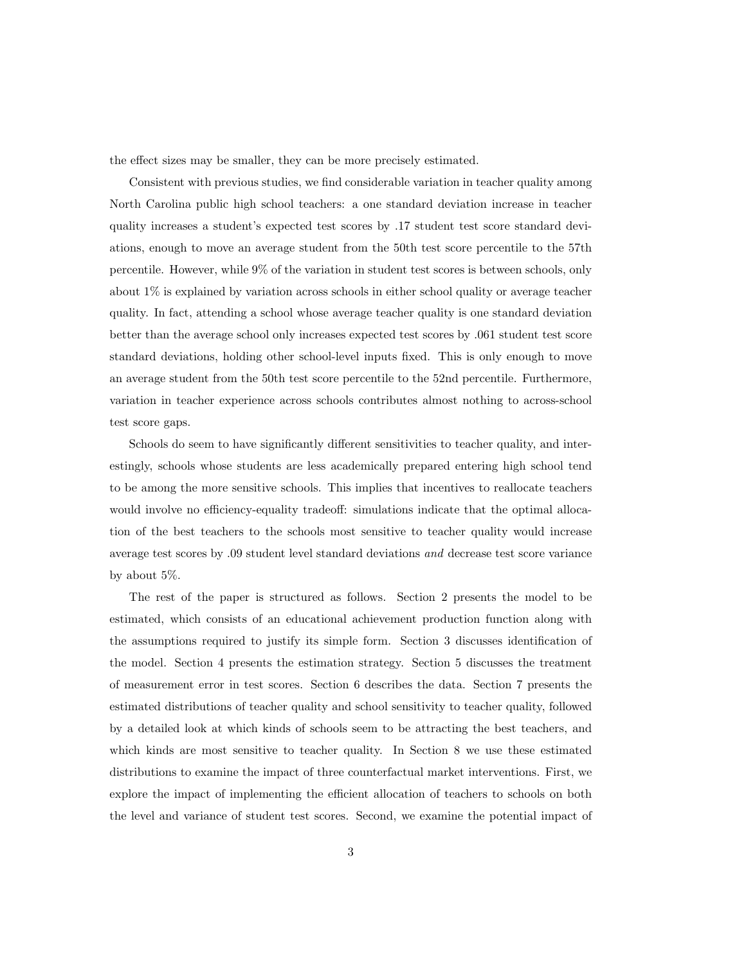the effect sizes may be smaller, they can be more precisely estimated.

Consistent with previous studies, we find considerable variation in teacher quality among North Carolina public high school teachers: a one standard deviation increase in teacher quality increases a student's expected test scores by .17 student test score standard deviations, enough to move an average student from the 50th test score percentile to the 57th percentile. However, while 9% of the variation in student test scores is between schools, only about 1% is explained by variation across schools in either school quality or average teacher quality. In fact, attending a school whose average teacher quality is one standard deviation better than the average school only increases expected test scores by .061 student test score standard deviations, holding other school-level inputs fixed. This is only enough to move an average student from the 50th test score percentile to the 52nd percentile. Furthermore, variation in teacher experience across schools contributes almost nothing to across-school test score gaps.

Schools do seem to have significantly different sensitivities to teacher quality, and interestingly, schools whose students are less academically prepared entering high school tend to be among the more sensitive schools. This implies that incentives to reallocate teachers would involve no efficiency-equality tradeoff: simulations indicate that the optimal allocation of the best teachers to the schools most sensitive to teacher quality would increase average test scores by .09 student level standard deviations and decrease test score variance by about 5%.

The rest of the paper is structured as follows. Section 2 presents the model to be estimated, which consists of an educational achievement production function along with the assumptions required to justify its simple form. Section 3 discusses identification of the model. Section 4 presents the estimation strategy. Section 5 discusses the treatment of measurement error in test scores. Section 6 describes the data. Section 7 presents the estimated distributions of teacher quality and school sensitivity to teacher quality, followed by a detailed look at which kinds of schools seem to be attracting the best teachers, and which kinds are most sensitive to teacher quality. In Section 8 we use these estimated distributions to examine the impact of three counterfactual market interventions. First, we explore the impact of implementing the efficient allocation of teachers to schools on both the level and variance of student test scores. Second, we examine the potential impact of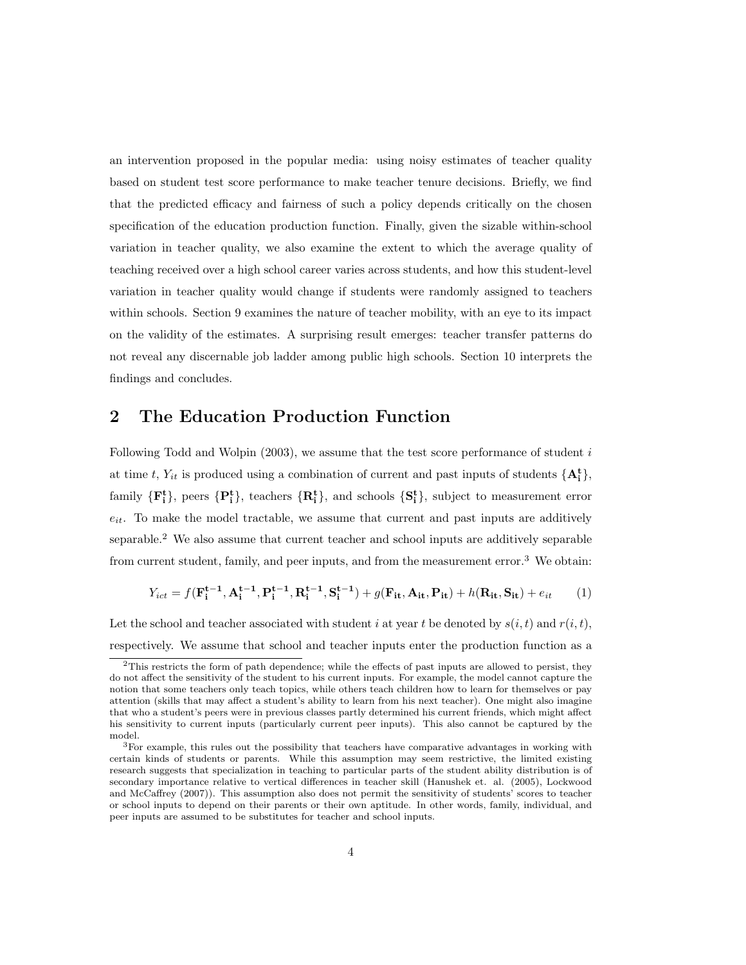an intervention proposed in the popular media: using noisy estimates of teacher quality based on student test score performance to make teacher tenure decisions. Briefly, we find that the predicted efficacy and fairness of such a policy depends critically on the chosen specification of the education production function. Finally, given the sizable within-school variation in teacher quality, we also examine the extent to which the average quality of teaching received over a high school career varies across students, and how this student-level variation in teacher quality would change if students were randomly assigned to teachers within schools. Section 9 examines the nature of teacher mobility, with an eye to its impact on the validity of the estimates. A surprising result emerges: teacher transfer patterns do not reveal any discernable job ladder among public high schools. Section 10 interprets the findings and concludes.

### 2 The Education Production Function

Following Todd and Wolpin  $(2003)$ , we assume that the test score performance of student i at time t,  $Y_{it}$  is produced using a combination of current and past inputs of students  $\{A_i^t\}$ , family  $\{F_i^t\}$ , peers  $\{P_i^t\}$ , teachers  $\{R_i^t\}$ , and schools  $\{S_i^t\}$ , subject to measurement error  $e_{it}$ . To make the model tractable, we assume that current and past inputs are additively separable.<sup>2</sup> We also assume that current teacher and school inputs are additively separable from current student, family, and peer inputs, and from the measurement error.<sup>3</sup> We obtain:

$$
Y_{ict} = f(\mathbf{F}_{i}^{t-1}, \mathbf{A}_{i}^{t-1}, \mathbf{P}_{i}^{t-1}, \mathbf{R}_{i}^{t-1}, \mathbf{S}_{i}^{t-1}) + g(\mathbf{F}_{it}, \mathbf{A}_{it}, \mathbf{P}_{it}) + h(\mathbf{R}_{it}, \mathbf{S}_{it}) + e_{it} \tag{1}
$$

Let the school and teacher associated with student i at year t be denoted by  $s(i, t)$  and  $r(i, t)$ , respectively. We assume that school and teacher inputs enter the production function as a

<sup>&</sup>lt;sup>2</sup>This restricts the form of path dependence; while the effects of past inputs are allowed to persist, they do not affect the sensitivity of the student to his current inputs. For example, the model cannot capture the notion that some teachers only teach topics, while others teach children how to learn for themselves or pay attention (skills that may affect a student's ability to learn from his next teacher). One might also imagine that who a student's peers were in previous classes partly determined his current friends, which might affect his sensitivity to current inputs (particularly current peer inputs). This also cannot be captured by the model.

<sup>3</sup>For example, this rules out the possibility that teachers have comparative advantages in working with certain kinds of students or parents. While this assumption may seem restrictive, the limited existing research suggests that specialization in teaching to particular parts of the student ability distribution is of secondary importance relative to vertical differences in teacher skill (Hanushek et. al. (2005), Lockwood and McCaffrey (2007)). This assumption also does not permit the sensitivity of students' scores to teacher or school inputs to depend on their parents or their own aptitude. In other words, family, individual, and peer inputs are assumed to be substitutes for teacher and school inputs.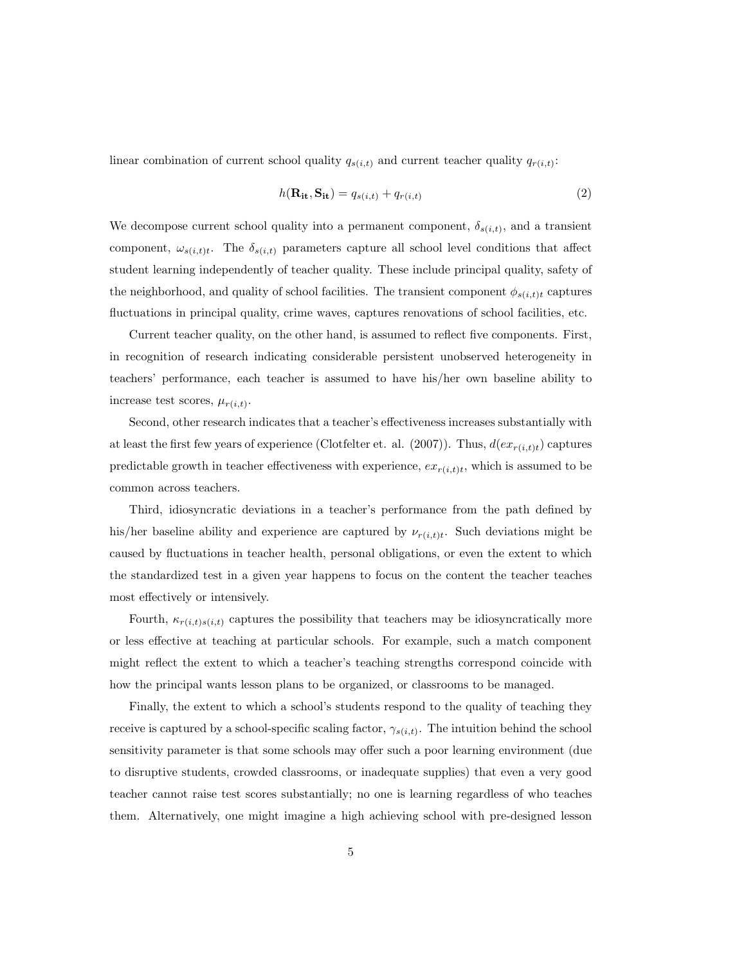linear combination of current school quality  $q_{s(i,t)}$  and current teacher quality  $q_{r(i,t)}$ :

$$
h(\mathbf{R}_{it}, \mathbf{S}_{it}) = q_{s(i,t)} + q_{r(i,t)}
$$
\n<sup>(2)</sup>

We decompose current school quality into a permanent component,  $\delta_{s(i,t)}$ , and a transient component,  $\omega_{s(i,t)t}$ . The  $\delta_{s(i,t)}$  parameters capture all school level conditions that affect student learning independently of teacher quality. These include principal quality, safety of the neighborhood, and quality of school facilities. The transient component  $\phi_{s(i,t)t}$  captures fluctuations in principal quality, crime waves, captures renovations of school facilities, etc.

Current teacher quality, on the other hand, is assumed to reflect five components. First, in recognition of research indicating considerable persistent unobserved heterogeneity in teachers' performance, each teacher is assumed to have his/her own baseline ability to increase test scores,  $\mu_{r(i,t)}$ .

Second, other research indicates that a teacher's effectiveness increases substantially with at least the first few years of experience (Clotfelter et. al. (2007)). Thus,  $d(ex_{r(i,t)t})$  captures predictable growth in teacher effectiveness with experience,  $ex_{r(i,t)t}$ , which is assumed to be common across teachers.

Third, idiosyncratic deviations in a teacher's performance from the path defined by his/her baseline ability and experience are captured by  $\nu_{r(i,t)t}$ . Such deviations might be caused by fluctuations in teacher health, personal obligations, or even the extent to which the standardized test in a given year happens to focus on the content the teacher teaches most effectively or intensively.

Fourth,  $\kappa_{r(i,t)s(i,t)}$  captures the possibility that teachers may be idiosyncratically more or less effective at teaching at particular schools. For example, such a match component might reflect the extent to which a teacher's teaching strengths correspond coincide with how the principal wants lesson plans to be organized, or classrooms to be managed.

Finally, the extent to which a school's students respond to the quality of teaching they receive is captured by a school-specific scaling factor,  $\gamma_{s(i,t)}$ . The intuition behind the school sensitivity parameter is that some schools may offer such a poor learning environment (due to disruptive students, crowded classrooms, or inadequate supplies) that even a very good teacher cannot raise test scores substantially; no one is learning regardless of who teaches them. Alternatively, one might imagine a high achieving school with pre-designed lesson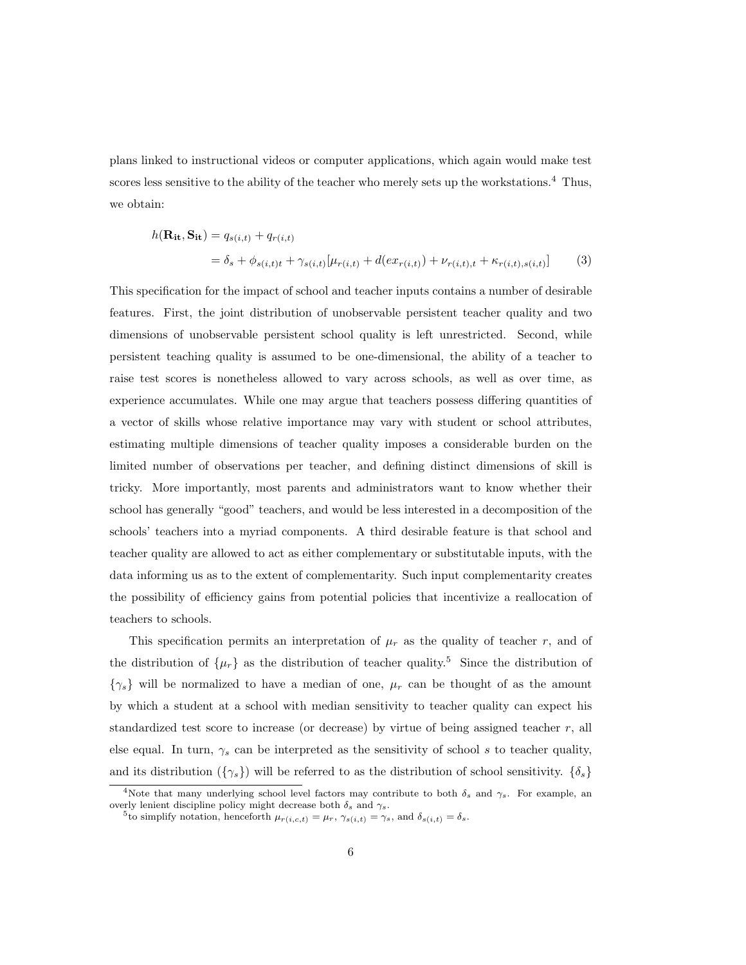plans linked to instructional videos or computer applications, which again would make test scores less sensitive to the ability of the teacher who merely sets up the workstations.<sup>4</sup> Thus, we obtain:

$$
h(\mathbf{R}_{it}, \mathbf{S}_{it}) = q_{s(i,t)} + q_{r(i,t)}
$$
  
=  $\delta_s + \phi_{s(i,t)t} + \gamma_{s(i,t)}[\mu_{r(i,t)} + d(ex_{r(i,t)}) + \nu_{r(i,t),t} + \kappa_{r(i,t),s(i,t)}]$  (3)

This specification for the impact of school and teacher inputs contains a number of desirable features. First, the joint distribution of unobservable persistent teacher quality and two dimensions of unobservable persistent school quality is left unrestricted. Second, while persistent teaching quality is assumed to be one-dimensional, the ability of a teacher to raise test scores is nonetheless allowed to vary across schools, as well as over time, as experience accumulates. While one may argue that teachers possess differing quantities of a vector of skills whose relative importance may vary with student or school attributes, estimating multiple dimensions of teacher quality imposes a considerable burden on the limited number of observations per teacher, and defining distinct dimensions of skill is tricky. More importantly, most parents and administrators want to know whether their school has generally "good" teachers, and would be less interested in a decomposition of the schools' teachers into a myriad components. A third desirable feature is that school and teacher quality are allowed to act as either complementary or substitutable inputs, with the data informing us as to the extent of complementarity. Such input complementarity creates the possibility of efficiency gains from potential policies that incentivize a reallocation of teachers to schools.

This specification permits an interpretation of  $\mu_r$  as the quality of teacher r, and of the distribution of  $\{\mu_r\}$  as the distribution of teacher quality.<sup>5</sup> Since the distribution of  $\{\gamma_s\}$  will be normalized to have a median of one,  $\mu_r$  can be thought of as the amount by which a student at a school with median sensitivity to teacher quality can expect his standardized test score to increase (or decrease) by virtue of being assigned teacher r, all else equal. In turn,  $\gamma_s$  can be interpreted as the sensitivity of school s to teacher quality, and its distribution  $({\{\gamma_s\}})$  will be referred to as the distribution of school sensitivity.  $\{\delta_s\}$ 

<sup>&</sup>lt;sup>4</sup>Note that many underlying school level factors may contribute to both  $\delta_s$  and  $\gamma_s$ . For example, an overly lenient discipline policy might decrease both  $\delta_s$  and  $\gamma_s$ .

<sup>&</sup>lt;sup>5</sup>to simplify notation, henceforth  $\mu_{r(i,c,t)} = \mu_r$ ,  $\gamma_{s(i,t)} = \gamma_s$ , and  $\delta_{s(i,t)} = \delta_s$ .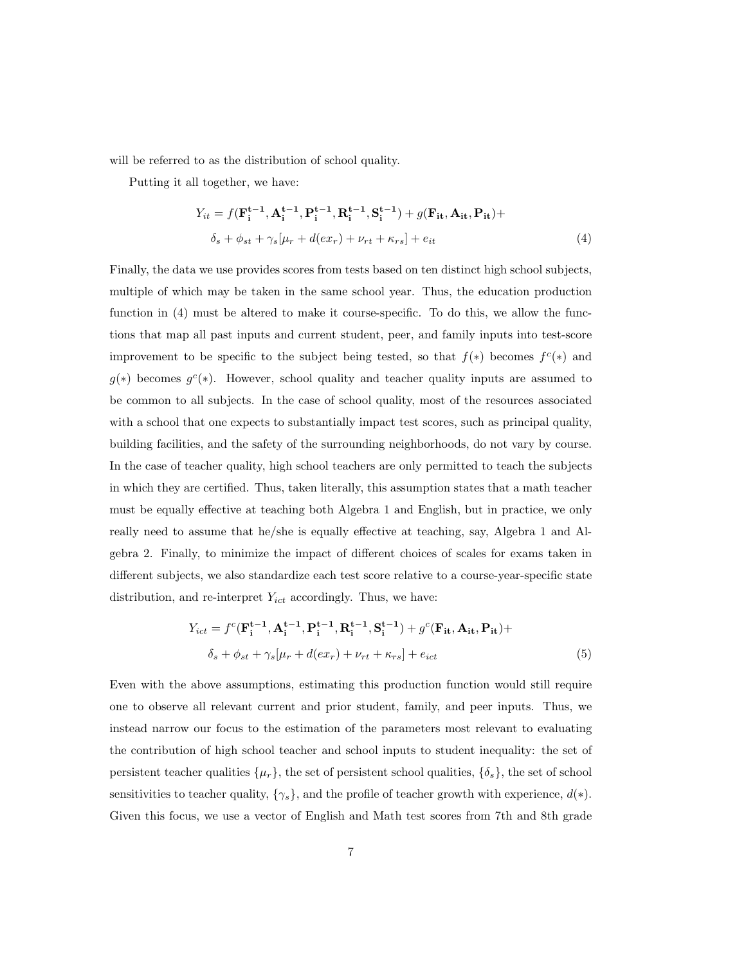will be referred to as the distribution of school quality.

Putting it all together, we have:

$$
Y_{it} = f(\mathbf{F}_{i}^{t-1}, \mathbf{A}_{i}^{t-1}, \mathbf{P}_{i}^{t-1}, \mathbf{R}_{i}^{t-1}, \mathbf{S}_{i}^{t-1}) + g(\mathbf{F}_{it}, \mathbf{A}_{it}, \mathbf{P}_{it}) + \n\delta_{s} + \phi_{st} + \gamma_{s}[\mu_{r} + d(ex_{r}) + \nu_{rt} + \kappa_{rs}] + e_{it}
$$
\n(4)

Finally, the data we use provides scores from tests based on ten distinct high school subjects, multiple of which may be taken in the same school year. Thus, the education production function in (4) must be altered to make it course-specific. To do this, we allow the functions that map all past inputs and current student, peer, and family inputs into test-score improvement to be specific to the subject being tested, so that  $f(*)$  becomes  $f^c(*)$  and  $g(*)$  becomes  $g^{c}(*)$ . However, school quality and teacher quality inputs are assumed to be common to all subjects. In the case of school quality, most of the resources associated with a school that one expects to substantially impact test scores, such as principal quality, building facilities, and the safety of the surrounding neighborhoods, do not vary by course. In the case of teacher quality, high school teachers are only permitted to teach the subjects in which they are certified. Thus, taken literally, this assumption states that a math teacher must be equally effective at teaching both Algebra 1 and English, but in practice, we only really need to assume that he/she is equally effective at teaching, say, Algebra 1 and Algebra 2. Finally, to minimize the impact of different choices of scales for exams taken in different subjects, we also standardize each test score relative to a course-year-specific state distribution, and re-interpret  $Y_{ict}$  accordingly. Thus, we have:

$$
Y_{ict} = f^{c}(\mathbf{F}_{i}^{t-1}, \mathbf{A}_{i}^{t-1}, \mathbf{P}_{i}^{t-1}, \mathbf{R}_{i}^{t-1}, \mathbf{S}_{i}^{t-1}) + g^{c}(\mathbf{F}_{it}, \mathbf{A}_{it}, \mathbf{P}_{it}) +
$$

$$
\delta_{s} + \phi_{st} + \gamma_{s}[\mu_{r} + d(ex_{r}) + \nu_{rt} + \kappa_{rs}] + e_{ict}
$$
(5)

Even with the above assumptions, estimating this production function would still require one to observe all relevant current and prior student, family, and peer inputs. Thus, we instead narrow our focus to the estimation of the parameters most relevant to evaluating the contribution of high school teacher and school inputs to student inequality: the set of persistent teacher qualities  $\{\mu_r\}$ , the set of persistent school qualities,  $\{\delta_s\}$ , the set of school sensitivities to teacher quality,  $\{\gamma_s\}$ , and the profile of teacher growth with experience,  $d(*)$ . Given this focus, we use a vector of English and Math test scores from 7th and 8th grade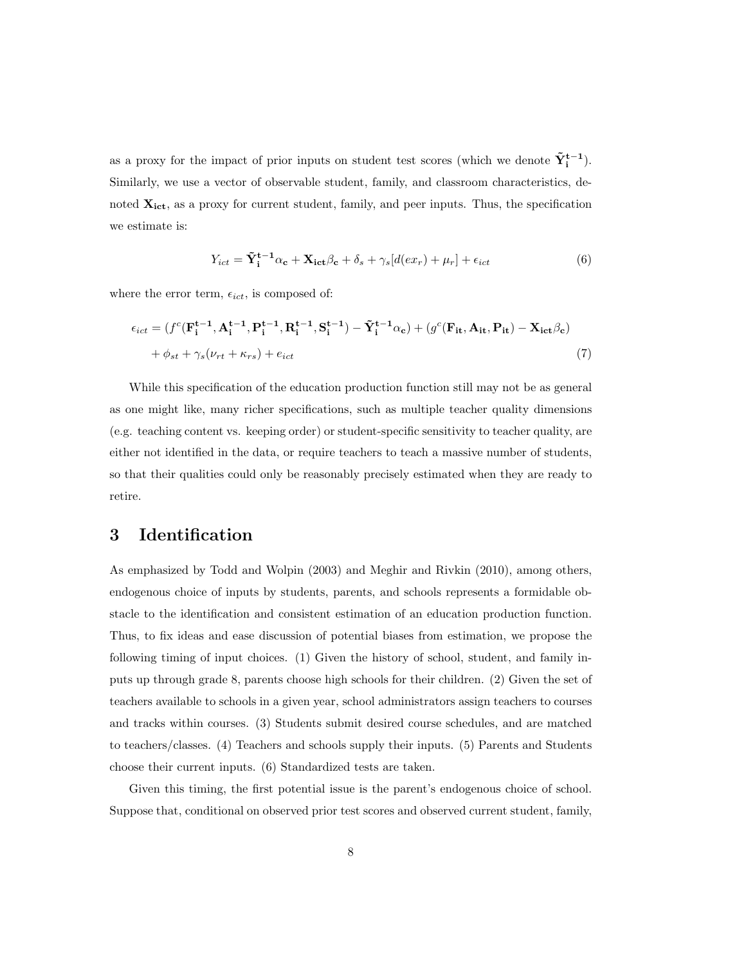as a proxy for the impact of prior inputs on student test scores (which we denote  $\tilde{Y}_{i}^{t-1}$ ). Similarly, we use a vector of observable student, family, and classroom characteristics, denoted  $\mathbf{X_{ict}}$ , as a proxy for current student, family, and peer inputs. Thus, the specification we estimate is:

$$
Y_{ict} = \tilde{\mathbf{Y}}_i^{t-1} \alpha_c + \mathbf{X}_{ict} \beta_c + \delta_s + \gamma_s [d(ex_r) + \mu_r] + \epsilon_{ict}
$$
(6)

where the error term,  $\epsilon_{ict}$ , is composed of:

$$
\epsilon_{ict} = (f^c(\mathbf{F}_i^{t-1}, \mathbf{A}_i^{t-1}, \mathbf{P}_i^{t-1}, \mathbf{R}_i^{t-1}, \mathbf{S}_i^{t-1}) - \tilde{\mathbf{Y}}_i^{t-1}\alpha_c) + (g^c(\mathbf{F}_{it}, \mathbf{A}_{it}, \mathbf{P}_{it}) - \mathbf{X}_{ict}\beta_c) + \phi_{st} + \gamma_s(\nu_{rt} + \kappa_{rs}) + e_{ict}
$$
\n(7)

While this specification of the education production function still may not be as general as one might like, many richer specifications, such as multiple teacher quality dimensions (e.g. teaching content vs. keeping order) or student-specific sensitivity to teacher quality, are either not identified in the data, or require teachers to teach a massive number of students, so that their qualities could only be reasonably precisely estimated when they are ready to retire.

## 3 Identification

As emphasized by Todd and Wolpin (2003) and Meghir and Rivkin (2010), among others, endogenous choice of inputs by students, parents, and schools represents a formidable obstacle to the identification and consistent estimation of an education production function. Thus, to fix ideas and ease discussion of potential biases from estimation, we propose the following timing of input choices. (1) Given the history of school, student, and family inputs up through grade 8, parents choose high schools for their children. (2) Given the set of teachers available to schools in a given year, school administrators assign teachers to courses and tracks within courses. (3) Students submit desired course schedules, and are matched to teachers/classes. (4) Teachers and schools supply their inputs. (5) Parents and Students choose their current inputs. (6) Standardized tests are taken.

Given this timing, the first potential issue is the parent's endogenous choice of school. Suppose that, conditional on observed prior test scores and observed current student, family,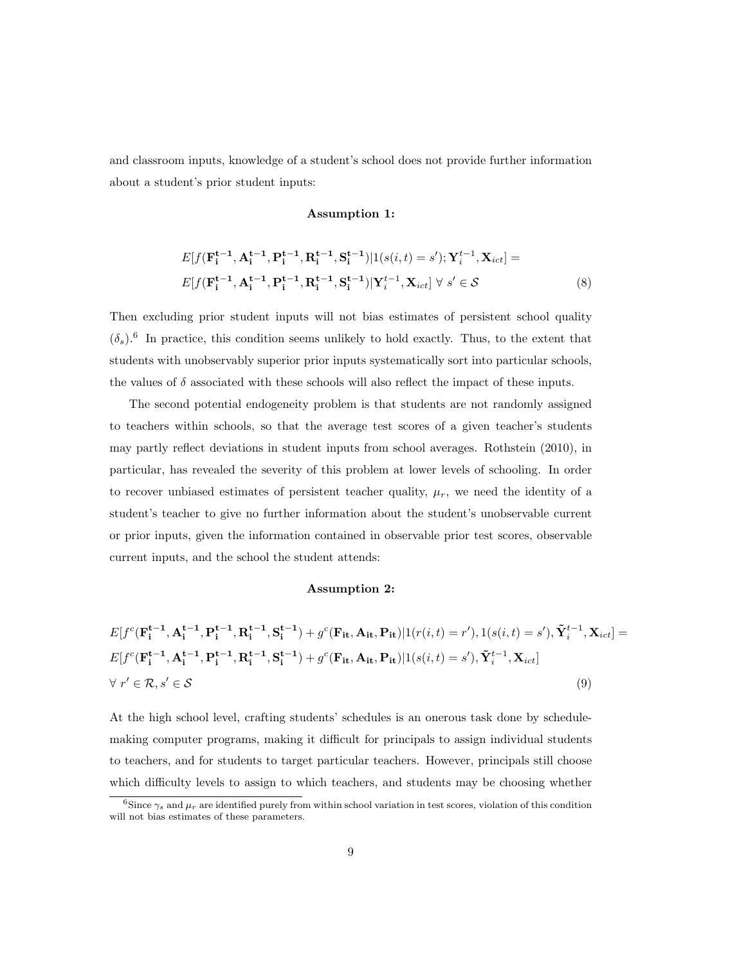and classroom inputs, knowledge of a student's school does not provide further information about a student's prior student inputs:

#### Assumption 1:

$$
E[f(\mathbf{F}_{i}^{t-1}, \mathbf{A}_{i}^{t-1}, \mathbf{P}_{i}^{t-1}, \mathbf{R}_{i}^{t-1}, \mathbf{S}_{i}^{t-1})|1(s(i, t) = s'); \mathbf{Y}_{i}^{t-1}, \mathbf{X}_{ict}] =
$$
  
\n
$$
E[f(\mathbf{F}_{i}^{t-1}, \mathbf{A}_{i}^{t-1}, \mathbf{P}_{i}^{t-1}, \mathbf{R}_{i}^{t-1}, \mathbf{S}_{i}^{t-1})|\mathbf{Y}_{i}^{t-1}, \mathbf{X}_{ict}] \forall s' \in S
$$
\n(8)

Then excluding prior student inputs will not bias estimates of persistent school quality  $(\delta_s)$ .<sup>6</sup> In practice, this condition seems unlikely to hold exactly. Thus, to the extent that students with unobservably superior prior inputs systematically sort into particular schools, the values of  $\delta$  associated with these schools will also reflect the impact of these inputs.

The second potential endogeneity problem is that students are not randomly assigned to teachers within schools, so that the average test scores of a given teacher's students may partly reflect deviations in student inputs from school averages. Rothstein (2010), in particular, has revealed the severity of this problem at lower levels of schooling. In order to recover unbiased estimates of persistent teacher quality,  $\mu_r$ , we need the identity of a student's teacher to give no further information about the student's unobservable current or prior inputs, given the information contained in observable prior test scores, observable current inputs, and the school the student attends:

#### Assumption 2:

$$
E[f^{c}(\mathbf{F}_{i}^{t-1}, \mathbf{A}_{i}^{t-1}, \mathbf{P}_{i}^{t-1}, \mathbf{R}_{i}^{t-1}, \mathbf{S}_{i}^{t-1}) + g^{c}(\mathbf{F}_{it}, \mathbf{A}_{it}, \mathbf{P}_{it})|1(r(i, t) = r'), 1(s(i, t) = s'), \tilde{\mathbf{Y}}_{i}^{t-1}, \mathbf{X}_{ict}] = E[f^{c}(\mathbf{F}_{i}^{t-1}, \mathbf{A}_{i}^{t-1}, \mathbf{P}_{i}^{t-1}, \mathbf{R}_{i}^{t-1}, \mathbf{S}_{i}^{t-1}) + g^{c}(\mathbf{F}_{it}, \mathbf{A}_{it}, \mathbf{P}_{it})|1(s(i, t) = s'), \tilde{\mathbf{Y}}_{i}^{t-1}, \mathbf{X}_{ict}] \newline \forall r' \in \mathcal{R}, s' \in \mathcal{S}
$$
\n(9)

At the high school level, crafting students' schedules is an onerous task done by schedulemaking computer programs, making it difficult for principals to assign individual students to teachers, and for students to target particular teachers. However, principals still choose which difficulty levels to assign to which teachers, and students may be choosing whether

<sup>&</sup>lt;sup>6</sup>Since  $\gamma_s$  and  $\mu_r$  are identified purely from within school variation in test scores, violation of this condition will not bias estimates of these parameters.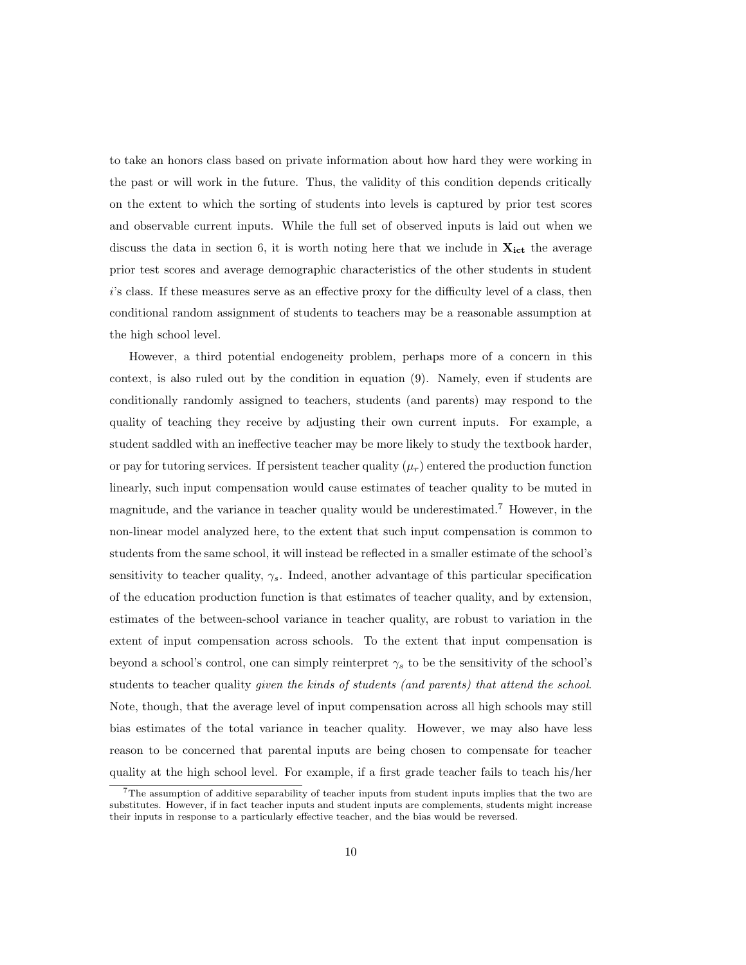to take an honors class based on private information about how hard they were working in the past or will work in the future. Thus, the validity of this condition depends critically on the extent to which the sorting of students into levels is captured by prior test scores and observable current inputs. While the full set of observed inputs is laid out when we discuss the data in section 6, it is worth noting here that we include in  $X_{ict}$  the average prior test scores and average demographic characteristics of the other students in student i's class. If these measures serve as an effective proxy for the difficulty level of a class, then conditional random assignment of students to teachers may be a reasonable assumption at the high school level.

However, a third potential endogeneity problem, perhaps more of a concern in this context, is also ruled out by the condition in equation (9). Namely, even if students are conditionally randomly assigned to teachers, students (and parents) may respond to the quality of teaching they receive by adjusting their own current inputs. For example, a student saddled with an ineffective teacher may be more likely to study the textbook harder, or pay for tutoring services. If persistent teacher quality  $(\mu_r)$  entered the production function linearly, such input compensation would cause estimates of teacher quality to be muted in magnitude, and the variance in teacher quality would be underestimated.<sup>7</sup> However, in the non-linear model analyzed here, to the extent that such input compensation is common to students from the same school, it will instead be reflected in a smaller estimate of the school's sensitivity to teacher quality,  $\gamma_s$ . Indeed, another advantage of this particular specification of the education production function is that estimates of teacher quality, and by extension, estimates of the between-school variance in teacher quality, are robust to variation in the extent of input compensation across schools. To the extent that input compensation is beyond a school's control, one can simply reinterpret  $\gamma_s$  to be the sensitivity of the school's students to teacher quality *given the kinds of students (and parents) that attend the school.* Note, though, that the average level of input compensation across all high schools may still bias estimates of the total variance in teacher quality. However, we may also have less reason to be concerned that parental inputs are being chosen to compensate for teacher quality at the high school level. For example, if a first grade teacher fails to teach his/her

<sup>&</sup>lt;sup>7</sup>The assumption of additive separability of teacher inputs from student inputs implies that the two are substitutes. However, if in fact teacher inputs and student inputs are complements, students might increase their inputs in response to a particularly effective teacher, and the bias would be reversed.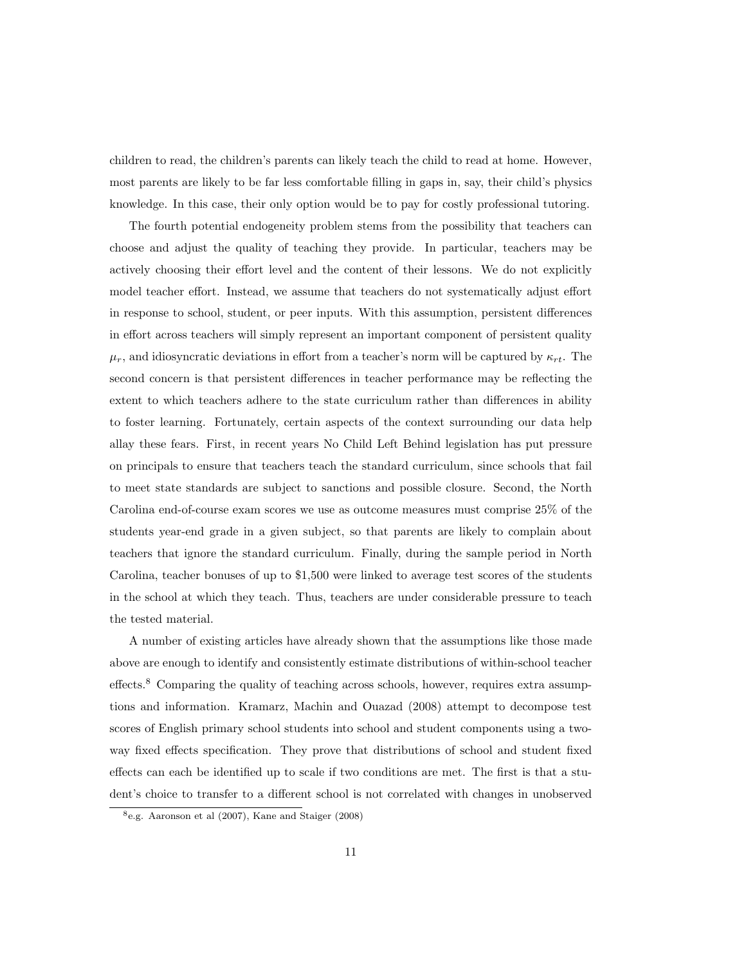children to read, the children's parents can likely teach the child to read at home. However, most parents are likely to be far less comfortable filling in gaps in, say, their child's physics knowledge. In this case, their only option would be to pay for costly professional tutoring.

The fourth potential endogeneity problem stems from the possibility that teachers can choose and adjust the quality of teaching they provide. In particular, teachers may be actively choosing their effort level and the content of their lessons. We do not explicitly model teacher effort. Instead, we assume that teachers do not systematically adjust effort in response to school, student, or peer inputs. With this assumption, persistent differences in effort across teachers will simply represent an important component of persistent quality  $\mu_r$ , and idiosyncratic deviations in effort from a teacher's norm will be captured by  $\kappa_{rt}$ . The second concern is that persistent differences in teacher performance may be reflecting the extent to which teachers adhere to the state curriculum rather than differences in ability to foster learning. Fortunately, certain aspects of the context surrounding our data help allay these fears. First, in recent years No Child Left Behind legislation has put pressure on principals to ensure that teachers teach the standard curriculum, since schools that fail to meet state standards are subject to sanctions and possible closure. Second, the North Carolina end-of-course exam scores we use as outcome measures must comprise 25% of the students year-end grade in a given subject, so that parents are likely to complain about teachers that ignore the standard curriculum. Finally, during the sample period in North Carolina, teacher bonuses of up to \$1,500 were linked to average test scores of the students in the school at which they teach. Thus, teachers are under considerable pressure to teach the tested material.

A number of existing articles have already shown that the assumptions like those made above are enough to identify and consistently estimate distributions of within-school teacher effects.<sup>8</sup> Comparing the quality of teaching across schools, however, requires extra assumptions and information. Kramarz, Machin and Ouazad (2008) attempt to decompose test scores of English primary school students into school and student components using a twoway fixed effects specification. They prove that distributions of school and student fixed effects can each be identified up to scale if two conditions are met. The first is that a student's choice to transfer to a different school is not correlated with changes in unobserved

<sup>8</sup>e.g. Aaronson et al (2007), Kane and Staiger (2008)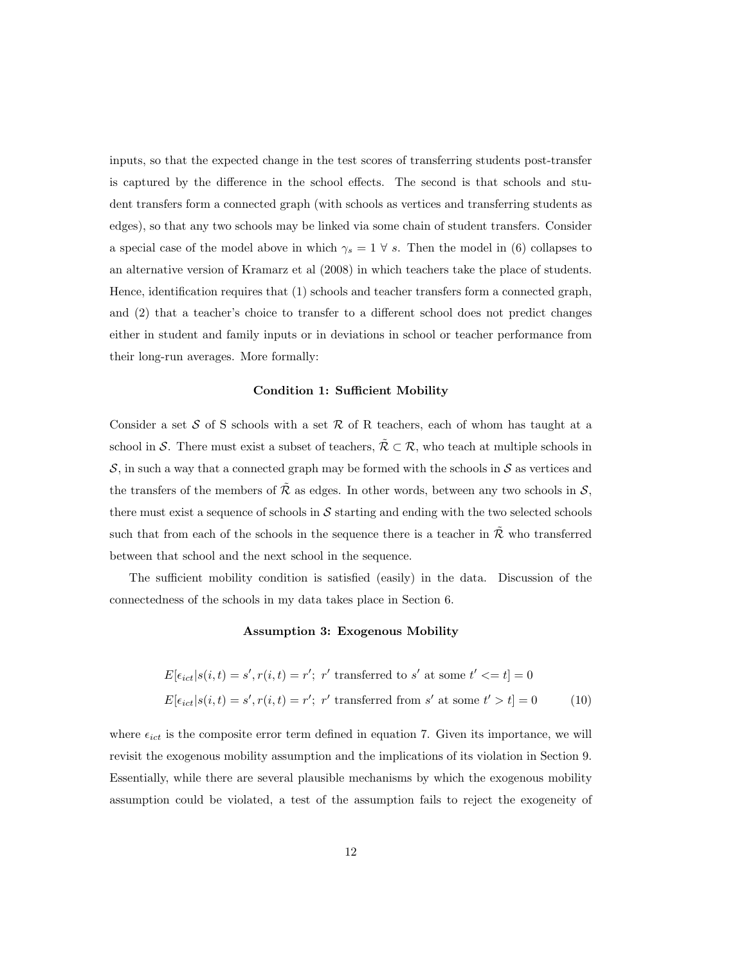inputs, so that the expected change in the test scores of transferring students post-transfer is captured by the difference in the school effects. The second is that schools and student transfers form a connected graph (with schools as vertices and transferring students as edges), so that any two schools may be linked via some chain of student transfers. Consider a special case of the model above in which  $\gamma_s = 1 \forall s$ . Then the model in (6) collapses to an alternative version of Kramarz et al (2008) in which teachers take the place of students. Hence, identification requires that (1) schools and teacher transfers form a connected graph, and (2) that a teacher's choice to transfer to a different school does not predict changes either in student and family inputs or in deviations in school or teacher performance from their long-run averages. More formally:

#### Condition 1: Sufficient Mobility

Consider a set S of S schools with a set R of R teachers, each of whom has taught at a school in S. There must exist a subset of teachers,  $\tilde{\mathcal{R}} \subset \mathcal{R}$ , who teach at multiple schools in  $S$ , in such a way that a connected graph may be formed with the schools in  $S$  as vertices and the transfers of the members of  $\tilde{\mathcal{R}}$  as edges. In other words, between any two schools in  $\mathcal{S}$ , there must exist a sequence of schools in  $S$  starting and ending with the two selected schools such that from each of the schools in the sequence there is a teacher in  $\tilde{\mathcal{R}}$  who transferred between that school and the next school in the sequence.

The sufficient mobility condition is satisfied (easily) in the data. Discussion of the connectedness of the schools in my data takes place in Section 6.

#### Assumption 3: Exogenous Mobility

$$
E[\epsilon_{ict}|s(i,t) = s', r(i,t) = r'; \ r' \text{ transferred to } s' \text{ at some } t' <= t] = 0
$$
  

$$
E[\epsilon_{ict}|s(i,t) = s', r(i,t) = r'; \ r' \text{ transferred from } s' \text{ at some } t' > t] = 0
$$
 (10)

where  $\epsilon_{ict}$  is the composite error term defined in equation 7. Given its importance, we will revisit the exogenous mobility assumption and the implications of its violation in Section 9. Essentially, while there are several plausible mechanisms by which the exogenous mobility assumption could be violated, a test of the assumption fails to reject the exogeneity of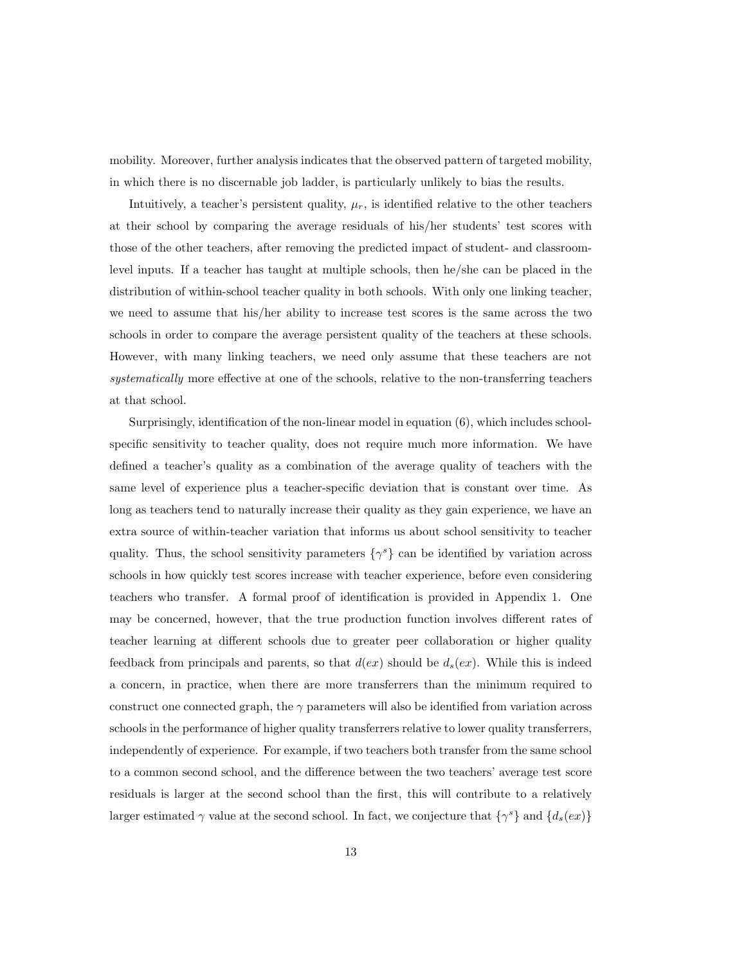mobility. Moreover, further analysis indicates that the observed pattern of targeted mobility, in which there is no discernable job ladder, is particularly unlikely to bias the results.

Intuitively, a teacher's persistent quality,  $\mu_r$ , is identified relative to the other teachers at their school by comparing the average residuals of his/her students' test scores with those of the other teachers, after removing the predicted impact of student- and classroomlevel inputs. If a teacher has taught at multiple schools, then he/she can be placed in the distribution of within-school teacher quality in both schools. With only one linking teacher, we need to assume that his/her ability to increase test scores is the same across the two schools in order to compare the average persistent quality of the teachers at these schools. However, with many linking teachers, we need only assume that these teachers are not systematically more effective at one of the schools, relative to the non-transferring teachers at that school.

Surprisingly, identification of the non-linear model in equation (6), which includes schoolspecific sensitivity to teacher quality, does not require much more information. We have defined a teacher's quality as a combination of the average quality of teachers with the same level of experience plus a teacher-specific deviation that is constant over time. As long as teachers tend to naturally increase their quality as they gain experience, we have an extra source of within-teacher variation that informs us about school sensitivity to teacher quality. Thus, the school sensitivity parameters  $\{\gamma^s\}$  can be identified by variation across schools in how quickly test scores increase with teacher experience, before even considering teachers who transfer. A formal proof of identification is provided in Appendix 1. One may be concerned, however, that the true production function involves different rates of teacher learning at different schools due to greater peer collaboration or higher quality feedback from principals and parents, so that  $d(ex)$  should be  $d_s(ex)$ . While this is indeed a concern, in practice, when there are more transferrers than the minimum required to construct one connected graph, the  $\gamma$  parameters will also be identified from variation across schools in the performance of higher quality transferrers relative to lower quality transferrers, independently of experience. For example, if two teachers both transfer from the same school to a common second school, and the difference between the two teachers' average test score residuals is larger at the second school than the first, this will contribute to a relatively larger estimated  $\gamma$  value at the second school. In fact, we conjecture that  $\{\gamma^s\}$  and  $\{d_s(ex)\}$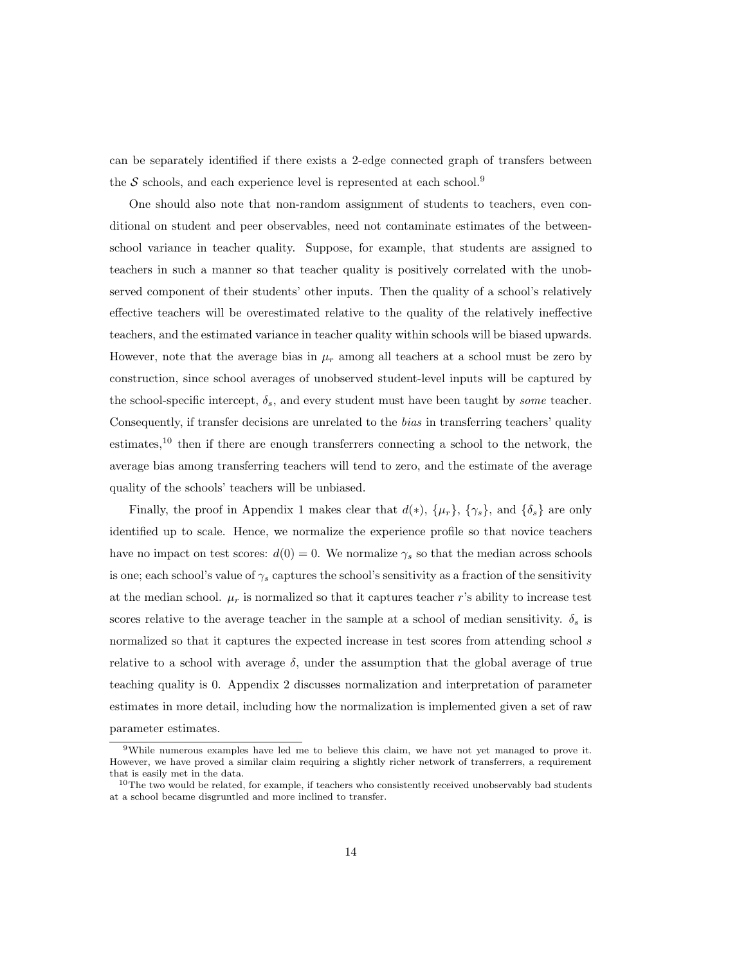can be separately identified if there exists a 2-edge connected graph of transfers between the  $S$  schools, and each experience level is represented at each school.<sup>9</sup>

One should also note that non-random assignment of students to teachers, even conditional on student and peer observables, need not contaminate estimates of the betweenschool variance in teacher quality. Suppose, for example, that students are assigned to teachers in such a manner so that teacher quality is positively correlated with the unobserved component of their students' other inputs. Then the quality of a school's relatively effective teachers will be overestimated relative to the quality of the relatively ineffective teachers, and the estimated variance in teacher quality within schools will be biased upwards. However, note that the average bias in  $\mu_r$  among all teachers at a school must be zero by construction, since school averages of unobserved student-level inputs will be captured by the school-specific intercept,  $\delta_s$ , and every student must have been taught by some teacher. Consequently, if transfer decisions are unrelated to the *bias* in transferring teachers' quality estimates,<sup>10</sup> then if there are enough transferrers connecting a school to the network, the average bias among transferring teachers will tend to zero, and the estimate of the average quality of the schools' teachers will be unbiased.

Finally, the proof in Appendix 1 makes clear that  $d(*), \{\mu_r\}, \{\gamma_s\},$  and  $\{\delta_s\}$  are only identified up to scale. Hence, we normalize the experience profile so that novice teachers have no impact on test scores:  $d(0) = 0$ . We normalize  $\gamma_s$  so that the median across schools is one; each school's value of  $\gamma_s$  captures the school's sensitivity as a fraction of the sensitivity at the median school.  $\mu_r$  is normalized so that it captures teacher r's ability to increase test scores relative to the average teacher in the sample at a school of median sensitivity.  $\delta_s$  is normalized so that it captures the expected increase in test scores from attending school s relative to a school with average  $\delta$ , under the assumption that the global average of true teaching quality is 0. Appendix 2 discusses normalization and interpretation of parameter estimates in more detail, including how the normalization is implemented given a set of raw parameter estimates.

<sup>9</sup>While numerous examples have led me to believe this claim, we have not yet managed to prove it. However, we have proved a similar claim requiring a slightly richer network of transferrers, a requirement that is easily met in the data.

 $10$ The two would be related, for example, if teachers who consistently received unobservably bad students at a school became disgruntled and more inclined to transfer.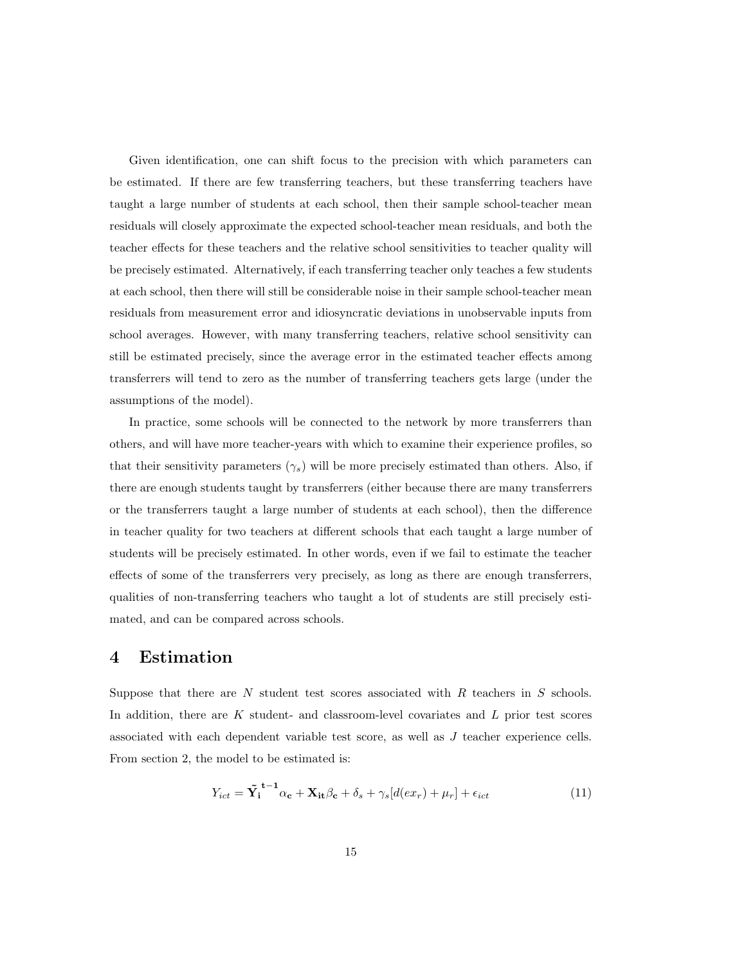Given identification, one can shift focus to the precision with which parameters can be estimated. If there are few transferring teachers, but these transferring teachers have taught a large number of students at each school, then their sample school-teacher mean residuals will closely approximate the expected school-teacher mean residuals, and both the teacher effects for these teachers and the relative school sensitivities to teacher quality will be precisely estimated. Alternatively, if each transferring teacher only teaches a few students at each school, then there will still be considerable noise in their sample school-teacher mean residuals from measurement error and idiosyncratic deviations in unobservable inputs from school averages. However, with many transferring teachers, relative school sensitivity can still be estimated precisely, since the average error in the estimated teacher effects among transferrers will tend to zero as the number of transferring teachers gets large (under the assumptions of the model).

In practice, some schools will be connected to the network by more transferrers than others, and will have more teacher-years with which to examine their experience profiles, so that their sensitivity parameters  $(\gamma_s)$  will be more precisely estimated than others. Also, if there are enough students taught by transferrers (either because there are many transferrers or the transferrers taught a large number of students at each school), then the difference in teacher quality for two teachers at different schools that each taught a large number of students will be precisely estimated. In other words, even if we fail to estimate the teacher effects of some of the transferrers very precisely, as long as there are enough transferrers, qualities of non-transferring teachers who taught a lot of students are still precisely estimated, and can be compared across schools.

### 4 Estimation

Suppose that there are  $N$  student test scores associated with  $R$  teachers in  $S$  schools. In addition, there are  $K$  student- and classroom-level covariates and  $L$  prior test scores associated with each dependent variable test score, as well as J teacher experience cells. From section 2, the model to be estimated is:

$$
Y_{ict} = \tilde{Y}_i^{t-1} \alpha_c + X_{it} \beta_c + \delta_s + \gamma_s [d(ex_r) + \mu_r] + \epsilon_{ict}
$$
\n(11)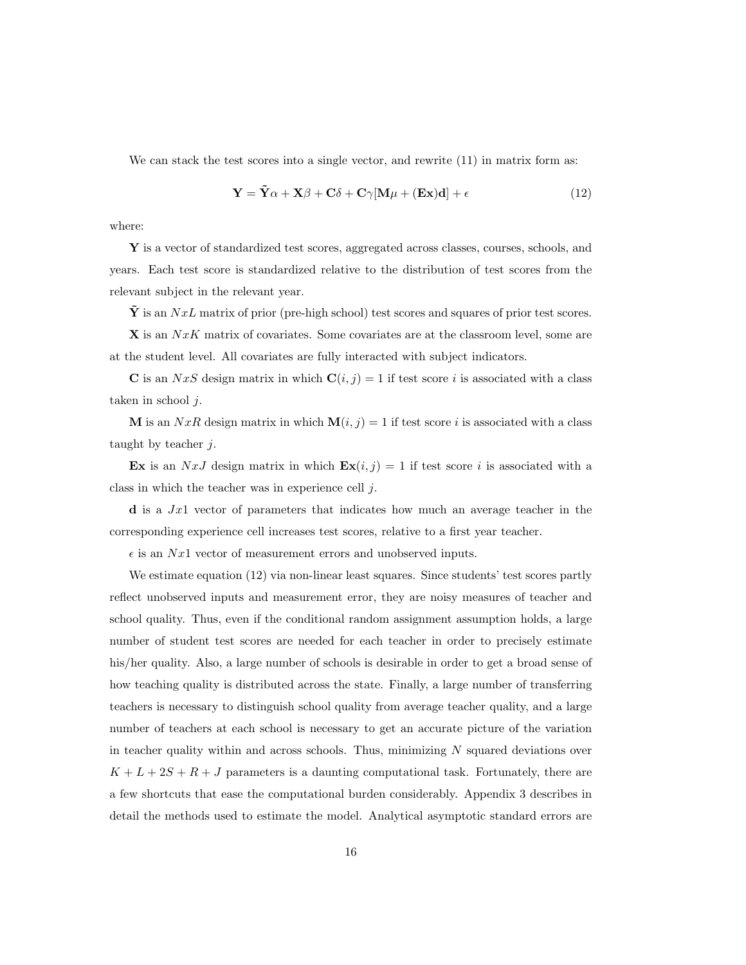We can stack the test scores into a single vector, and rewrite  $(11)$  in matrix form as:

$$
\mathbf{Y} = \tilde{\mathbf{Y}}\alpha + \mathbf{X}\beta + \mathbf{C}\delta + \mathbf{C}\gamma[\mathbf{M}\mu + (\mathbf{Ex})\mathbf{d}] + \epsilon
$$
 (12)

where:

Y is a vector of standardized test scores, aggregated across classes, courses, schools, and years. Each test score is standardized relative to the distribution of test scores from the relevant subject in the relevant year.

 $\dot{Y}$  is an  $NxL$  matrix of prior (pre-high school) test scores and squares of prior test scores.

 $X$  is an  $NxK$  matrix of covariates. Some covariates are at the classroom level, some are at the student level. All covariates are fully interacted with subject indicators.

C is an NxS design matrix in which  $C(i, j) = 1$  if test score i is associated with a class taken in school  $j$ .

M is an  $NxR$  design matrix in which  $\mathbf{M}(i, j) = 1$  if test score i is associated with a class taught by teacher  $j$ .

Ex is an NxJ design matrix in which  $\mathbf{Ex}(i, j) = 1$  if test score i is associated with a class in which the teacher was in experience cell j.

 $\bf d$  is a Jx1 vector of parameters that indicates how much an average teacher in the corresponding experience cell increases test scores, relative to a first year teacher.

 $\epsilon$  is an Nx1 vector of measurement errors and unobserved inputs.

We estimate equation (12) via non-linear least squares. Since students' test scores partly reflect unobserved inputs and measurement error, they are noisy measures of teacher and school quality. Thus, even if the conditional random assignment assumption holds, a large number of student test scores are needed for each teacher in order to precisely estimate his/her quality. Also, a large number of schools is desirable in order to get a broad sense of how teaching quality is distributed across the state. Finally, a large number of transferring teachers is necessary to distinguish school quality from average teacher quality, and a large number of teachers at each school is necessary to get an accurate picture of the variation in teacher quality within and across schools. Thus, minimizing  $N$  squared deviations over  $K + L + 2S + R + J$  parameters is a daunting computational task. Fortunately, there are a few shortcuts that ease the computational burden considerably. Appendix 3 describes in detail the methods used to estimate the model. Analytical asymptotic standard errors are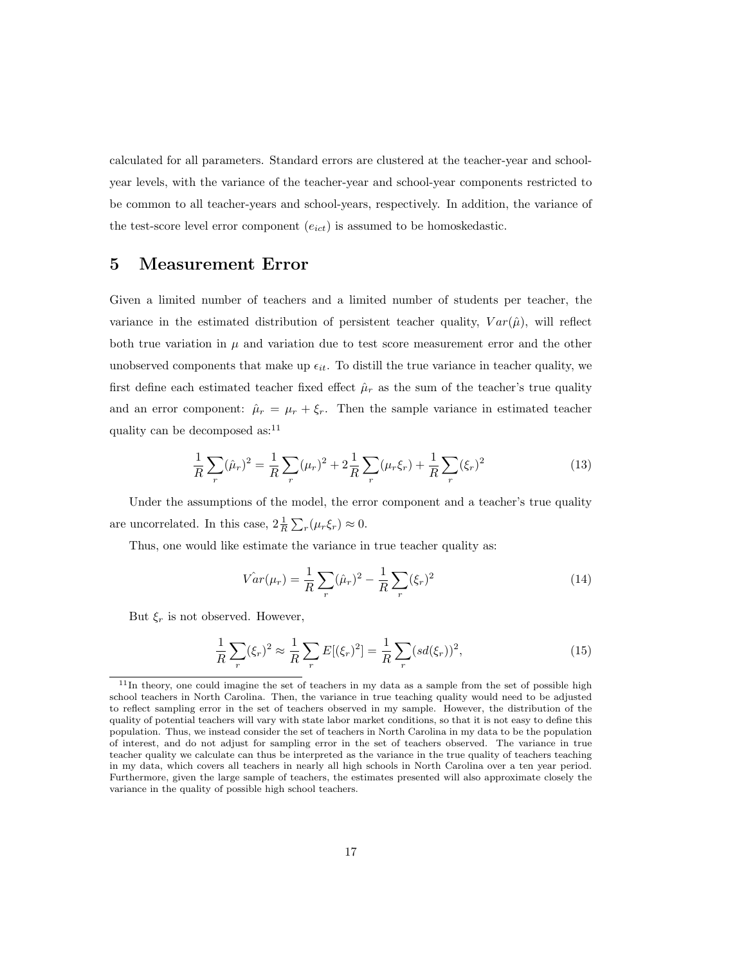calculated for all parameters. Standard errors are clustered at the teacher-year and schoolyear levels, with the variance of the teacher-year and school-year components restricted to be common to all teacher-years and school-years, respectively. In addition, the variance of the test-score level error component  $(e_{ict})$  is assumed to be homoskedastic.

## 5 Measurement Error

Given a limited number of teachers and a limited number of students per teacher, the variance in the estimated distribution of persistent teacher quality,  $Var(\hat{\mu})$ , will reflect both true variation in  $\mu$  and variation due to test score measurement error and the other unobserved components that make up  $\epsilon_{it}$ . To distill the true variance in teacher quality, we first define each estimated teacher fixed effect  $\hat{\mu}_r$  as the sum of the teacher's true quality and an error component:  $\hat{\mu}_r = \mu_r + \xi_r$ . Then the sample variance in estimated teacher quality can be decomposed as: $11$ 

$$
\frac{1}{R}\sum_{r}(\hat{\mu}_r)^2 = \frac{1}{R}\sum_{r}(\mu_r)^2 + 2\frac{1}{R}\sum_{r}(\mu_r\xi_r) + \frac{1}{R}\sum_{r}(\xi_r)^2
$$
\n(13)

Under the assumptions of the model, the error component and a teacher's true quality are uncorrelated. In this case,  $2\frac{1}{R}\sum_r(\mu_r\xi_r) \approx 0$ .

Thus, one would like estimate the variance in true teacher quality as:

$$
\hat{Var}(\mu_r) = \frac{1}{R} \sum_{r} (\hat{\mu}_r)^2 - \frac{1}{R} \sum_{r} (\xi_r)^2 \tag{14}
$$

But  $\xi_r$  is not observed. However,

$$
\frac{1}{R}\sum_{r}(\xi_{r})^{2} \approx \frac{1}{R}\sum_{r}E[(\xi_{r})^{2}] = \frac{1}{R}\sum_{r}(sd(\xi_{r}))^{2},
$$
\n(15)

<sup>&</sup>lt;sup>11</sup>In theory, one could imagine the set of teachers in my data as a sample from the set of possible high school teachers in North Carolina. Then, the variance in true teaching quality would need to be adjusted to reflect sampling error in the set of teachers observed in my sample. However, the distribution of the quality of potential teachers will vary with state labor market conditions, so that it is not easy to define this population. Thus, we instead consider the set of teachers in North Carolina in my data to be the population of interest, and do not adjust for sampling error in the set of teachers observed. The variance in true teacher quality we calculate can thus be interpreted as the variance in the true quality of teachers teaching in my data, which covers all teachers in nearly all high schools in North Carolina over a ten year period. Furthermore, given the large sample of teachers, the estimates presented will also approximate closely the variance in the quality of possible high school teachers.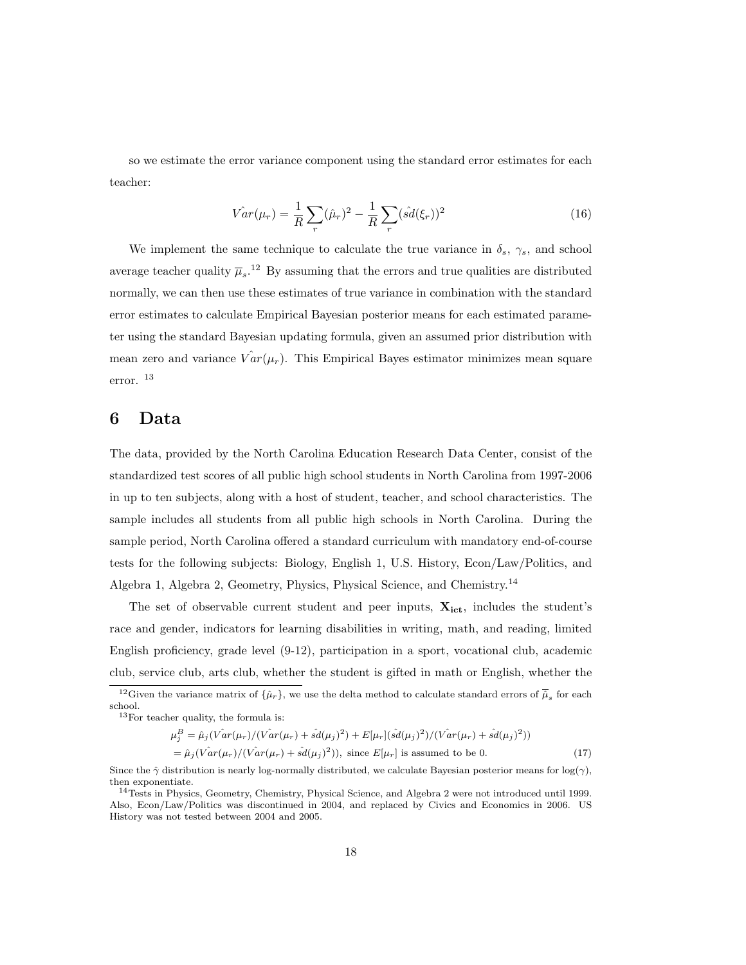so we estimate the error variance component using the standard error estimates for each teacher:

$$
\hat{Var}(\mu_r) = \frac{1}{R} \sum_{r} (\hat{\mu}_r)^2 - \frac{1}{R} \sum_{r} (\hat{sd}(\xi_r))^2 \tag{16}
$$

We implement the same technique to calculate the true variance in  $\delta_s$ ,  $\gamma_s$ , and school average teacher quality  $\bar{\mu}_s$ <sup>12</sup> By assuming that the errors and true qualities are distributed normally, we can then use these estimates of true variance in combination with the standard error estimates to calculate Empirical Bayesian posterior means for each estimated parameter using the standard Bayesian updating formula, given an assumed prior distribution with mean zero and variance  $Var(\mu_r)$ . This Empirical Bayes estimator minimizes mean square error. <sup>13</sup>

## 6 Data

The data, provided by the North Carolina Education Research Data Center, consist of the standardized test scores of all public high school students in North Carolina from 1997-2006 in up to ten subjects, along with a host of student, teacher, and school characteristics. The sample includes all students from all public high schools in North Carolina. During the sample period, North Carolina offered a standard curriculum with mandatory end-of-course tests for the following subjects: Biology, English 1, U.S. History, Econ/Law/Politics, and Algebra 1, Algebra 2, Geometry, Physics, Physical Science, and Chemistry.<sup>14</sup>

The set of observable current student and peer inputs,  $\mathbf{X}_{\text{ict}}$ , includes the student's race and gender, indicators for learning disabilities in writing, math, and reading, limited English proficiency, grade level (9-12), participation in a sport, vocational club, academic club, service club, arts club, whether the student is gifted in math or English, whether the

<sup>&</sup>lt;sup>12</sup>Given the variance matrix of  $\{\hat{\mu}_r\}$ , we use the delta method to calculate standard errors of  $\overline{\hat{\mu}}_s$  for each school. <sup>13</sup>For teacher quality, the formula is:

 $\mu_j^B = \hat{\mu}_j(\hat{Var}(\mu_r)/(\hat{Var}(\mu_r) + \hat{sd}(\mu_j)^2) + E[\mu_r](\hat{sd}(\mu_j)^2)/(\hat{Var}(\mu_r) + \hat{sd}(\mu_j)^2))$  $=\hat{\mu}_j(\hat{Var}(\mu_r)/(\hat{Var}(\mu_r) + \hat{sd}(\mu_j)^2)),$  since  $E[\mu_r]$  is assumed to be 0. (17)

Since the  $\hat{\gamma}$  distribution is nearly log-normally distributed, we calculate Bayesian posterior means for log( $\gamma$ ), then exponentiate.

<sup>14</sup>Tests in Physics, Geometry, Chemistry, Physical Science, and Algebra 2 were not introduced until 1999. Also, Econ/Law/Politics was discontinued in 2004, and replaced by Civics and Economics in 2006. US History was not tested between 2004 and 2005.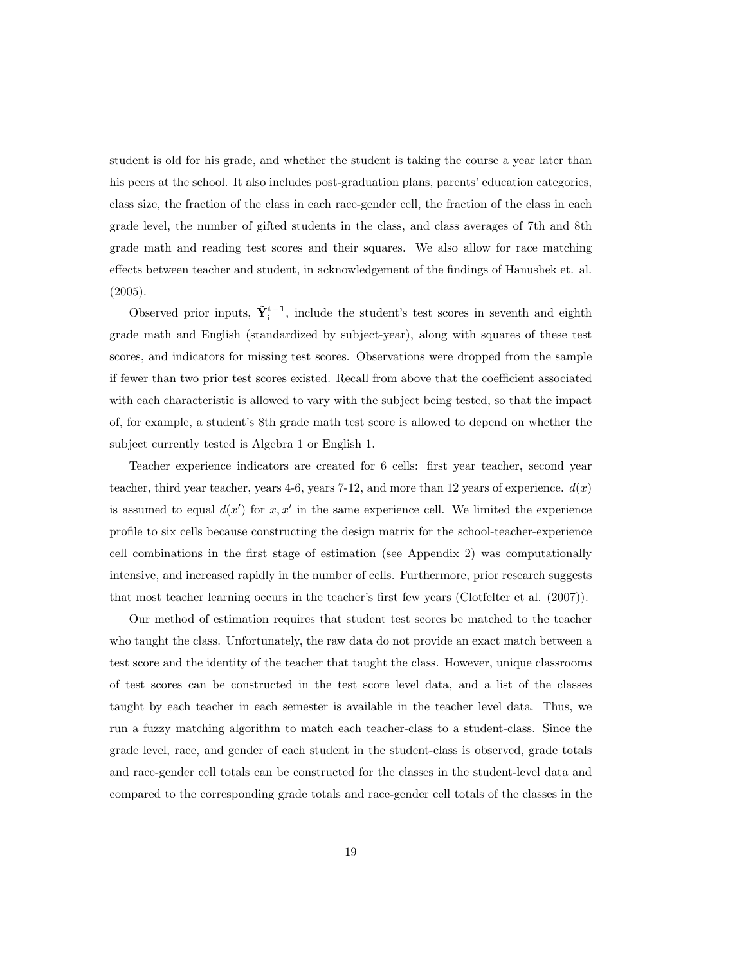student is old for his grade, and whether the student is taking the course a year later than his peers at the school. It also includes post-graduation plans, parents' education categories, class size, the fraction of the class in each race-gender cell, the fraction of the class in each grade level, the number of gifted students in the class, and class averages of 7th and 8th grade math and reading test scores and their squares. We also allow for race matching effects between teacher and student, in acknowledgement of the findings of Hanushek et. al. (2005).

Observed prior inputs,  $\tilde{Y}_{i}^{t-1}$ , include the student's test scores in seventh and eighth grade math and English (standardized by subject-year), along with squares of these test scores, and indicators for missing test scores. Observations were dropped from the sample if fewer than two prior test scores existed. Recall from above that the coefficient associated with each characteristic is allowed to vary with the subject being tested, so that the impact of, for example, a student's 8th grade math test score is allowed to depend on whether the subject currently tested is Algebra 1 or English 1.

Teacher experience indicators are created for 6 cells: first year teacher, second year teacher, third year teacher, years 4-6, years 7-12, and more than 12 years of experience.  $d(x)$ is assumed to equal  $d(x')$  for  $x, x'$  in the same experience cell. We limited the experience profile to six cells because constructing the design matrix for the school-teacher-experience cell combinations in the first stage of estimation (see Appendix 2) was computationally intensive, and increased rapidly in the number of cells. Furthermore, prior research suggests that most teacher learning occurs in the teacher's first few years (Clotfelter et al. (2007)).

Our method of estimation requires that student test scores be matched to the teacher who taught the class. Unfortunately, the raw data do not provide an exact match between a test score and the identity of the teacher that taught the class. However, unique classrooms of test scores can be constructed in the test score level data, and a list of the classes taught by each teacher in each semester is available in the teacher level data. Thus, we run a fuzzy matching algorithm to match each teacher-class to a student-class. Since the grade level, race, and gender of each student in the student-class is observed, grade totals and race-gender cell totals can be constructed for the classes in the student-level data and compared to the corresponding grade totals and race-gender cell totals of the classes in the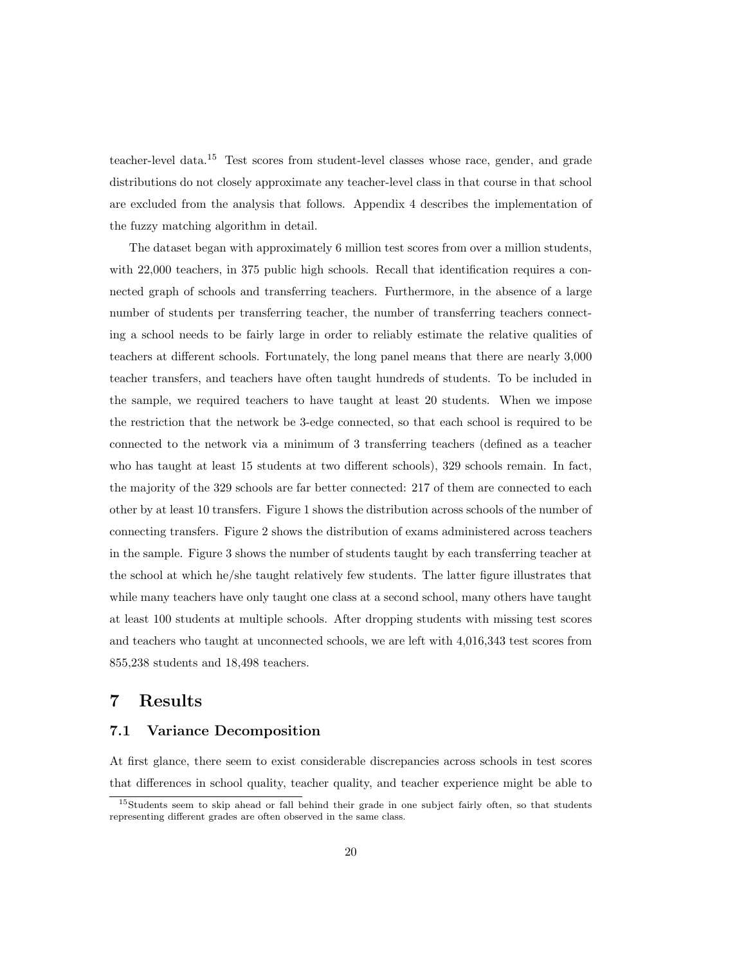teacher-level data.<sup>15</sup> Test scores from student-level classes whose race, gender, and grade distributions do not closely approximate any teacher-level class in that course in that school are excluded from the analysis that follows. Appendix 4 describes the implementation of the fuzzy matching algorithm in detail.

The dataset began with approximately 6 million test scores from over a million students, with 22,000 teachers, in 375 public high schools. Recall that identification requires a connected graph of schools and transferring teachers. Furthermore, in the absence of a large number of students per transferring teacher, the number of transferring teachers connecting a school needs to be fairly large in order to reliably estimate the relative qualities of teachers at different schools. Fortunately, the long panel means that there are nearly 3,000 teacher transfers, and teachers have often taught hundreds of students. To be included in the sample, we required teachers to have taught at least 20 students. When we impose the restriction that the network be 3-edge connected, so that each school is required to be connected to the network via a minimum of 3 transferring teachers (defined as a teacher who has taught at least 15 students at two different schools), 329 schools remain. In fact, the majority of the 329 schools are far better connected: 217 of them are connected to each other by at least 10 transfers. Figure 1 shows the distribution across schools of the number of connecting transfers. Figure 2 shows the distribution of exams administered across teachers in the sample. Figure 3 shows the number of students taught by each transferring teacher at the school at which he/she taught relatively few students. The latter figure illustrates that while many teachers have only taught one class at a second school, many others have taught at least 100 students at multiple schools. After dropping students with missing test scores and teachers who taught at unconnected schools, we are left with 4,016,343 test scores from 855,238 students and 18,498 teachers.

# 7 Results

#### 7.1 Variance Decomposition

At first glance, there seem to exist considerable discrepancies across schools in test scores that differences in school quality, teacher quality, and teacher experience might be able to

<sup>15</sup>Students seem to skip ahead or fall behind their grade in one subject fairly often, so that students representing different grades are often observed in the same class.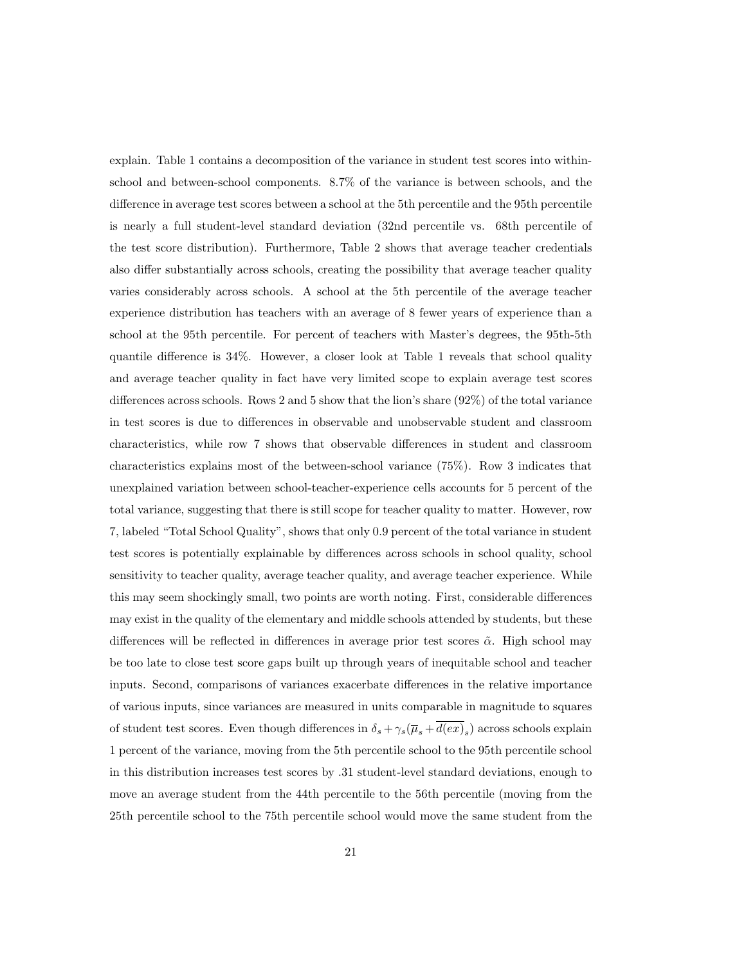explain. Table 1 contains a decomposition of the variance in student test scores into withinschool and between-school components. 8.7% of the variance is between schools, and the difference in average test scores between a school at the 5th percentile and the 95th percentile is nearly a full student-level standard deviation (32nd percentile vs. 68th percentile of the test score distribution). Furthermore, Table 2 shows that average teacher credentials also differ substantially across schools, creating the possibility that average teacher quality varies considerably across schools. A school at the 5th percentile of the average teacher experience distribution has teachers with an average of 8 fewer years of experience than a school at the 95th percentile. For percent of teachers with Master's degrees, the 95th-5th quantile difference is 34%. However, a closer look at Table 1 reveals that school quality and average teacher quality in fact have very limited scope to explain average test scores differences across schools. Rows 2 and 5 show that the lion's share (92%) of the total variance in test scores is due to differences in observable and unobservable student and classroom characteristics, while row 7 shows that observable differences in student and classroom characteristics explains most of the between-school variance (75%). Row 3 indicates that unexplained variation between school-teacher-experience cells accounts for 5 percent of the total variance, suggesting that there is still scope for teacher quality to matter. However, row 7, labeled "Total School Quality", shows that only 0.9 percent of the total variance in student test scores is potentially explainable by differences across schools in school quality, school sensitivity to teacher quality, average teacher quality, and average teacher experience. While this may seem shockingly small, two points are worth noting. First, considerable differences may exist in the quality of the elementary and middle schools attended by students, but these differences will be reflected in differences in average prior test scores  $\tilde{\alpha}$ . High school may be too late to close test score gaps built up through years of inequitable school and teacher inputs. Second, comparisons of variances exacerbate differences in the relative importance of various inputs, since variances are measured in units comparable in magnitude to squares of student test scores. Even though differences in  $\delta_s + \gamma_s (\overline{\mu}_s + d(ex)_s)$  across schools explain 1 percent of the variance, moving from the 5th percentile school to the 95th percentile school in this distribution increases test scores by .31 student-level standard deviations, enough to move an average student from the 44th percentile to the 56th percentile (moving from the 25th percentile school to the 75th percentile school would move the same student from the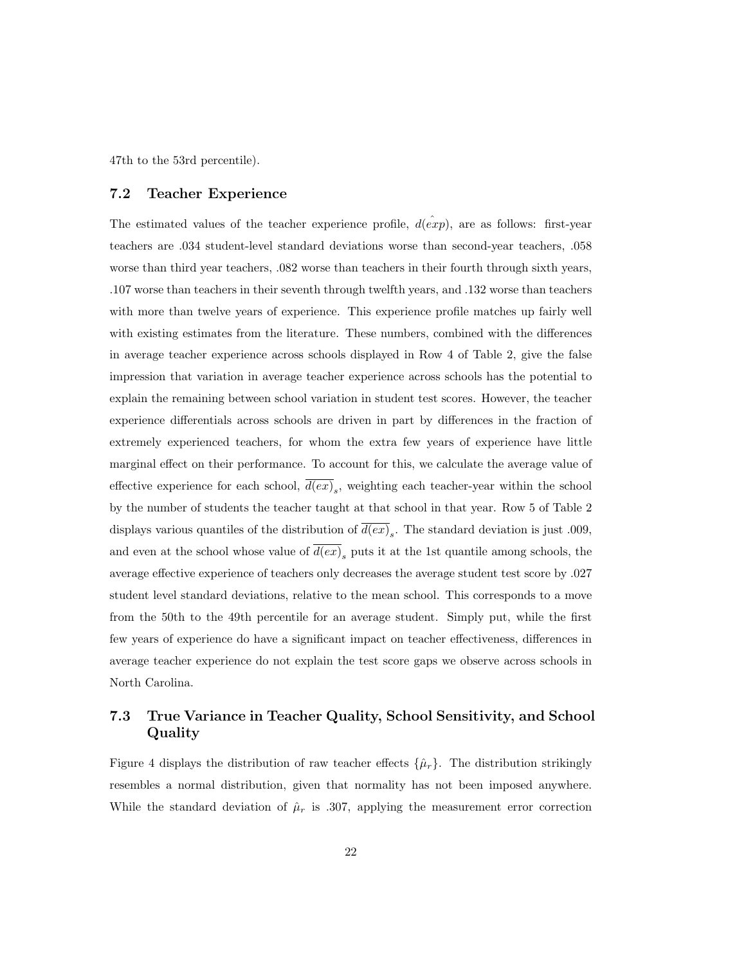47th to the 53rd percentile).

#### 7.2 Teacher Experience

The estimated values of the teacher experience profile,  $d(\hat{exp})$ , are as follows: first-year teachers are .034 student-level standard deviations worse than second-year teachers, .058 worse than third year teachers, .082 worse than teachers in their fourth through sixth years, .107 worse than teachers in their seventh through twelfth years, and .132 worse than teachers with more than twelve years of experience. This experience profile matches up fairly well with existing estimates from the literature. These numbers, combined with the differences in average teacher experience across schools displayed in Row 4 of Table 2, give the false impression that variation in average teacher experience across schools has the potential to explain the remaining between school variation in student test scores. However, the teacher experience differentials across schools are driven in part by differences in the fraction of extremely experienced teachers, for whom the extra few years of experience have little marginal effect on their performance. To account for this, we calculate the average value of effective experience for each school,  $d(ex)_{s}$ , weighting each teacher-year within the school by the number of students the teacher taught at that school in that year. Row 5 of Table 2 displays various quantiles of the distribution of  $d(ex)_s$ . The standard deviation is just .009, and even at the school whose value of  $d(ex)_{s}$  puts it at the 1st quantile among schools, the average effective experience of teachers only decreases the average student test score by .027 student level standard deviations, relative to the mean school. This corresponds to a move from the 50th to the 49th percentile for an average student. Simply put, while the first few years of experience do have a significant impact on teacher effectiveness, differences in average teacher experience do not explain the test score gaps we observe across schools in North Carolina.

#### 7.3 True Variance in Teacher Quality, School Sensitivity, and School Quality

Figure 4 displays the distribution of raw teacher effects  $\{\hat{\mu}_r\}$ . The distribution strikingly resembles a normal distribution, given that normality has not been imposed anywhere. While the standard deviation of  $\hat{\mu}_r$  is .307, applying the measurement error correction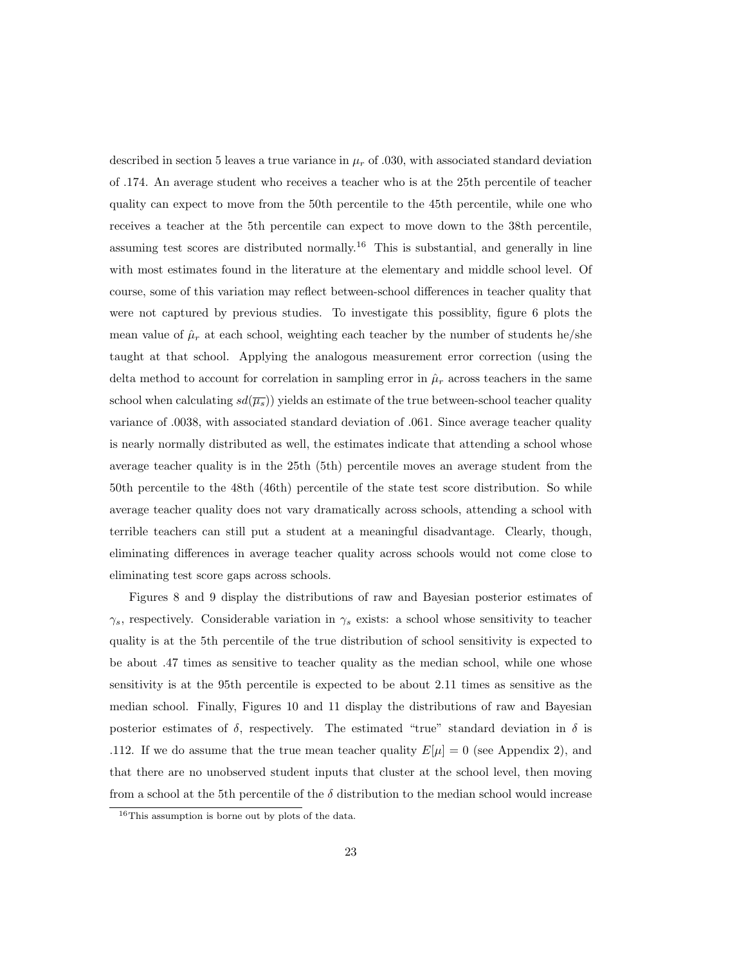described in section 5 leaves a true variance in  $\mu_r$  of .030, with associated standard deviation of .174. An average student who receives a teacher who is at the 25th percentile of teacher quality can expect to move from the 50th percentile to the 45th percentile, while one who receives a teacher at the 5th percentile can expect to move down to the 38th percentile, assuming test scores are distributed normally.<sup>16</sup> This is substantial, and generally in line with most estimates found in the literature at the elementary and middle school level. Of course, some of this variation may reflect between-school differences in teacher quality that were not captured by previous studies. To investigate this possiblity, figure 6 plots the mean value of  $\hat{\mu}_r$  at each school, weighting each teacher by the number of students he/she taught at that school. Applying the analogous measurement error correction (using the delta method to account for correlation in sampling error in  $\hat{\mu}_r$  across teachers in the same school when calculating  $sd(\overline{\mu_s})$  yields an estimate of the true between-school teacher quality variance of .0038, with associated standard deviation of .061. Since average teacher quality is nearly normally distributed as well, the estimates indicate that attending a school whose average teacher quality is in the 25th (5th) percentile moves an average student from the 50th percentile to the 48th (46th) percentile of the state test score distribution. So while average teacher quality does not vary dramatically across schools, attending a school with terrible teachers can still put a student at a meaningful disadvantage. Clearly, though, eliminating differences in average teacher quality across schools would not come close to eliminating test score gaps across schools.

Figures 8 and 9 display the distributions of raw and Bayesian posterior estimates of  $\gamma_s$ , respectively. Considerable variation in  $\gamma_s$  exists: a school whose sensitivity to teacher quality is at the 5th percentile of the true distribution of school sensitivity is expected to be about .47 times as sensitive to teacher quality as the median school, while one whose sensitivity is at the 95th percentile is expected to be about 2.11 times as sensitive as the median school. Finally, Figures 10 and 11 display the distributions of raw and Bayesian posterior estimates of  $\delta$ , respectively. The estimated "true" standard deviation in  $\delta$  is .112. If we do assume that the true mean teacher quality  $E[\mu] = 0$  (see Appendix 2), and that there are no unobserved student inputs that cluster at the school level, then moving from a school at the 5th percentile of the  $\delta$  distribution to the median school would increase

<sup>16</sup>This assumption is borne out by plots of the data.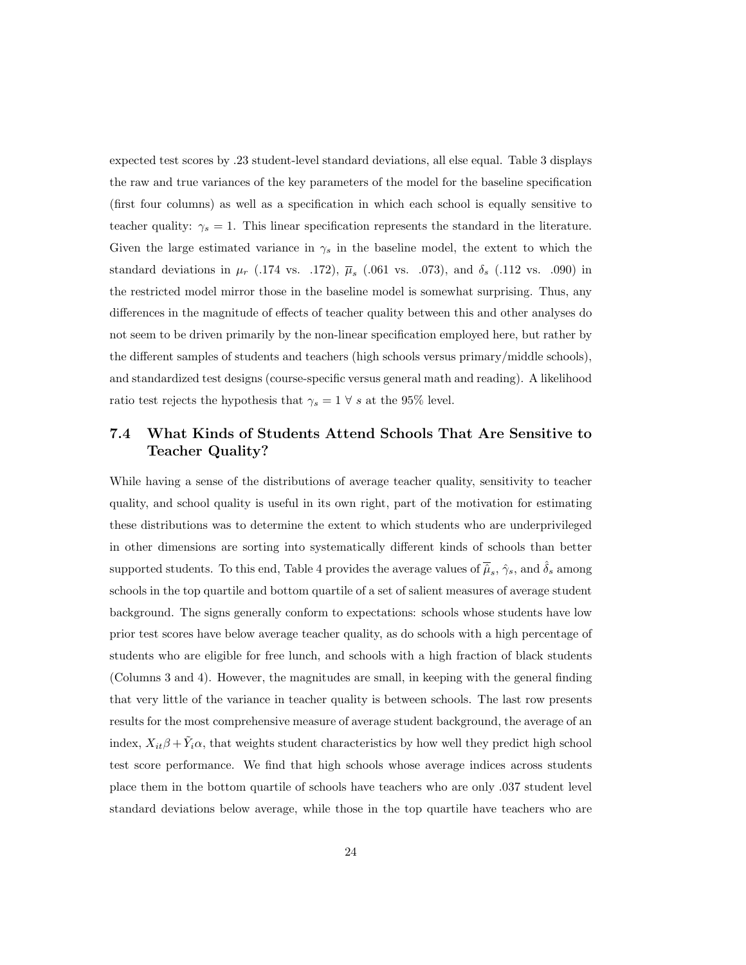expected test scores by .23 student-level standard deviations, all else equal. Table 3 displays the raw and true variances of the key parameters of the model for the baseline specification (first four columns) as well as a specification in which each school is equally sensitive to teacher quality:  $\gamma_s = 1$ . This linear specification represents the standard in the literature. Given the large estimated variance in  $\gamma_s$  in the baseline model, the extent to which the standard deviations in  $\mu_r$  (.174 vs. .172),  $\overline{\mu}_s$  (.061 vs. .073), and  $\delta_s$  (.112 vs. .090) in the restricted model mirror those in the baseline model is somewhat surprising. Thus, any differences in the magnitude of effects of teacher quality between this and other analyses do not seem to be driven primarily by the non-linear specification employed here, but rather by the different samples of students and teachers (high schools versus primary/middle schools), and standardized test designs (course-specific versus general math and reading). A likelihood ratio test rejects the hypothesis that  $\gamma_s = 1 \forall s$  at the 95% level.

### 7.4 What Kinds of Students Attend Schools That Are Sensitive to Teacher Quality?

While having a sense of the distributions of average teacher quality, sensitivity to teacher quality, and school quality is useful in its own right, part of the motivation for estimating these distributions was to determine the extent to which students who are underprivileged in other dimensions are sorting into systematically different kinds of schools than better supported students. To this end, Table 4 provides the average values of  $\overline{\hat{\mu}}_s$ ,  $\hat{\gamma}_s$ , and  $\hat{\delta}_s$  among schools in the top quartile and bottom quartile of a set of salient measures of average student background. The signs generally conform to expectations: schools whose students have low prior test scores have below average teacher quality, as do schools with a high percentage of students who are eligible for free lunch, and schools with a high fraction of black students (Columns 3 and 4). However, the magnitudes are small, in keeping with the general finding that very little of the variance in teacher quality is between schools. The last row presents results for the most comprehensive measure of average student background, the average of an index,  $X_{it}\beta + \tilde{Y}_i\alpha$ , that weights student characteristics by how well they predict high school test score performance. We find that high schools whose average indices across students place them in the bottom quartile of schools have teachers who are only .037 student level standard deviations below average, while those in the top quartile have teachers who are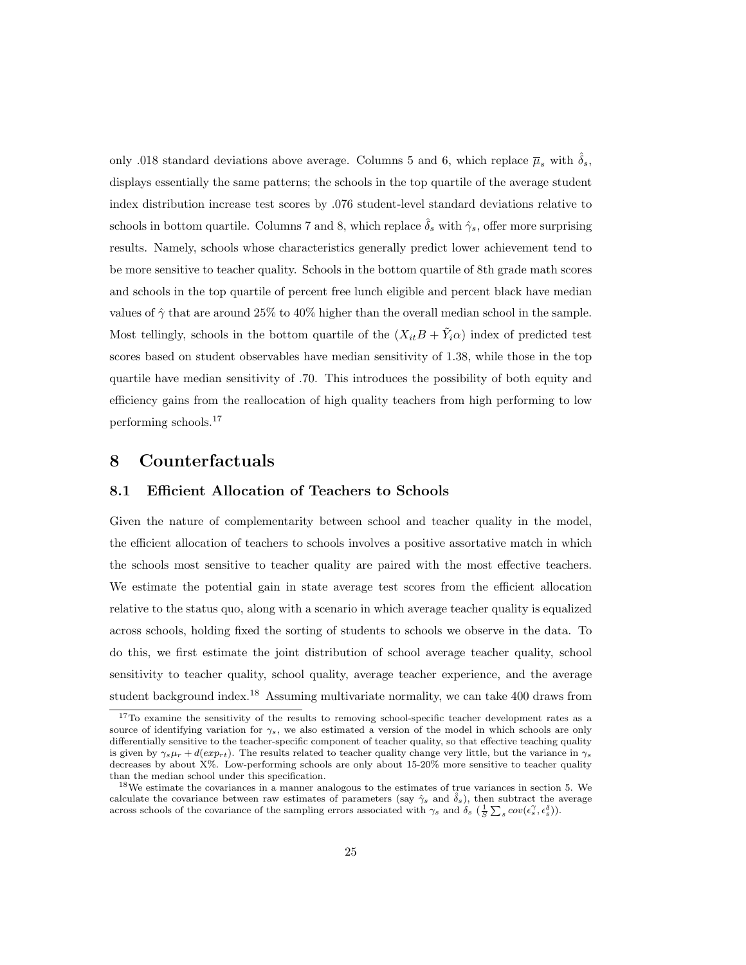only .018 standard deviations above average. Columns 5 and 6, which replace  $\overline{\mu}_s$  with  $\delta_s$ , displays essentially the same patterns; the schools in the top quartile of the average student index distribution increase test scores by .076 student-level standard deviations relative to schools in bottom quartile. Columns 7 and 8, which replace  $\delta_s$  with  $\hat{\gamma}_s$ , offer more surprising results. Namely, schools whose characteristics generally predict lower achievement tend to be more sensitive to teacher quality. Schools in the bottom quartile of 8th grade math scores and schools in the top quartile of percent free lunch eligible and percent black have median values of  $\hat{\gamma}$  that are around 25% to 40% higher than the overall median school in the sample. Most tellingly, schools in the bottom quartile of the  $(X_{it}B + \tilde{Y}_{i}a)$  index of predicted test scores based on student observables have median sensitivity of 1.38, while those in the top quartile have median sensitivity of .70. This introduces the possibility of both equity and efficiency gains from the reallocation of high quality teachers from high performing to low performing schools.<sup>17</sup>

## 8 Counterfactuals

#### 8.1 Efficient Allocation of Teachers to Schools

Given the nature of complementarity between school and teacher quality in the model, the efficient allocation of teachers to schools involves a positive assortative match in which the schools most sensitive to teacher quality are paired with the most effective teachers. We estimate the potential gain in state average test scores from the efficient allocation relative to the status quo, along with a scenario in which average teacher quality is equalized across schools, holding fixed the sorting of students to schools we observe in the data. To do this, we first estimate the joint distribution of school average teacher quality, school sensitivity to teacher quality, school quality, average teacher experience, and the average student background index.<sup>18</sup> Assuming multivariate normality, we can take 400 draws from

<sup>&</sup>lt;sup>17</sup>To examine the sensitivity of the results to removing school-specific teacher development rates as a source of identifying variation for  $\gamma_s$ , we also estimated a version of the model in which schools are only differentially sensitive to the teacher-specific component of teacher quality, so that effective teaching quality is given by  $\gamma_s \mu_r + d(exp_{rt})$ . The results related to teacher quality change very little, but the variance in  $\gamma_s$ decreases by about X%. Low-performing schools are only about 15-20% more sensitive to teacher quality than the median school under this specification.

<sup>&</sup>lt;sup>18</sup>We estimate the covariances in a manner analogous to the estimates of true variances in section 5. We calculate the covariance between raw estimates of parameters (say  $\hat{\gamma}_s$  and  $\hat{\delta}_s$ ), then subtract the average across schools of the covariance of the sampling errors associated with  $\gamma_s$  and  $\delta_s$   $(\frac{1}{S}\sum_s cov(\epsilon_s^{\gamma}, \epsilon_s^{\delta}))$ .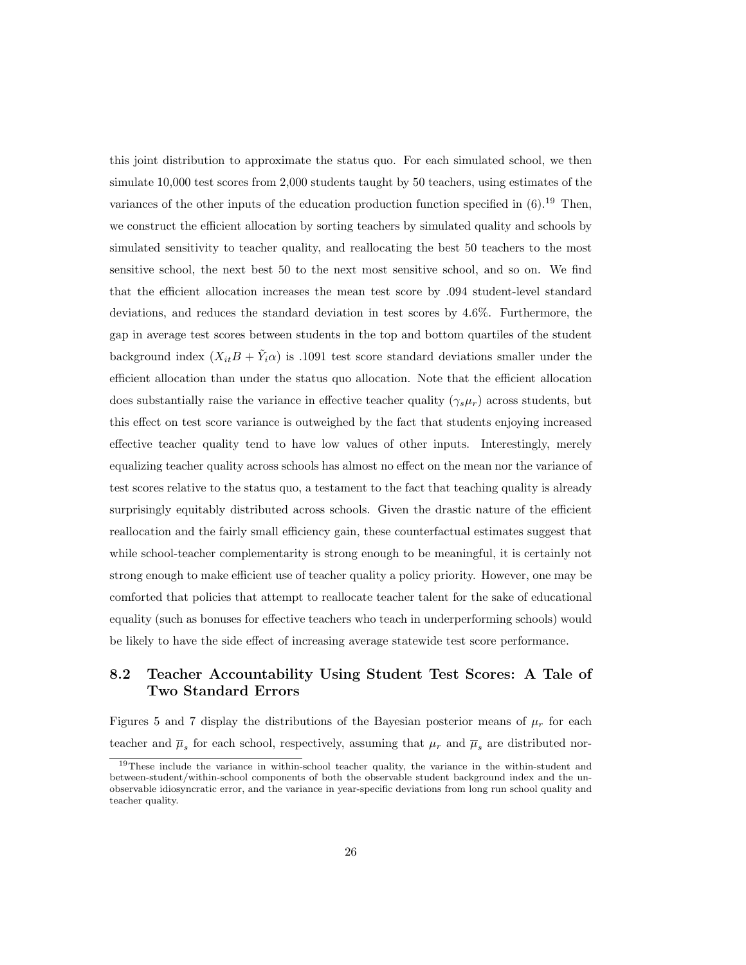this joint distribution to approximate the status quo. For each simulated school, we then simulate 10,000 test scores from 2,000 students taught by 50 teachers, using estimates of the variances of the other inputs of the education production function specified in  $(6)$ .<sup>19</sup> Then, we construct the efficient allocation by sorting teachers by simulated quality and schools by simulated sensitivity to teacher quality, and reallocating the best 50 teachers to the most sensitive school, the next best 50 to the next most sensitive school, and so on. We find that the efficient allocation increases the mean test score by .094 student-level standard deviations, and reduces the standard deviation in test scores by 4.6%. Furthermore, the gap in average test scores between students in the top and bottom quartiles of the student background index  $(X_{it}B + \tilde{Y}_{i}a)$  is .1091 test score standard deviations smaller under the efficient allocation than under the status quo allocation. Note that the efficient allocation does substantially raise the variance in effective teacher quality  $(\gamma_s \mu_r)$  across students, but this effect on test score variance is outweighed by the fact that students enjoying increased effective teacher quality tend to have low values of other inputs. Interestingly, merely equalizing teacher quality across schools has almost no effect on the mean nor the variance of test scores relative to the status quo, a testament to the fact that teaching quality is already surprisingly equitably distributed across schools. Given the drastic nature of the efficient reallocation and the fairly small efficiency gain, these counterfactual estimates suggest that while school-teacher complementarity is strong enough to be meaningful, it is certainly not strong enough to make efficient use of teacher quality a policy priority. However, one may be comforted that policies that attempt to reallocate teacher talent for the sake of educational equality (such as bonuses for effective teachers who teach in underperforming schools) would be likely to have the side effect of increasing average statewide test score performance.

#### 8.2 Teacher Accountability Using Student Test Scores: A Tale of Two Standard Errors

Figures 5 and 7 display the distributions of the Bayesian posterior means of  $\mu_r$  for each teacher and  $\overline{\mu}_s$  for each school, respectively, assuming that  $\mu_r$  and  $\overline{\mu}_s$  are distributed nor-

 $19$ These include the variance in within-school teacher quality, the variance in the within-student and between-student/within-school components of both the observable student background index and the unobservable idiosyncratic error, and the variance in year-specific deviations from long run school quality and teacher quality.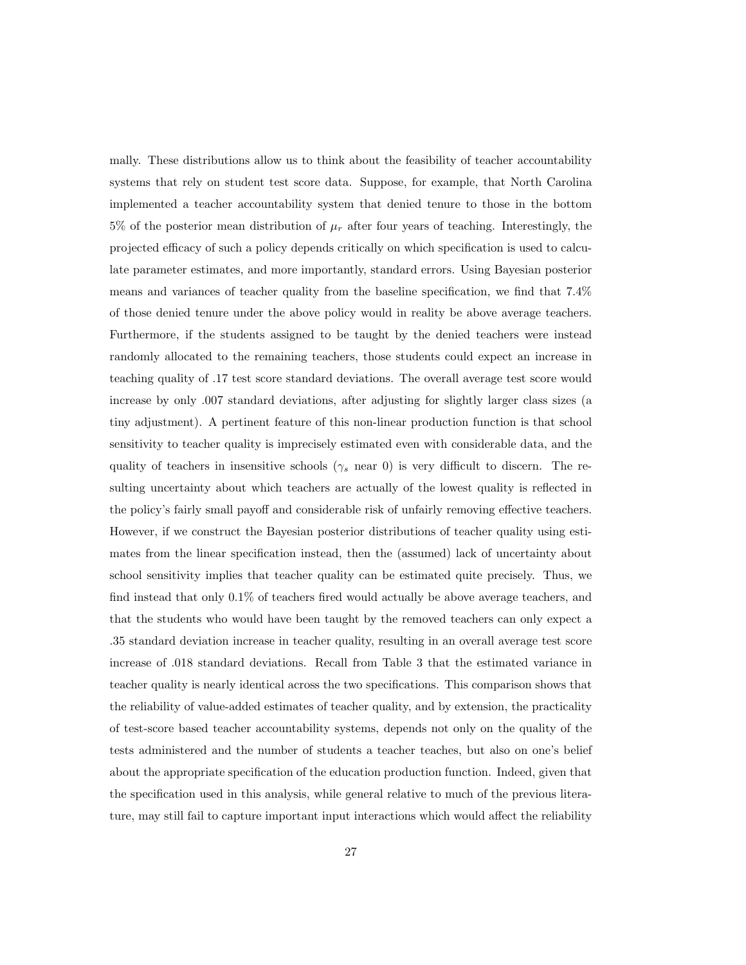mally. These distributions allow us to think about the feasibility of teacher accountability systems that rely on student test score data. Suppose, for example, that North Carolina implemented a teacher accountability system that denied tenure to those in the bottom 5% of the posterior mean distribution of  $\mu_r$  after four years of teaching. Interestingly, the projected efficacy of such a policy depends critically on which specification is used to calculate parameter estimates, and more importantly, standard errors. Using Bayesian posterior means and variances of teacher quality from the baseline specification, we find that 7.4% of those denied tenure under the above policy would in reality be above average teachers. Furthermore, if the students assigned to be taught by the denied teachers were instead randomly allocated to the remaining teachers, those students could expect an increase in teaching quality of .17 test score standard deviations. The overall average test score would increase by only .007 standard deviations, after adjusting for slightly larger class sizes (a tiny adjustment). A pertinent feature of this non-linear production function is that school sensitivity to teacher quality is imprecisely estimated even with considerable data, and the quality of teachers in insensitive schools ( $\gamma_s$  near 0) is very difficult to discern. The resulting uncertainty about which teachers are actually of the lowest quality is reflected in the policy's fairly small payoff and considerable risk of unfairly removing effective teachers. However, if we construct the Bayesian posterior distributions of teacher quality using estimates from the linear specification instead, then the (assumed) lack of uncertainty about school sensitivity implies that teacher quality can be estimated quite precisely. Thus, we find instead that only 0.1% of teachers fired would actually be above average teachers, and that the students who would have been taught by the removed teachers can only expect a .35 standard deviation increase in teacher quality, resulting in an overall average test score increase of .018 standard deviations. Recall from Table 3 that the estimated variance in teacher quality is nearly identical across the two specifications. This comparison shows that the reliability of value-added estimates of teacher quality, and by extension, the practicality of test-score based teacher accountability systems, depends not only on the quality of the tests administered and the number of students a teacher teaches, but also on one's belief about the appropriate specification of the education production function. Indeed, given that the specification used in this analysis, while general relative to much of the previous literature, may still fail to capture important input interactions which would affect the reliability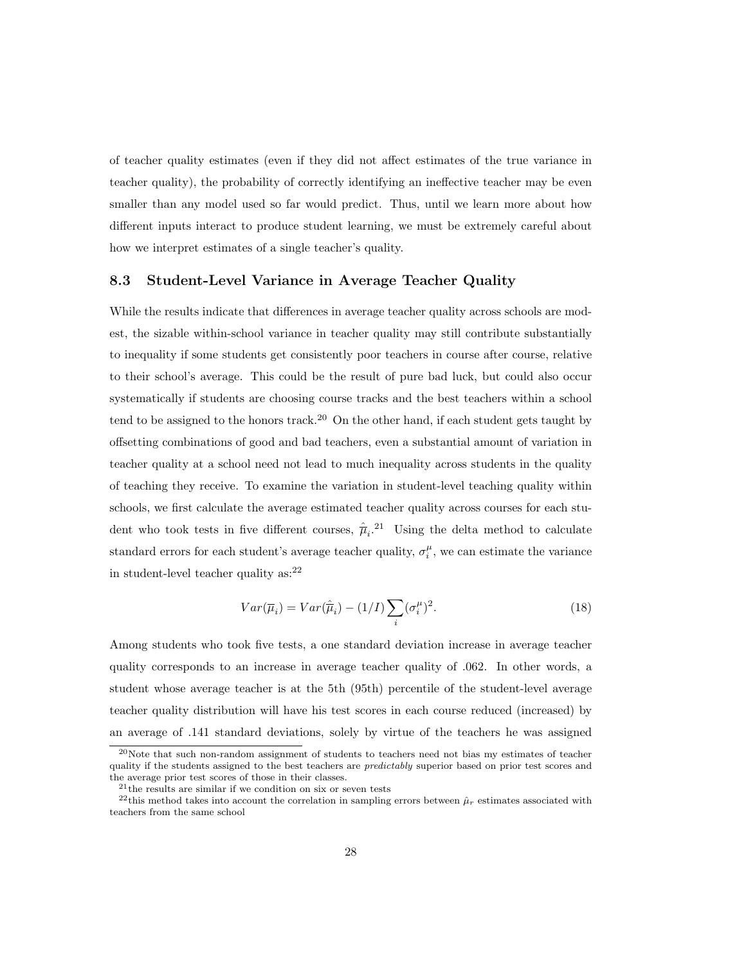of teacher quality estimates (even if they did not affect estimates of the true variance in teacher quality), the probability of correctly identifying an ineffective teacher may be even smaller than any model used so far would predict. Thus, until we learn more about how different inputs interact to produce student learning, we must be extremely careful about how we interpret estimates of a single teacher's quality.

#### 8.3 Student-Level Variance in Average Teacher Quality

While the results indicate that differences in average teacher quality across schools are modest, the sizable within-school variance in teacher quality may still contribute substantially to inequality if some students get consistently poor teachers in course after course, relative to their school's average. This could be the result of pure bad luck, but could also occur systematically if students are choosing course tracks and the best teachers within a school tend to be assigned to the honors track.<sup>20</sup> On the other hand, if each student gets taught by offsetting combinations of good and bad teachers, even a substantial amount of variation in teacher quality at a school need not lead to much inequality across students in the quality of teaching they receive. To examine the variation in student-level teaching quality within schools, we first calculate the average estimated teacher quality across courses for each student who took tests in five different courses,  $\hat{\overline{\mu}}_i$ <sup>21</sup> Using the delta method to calculate standard errors for each student's average teacher quality,  $\sigma_i^{\mu}$ , we can estimate the variance in student-level teacher quality  $as:^{22}$ 

$$
Var(\overline{\mu}_i) = Var(\hat{\overline{\mu}}_i) - (1/I) \sum_i (\sigma_i^{\mu})^2.
$$
 (18)

Among students who took five tests, a one standard deviation increase in average teacher quality corresponds to an increase in average teacher quality of .062. In other words, a student whose average teacher is at the 5th (95th) percentile of the student-level average teacher quality distribution will have his test scores in each course reduced (increased) by an average of .141 standard deviations, solely by virtue of the teachers he was assigned

<sup>20</sup>Note that such non-random assignment of students to teachers need not bias my estimates of teacher quality if the students assigned to the best teachers are *predictably* superior based on prior test scores and the average prior test scores of those in their classes.

 $21$ <sup>the</sup> results are similar if we condition on six or seven tests

<sup>&</sup>lt;sup>22</sup>this method takes into account the correlation in sampling errors between  $\hat{\mu}_r$  estimates associated with teachers from the same school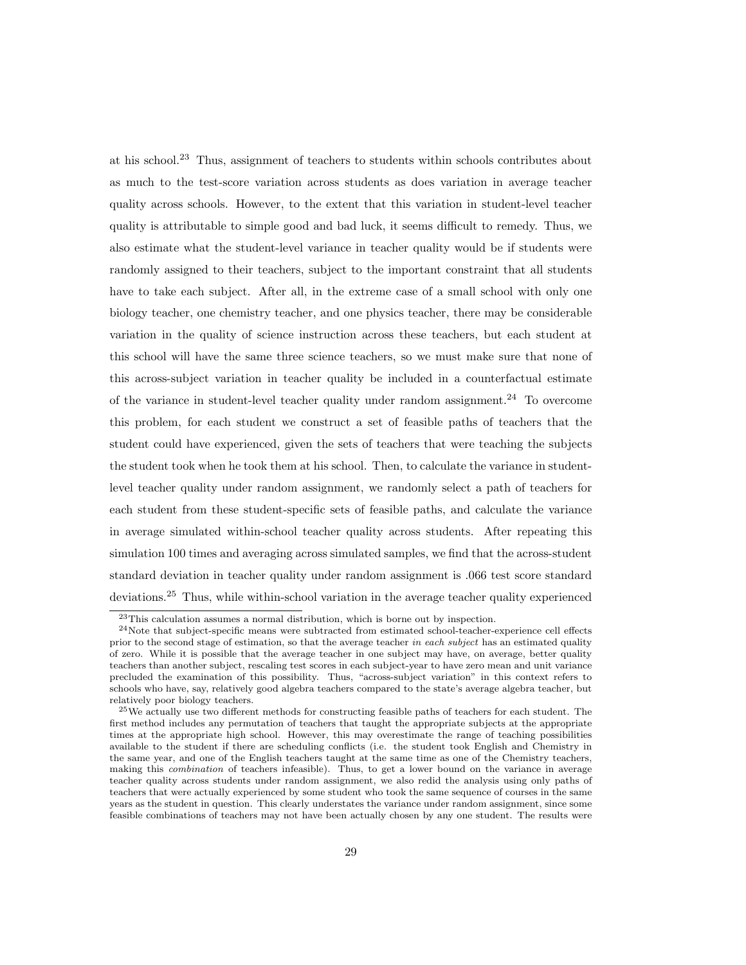at his school.<sup>23</sup> Thus, assignment of teachers to students within schools contributes about as much to the test-score variation across students as does variation in average teacher quality across schools. However, to the extent that this variation in student-level teacher quality is attributable to simple good and bad luck, it seems difficult to remedy. Thus, we also estimate what the student-level variance in teacher quality would be if students were randomly assigned to their teachers, subject to the important constraint that all students have to take each subject. After all, in the extreme case of a small school with only one biology teacher, one chemistry teacher, and one physics teacher, there may be considerable variation in the quality of science instruction across these teachers, but each student at this school will have the same three science teachers, so we must make sure that none of this across-subject variation in teacher quality be included in a counterfactual estimate of the variance in student-level teacher quality under random assignment.<sup>24</sup> To overcome this problem, for each student we construct a set of feasible paths of teachers that the student could have experienced, given the sets of teachers that were teaching the subjects the student took when he took them at his school. Then, to calculate the variance in studentlevel teacher quality under random assignment, we randomly select a path of teachers for each student from these student-specific sets of feasible paths, and calculate the variance in average simulated within-school teacher quality across students. After repeating this simulation 100 times and averaging across simulated samples, we find that the across-student standard deviation in teacher quality under random assignment is .066 test score standard deviations.<sup>25</sup> Thus, while within-school variation in the average teacher quality experienced

<sup>23</sup>This calculation assumes a normal distribution, which is borne out by inspection.

<sup>24</sup>Note that subject-specific means were subtracted from estimated school-teacher-experience cell effects prior to the second stage of estimation, so that the average teacher in each subject has an estimated quality of zero. While it is possible that the average teacher in one subject may have, on average, better quality teachers than another subject, rescaling test scores in each subject-year to have zero mean and unit variance precluded the examination of this possibility. Thus, "across-subject variation" in this context refers to schools who have, say, relatively good algebra teachers compared to the state's average algebra teacher, but relatively poor biology teachers.

<sup>&</sup>lt;sup>25</sup>We actually use two different methods for constructing feasible paths of teachers for each student. The first method includes any permutation of teachers that taught the appropriate subjects at the appropriate times at the appropriate high school. However, this may overestimate the range of teaching possibilities available to the student if there are scheduling conflicts (i.e. the student took English and Chemistry in the same year, and one of the English teachers taught at the same time as one of the Chemistry teachers, making this combination of teachers infeasible). Thus, to get a lower bound on the variance in average teacher quality across students under random assignment, we also redid the analysis using only paths of teachers that were actually experienced by some student who took the same sequence of courses in the same years as the student in question. This clearly understates the variance under random assignment, since some feasible combinations of teachers may not have been actually chosen by any one student. The results were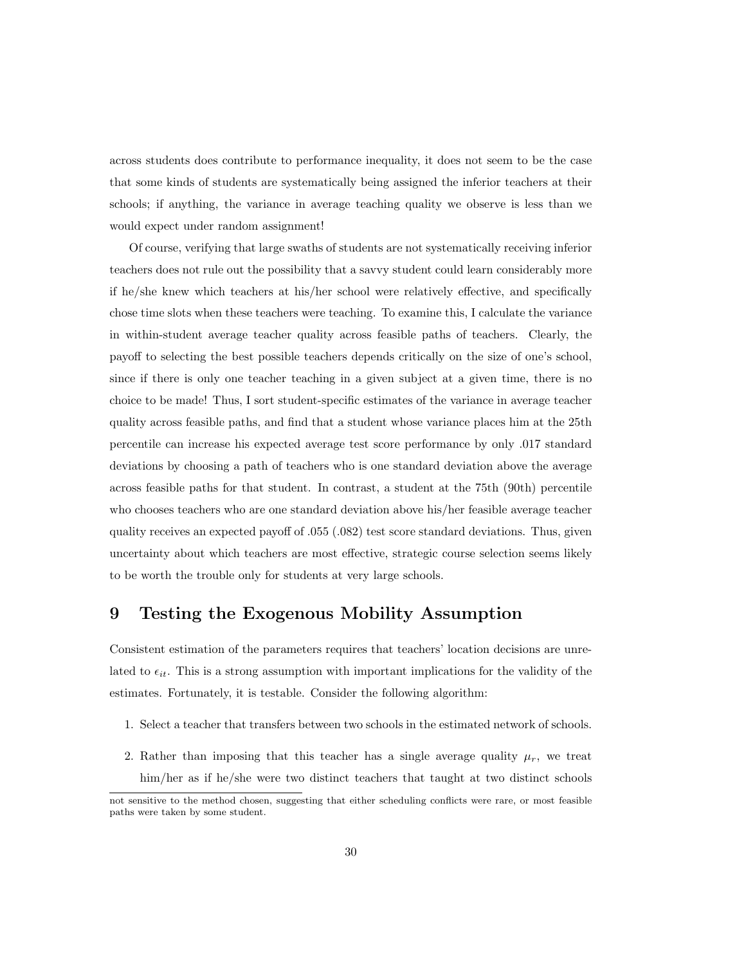across students does contribute to performance inequality, it does not seem to be the case that some kinds of students are systematically being assigned the inferior teachers at their schools; if anything, the variance in average teaching quality we observe is less than we would expect under random assignment!

Of course, verifying that large swaths of students are not systematically receiving inferior teachers does not rule out the possibility that a savvy student could learn considerably more if he/she knew which teachers at his/her school were relatively effective, and specifically chose time slots when these teachers were teaching. To examine this, I calculate the variance in within-student average teacher quality across feasible paths of teachers. Clearly, the payoff to selecting the best possible teachers depends critically on the size of one's school, since if there is only one teacher teaching in a given subject at a given time, there is no choice to be made! Thus, I sort student-specific estimates of the variance in average teacher quality across feasible paths, and find that a student whose variance places him at the 25th percentile can increase his expected average test score performance by only .017 standard deviations by choosing a path of teachers who is one standard deviation above the average across feasible paths for that student. In contrast, a student at the 75th (90th) percentile who chooses teachers who are one standard deviation above his/her feasible average teacher quality receives an expected payoff of .055 (.082) test score standard deviations. Thus, given uncertainty about which teachers are most effective, strategic course selection seems likely to be worth the trouble only for students at very large schools.

### 9 Testing the Exogenous Mobility Assumption

Consistent estimation of the parameters requires that teachers' location decisions are unrelated to  $\epsilon_{it}$ . This is a strong assumption with important implications for the validity of the estimates. Fortunately, it is testable. Consider the following algorithm:

- 1. Select a teacher that transfers between two schools in the estimated network of schools.
- 2. Rather than imposing that this teacher has a single average quality  $\mu_r$ , we treat him/her as if he/she were two distinct teachers that taught at two distinct schools

not sensitive to the method chosen, suggesting that either scheduling conflicts were rare, or most feasible paths were taken by some student.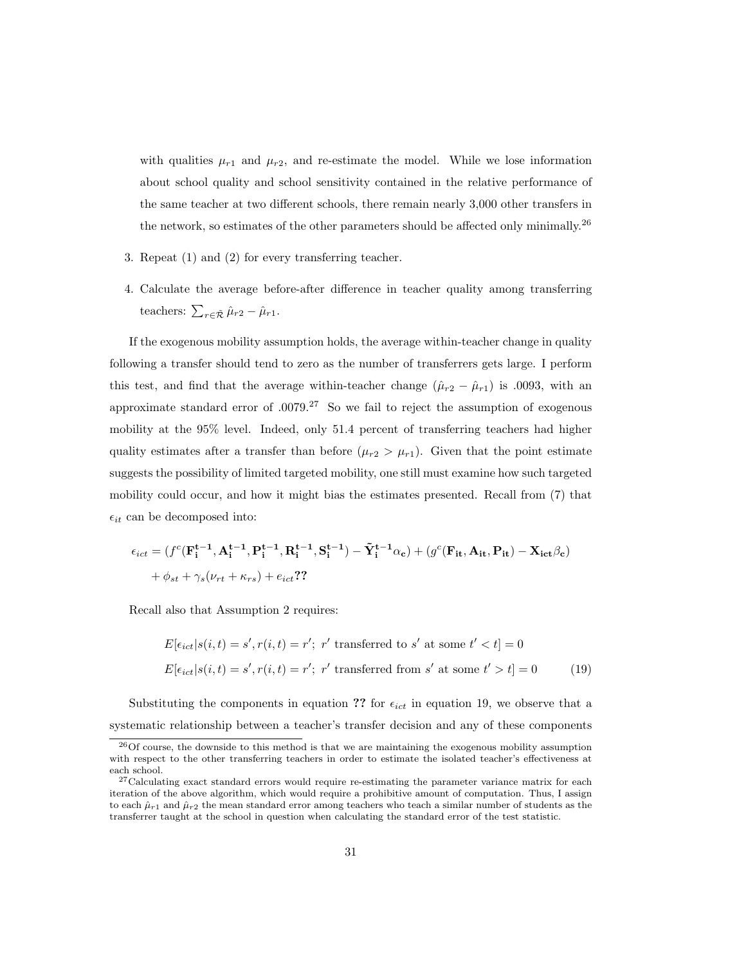with qualities  $\mu_{r1}$  and  $\mu_{r2}$ , and re-estimate the model. While we lose information about school quality and school sensitivity contained in the relative performance of the same teacher at two different schools, there remain nearly 3,000 other transfers in the network, so estimates of the other parameters should be affected only minimally.<sup>26</sup>

- 3. Repeat (1) and (2) for every transferring teacher.
- 4. Calculate the average before-after difference in teacher quality among transferring teachers:  $\sum_{r \in \tilde{\mathcal{R}}} \hat{\mu}_{r2} - \hat{\mu}_{r1}$ .

If the exogenous mobility assumption holds, the average within-teacher change in quality following a transfer should tend to zero as the number of transferrers gets large. I perform this test, and find that the average within-teacher change  $(\hat{\mu}_{r2} - \hat{\mu}_{r1})$  is .0093, with an approximate standard error of  $.0079<sup>.27</sup>$  So we fail to reject the assumption of exogenous mobility at the 95% level. Indeed, only 51.4 percent of transferring teachers had higher quality estimates after a transfer than before  $(\mu_{r2} > \mu_{r1})$ . Given that the point estimate suggests the possibility of limited targeted mobility, one still must examine how such targeted mobility could occur, and how it might bias the estimates presented. Recall from (7) that  $\epsilon_{it}$  can be decomposed into:

$$
\epsilon_{ict} = (f^c(\mathbf{F_i^{t-1}}, \mathbf{A_i^{t-1}}, \mathbf{P_i^{t-1}}, \mathbf{R_i^{t-1}}, \mathbf{S_i^{t-1}}) - \tilde{\mathbf{Y}_i^{t-1}}\alpha_c) + (g^c(\mathbf{F_{it}}, \mathbf{A_{it}}, \mathbf{P_{it}}) - \mathbf{X_{ict}}\beta_c) + \phi_{st} + \gamma_s(\nu_{rt} + \kappa_{rs}) + e_{ict}
$$
?

Recall also that Assumption 2 requires:

$$
E[\epsilon_{ict}|s(i,t) = s', r(i,t) = r'; \ r' \text{ transferred to } s' \text{ at some } t' < t] = 0
$$
  

$$
E[\epsilon_{ict}|s(i,t) = s', r(i,t) = r'; \ r' \text{ transferred from } s' \text{ at some } t' > t] = 0
$$
 (19)

Substituting the components in equation ?? for  $\epsilon_{ict}$  in equation 19, we observe that a systematic relationship between a teacher's transfer decision and any of these components

<sup>26</sup>Of course, the downside to this method is that we are maintaining the exogenous mobility assumption with respect to the other transferring teachers in order to estimate the isolated teacher's effectiveness at each school.

<sup>&</sup>lt;sup>27</sup>Calculating exact standard errors would require re-estimating the parameter variance matrix for each iteration of the above algorithm, which would require a prohibitive amount of computation. Thus, I assign to each  $\hat{\mu}_{r1}$  and  $\hat{\mu}_{r2}$  the mean standard error among teachers who teach a similar number of students as the transferrer taught at the school in question when calculating the standard error of the test statistic.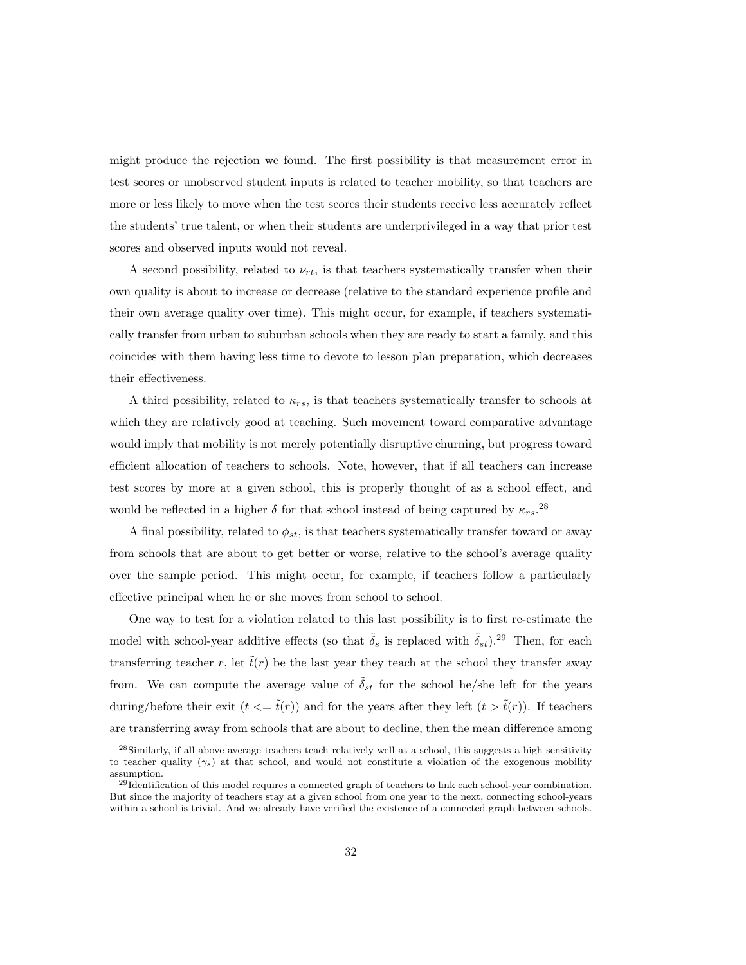might produce the rejection we found. The first possibility is that measurement error in test scores or unobserved student inputs is related to teacher mobility, so that teachers are more or less likely to move when the test scores their students receive less accurately reflect the students' true talent, or when their students are underprivileged in a way that prior test scores and observed inputs would not reveal.

A second possibility, related to  $\nu_{rt}$ , is that teachers systematically transfer when their own quality is about to increase or decrease (relative to the standard experience profile and their own average quality over time). This might occur, for example, if teachers systematically transfer from urban to suburban schools when they are ready to start a family, and this coincides with them having less time to devote to lesson plan preparation, which decreases their effectiveness.

A third possibility, related to  $\kappa_{rs}$ , is that teachers systematically transfer to schools at which they are relatively good at teaching. Such movement toward comparative advantage would imply that mobility is not merely potentially disruptive churning, but progress toward efficient allocation of teachers to schools. Note, however, that if all teachers can increase test scores by more at a given school, this is properly thought of as a school effect, and would be reflected in a higher  $\delta$  for that school instead of being captured by  $\kappa_{rs}$ .<sup>28</sup>

A final possibility, related to  $\phi_{st}$ , is that teachers systematically transfer toward or away from schools that are about to get better or worse, relative to the school's average quality over the sample period. This might occur, for example, if teachers follow a particularly effective principal when he or she moves from school to school.

One way to test for a violation related to this last possibility is to first re-estimate the model with school-year additive effects (so that  $\tilde{\delta}_s$  is replaced with  $\tilde{\delta}_{st}$ ).<sup>29</sup> Then, for each transferring teacher r, let  $\tilde{t}(r)$  be the last year they teach at the school they transfer away from. We can compute the average value of  $\tilde{\delta}_{st}$  for the school he/she left for the years during/before their exit  $(t \leq \tilde{t}(r))$  and for the years after they left  $(t \geq \tilde{t}(r))$ . If teachers are transferring away from schools that are about to decline, then the mean difference among

<sup>28</sup>Similarly, if all above average teachers teach relatively well at a school, this suggests a high sensitivity to teacher quality  $(\gamma_s)$  at that school, and would not constitute a violation of the exogenous mobility assumption.

<sup>&</sup>lt;sup>29</sup>Identification of this model requires a connected graph of teachers to link each school-year combination. But since the majority of teachers stay at a given school from one year to the next, connecting school-years within a school is trivial. And we already have verified the existence of a connected graph between schools.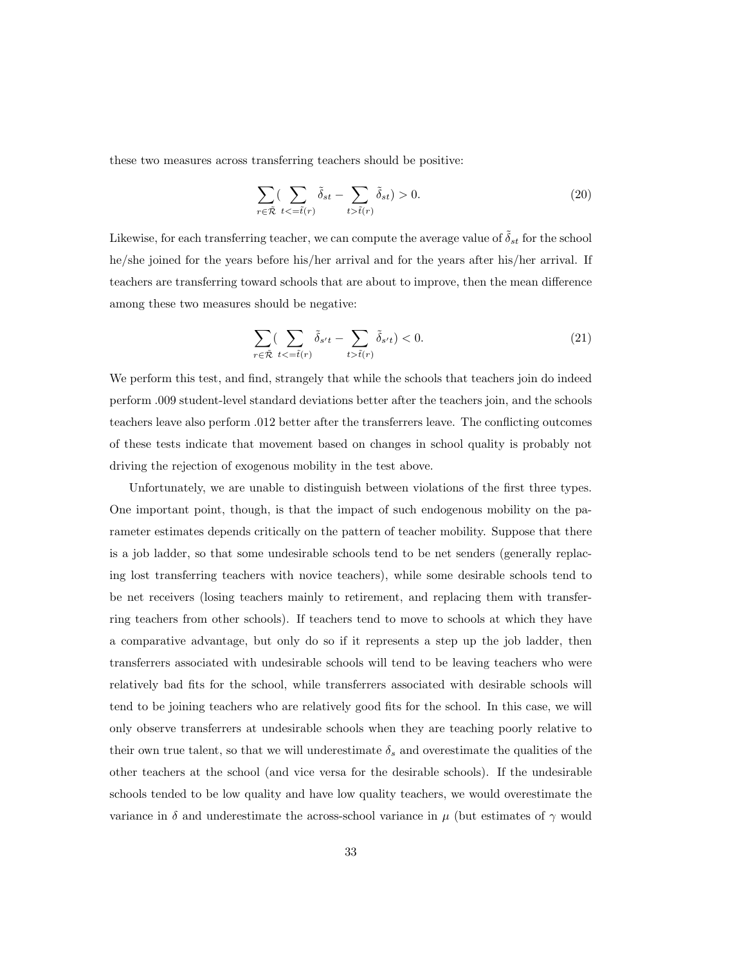these two measures across transferring teachers should be positive:

$$
\sum_{r \in \tilde{\mathcal{R}}} \left( \sum_{t < \tilde{=} \tilde{t}(r)} \tilde{\delta}_{st} - \sum_{t > \tilde{t}(r)} \tilde{\delta}_{st} \right) > 0. \tag{20}
$$

Likewise, for each transferring teacher, we can compute the average value of  $\tilde{\delta}_{st}$  for the school he/she joined for the years before his/her arrival and for the years after his/her arrival. If teachers are transferring toward schools that are about to improve, then the mean difference among these two measures should be negative:

$$
\sum_{r \in \tilde{\mathcal{R}}} \left( \sum_{t <= \tilde{t}(r)} \tilde{\delta}_{s't} - \sum_{t > \tilde{t}(r)} \tilde{\delta}_{s't} \right) < 0. \tag{21}
$$

We perform this test, and find, strangely that while the schools that teachers join do indeed perform .009 student-level standard deviations better after the teachers join, and the schools teachers leave also perform .012 better after the transferrers leave. The conflicting outcomes of these tests indicate that movement based on changes in school quality is probably not driving the rejection of exogenous mobility in the test above.

Unfortunately, we are unable to distinguish between violations of the first three types. One important point, though, is that the impact of such endogenous mobility on the parameter estimates depends critically on the pattern of teacher mobility. Suppose that there is a job ladder, so that some undesirable schools tend to be net senders (generally replacing lost transferring teachers with novice teachers), while some desirable schools tend to be net receivers (losing teachers mainly to retirement, and replacing them with transferring teachers from other schools). If teachers tend to move to schools at which they have a comparative advantage, but only do so if it represents a step up the job ladder, then transferrers associated with undesirable schools will tend to be leaving teachers who were relatively bad fits for the school, while transferrers associated with desirable schools will tend to be joining teachers who are relatively good fits for the school. In this case, we will only observe transferrers at undesirable schools when they are teaching poorly relative to their own true talent, so that we will underestimate  $\delta_s$  and overestimate the qualities of the other teachers at the school (and vice versa for the desirable schools). If the undesirable schools tended to be low quality and have low quality teachers, we would overestimate the variance in  $\delta$  and underestimate the across-school variance in  $\mu$  (but estimates of  $\gamma$  would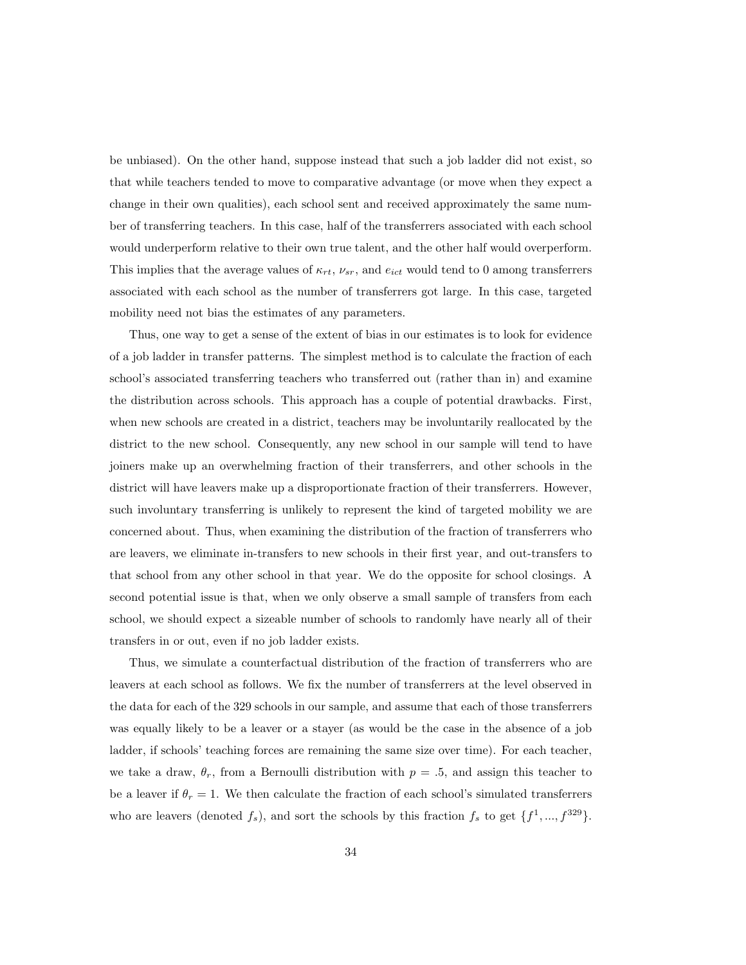be unbiased). On the other hand, suppose instead that such a job ladder did not exist, so that while teachers tended to move to comparative advantage (or move when they expect a change in their own qualities), each school sent and received approximately the same number of transferring teachers. In this case, half of the transferrers associated with each school would underperform relative to their own true talent, and the other half would overperform. This implies that the average values of  $\kappa_{rt}$ ,  $\nu_{sr}$ , and  $e_{ict}$  would tend to 0 among transferrers associated with each school as the number of transferrers got large. In this case, targeted mobility need not bias the estimates of any parameters.

Thus, one way to get a sense of the extent of bias in our estimates is to look for evidence of a job ladder in transfer patterns. The simplest method is to calculate the fraction of each school's associated transferring teachers who transferred out (rather than in) and examine the distribution across schools. This approach has a couple of potential drawbacks. First, when new schools are created in a district, teachers may be involuntarily reallocated by the district to the new school. Consequently, any new school in our sample will tend to have joiners make up an overwhelming fraction of their transferrers, and other schools in the district will have leavers make up a disproportionate fraction of their transferrers. However, such involuntary transferring is unlikely to represent the kind of targeted mobility we are concerned about. Thus, when examining the distribution of the fraction of transferrers who are leavers, we eliminate in-transfers to new schools in their first year, and out-transfers to that school from any other school in that year. We do the opposite for school closings. A second potential issue is that, when we only observe a small sample of transfers from each school, we should expect a sizeable number of schools to randomly have nearly all of their transfers in or out, even if no job ladder exists.

Thus, we simulate a counterfactual distribution of the fraction of transferrers who are leavers at each school as follows. We fix the number of transferrers at the level observed in the data for each of the 329 schools in our sample, and assume that each of those transferrers was equally likely to be a leaver or a stayer (as would be the case in the absence of a job ladder, if schools' teaching forces are remaining the same size over time). For each teacher, we take a draw,  $\theta_r$ , from a Bernoulli distribution with  $p = .5$ , and assign this teacher to be a leaver if  $\theta_r = 1$ . We then calculate the fraction of each school's simulated transferrers who are leavers (denoted  $f_s$ ), and sort the schools by this fraction  $f_s$  to get  $\{f^1, ..., f^{329}\}.$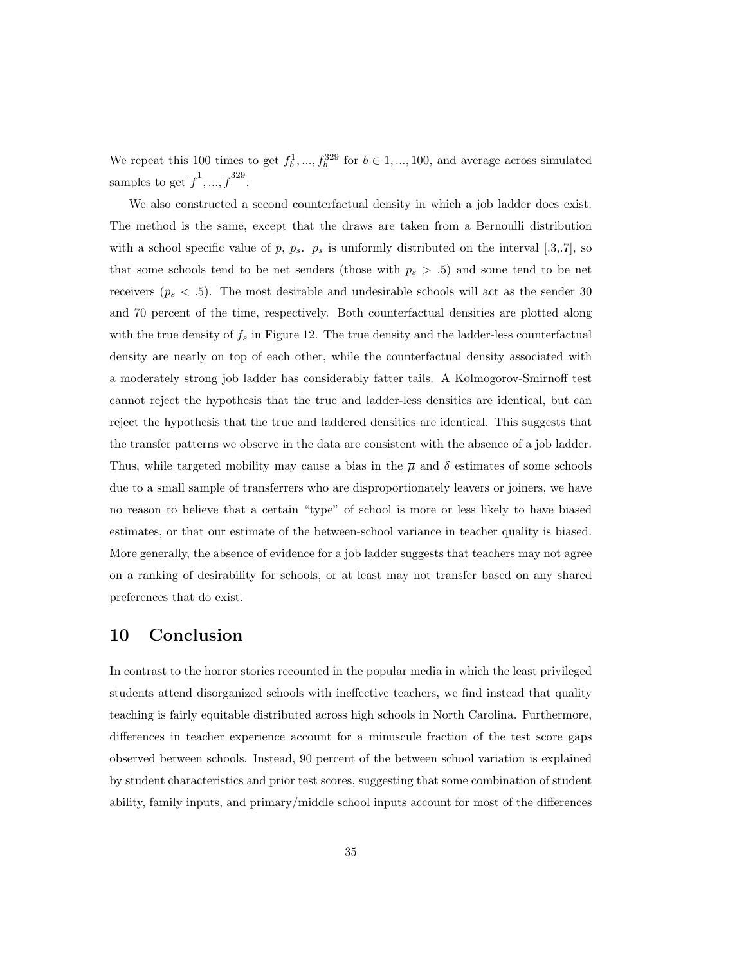We repeat this 100 times to get  $f_b^1, ..., f_b^{329}$  for  $b \in 1, ..., 100$ , and average across simulated samples to get  $\overline{f}^1, ..., \overline{f}^{329}$ .

We also constructed a second counterfactual density in which a job ladder does exist. The method is the same, except that the draws are taken from a Bernoulli distribution with a school specific value of p,  $p_s$ .  $p_s$  is uniformly distributed on the interval [.3,.7], so that some schools tend to be net senders (those with  $p_s > .5$ ) and some tend to be net receivers ( $p_s < .5$ ). The most desirable and undesirable schools will act as the sender 30 and 70 percent of the time, respectively. Both counterfactual densities are plotted along with the true density of  $f_s$  in Figure 12. The true density and the ladder-less counterfactual density are nearly on top of each other, while the counterfactual density associated with a moderately strong job ladder has considerably fatter tails. A Kolmogorov-Smirnoff test cannot reject the hypothesis that the true and ladder-less densities are identical, but can reject the hypothesis that the true and laddered densities are identical. This suggests that the transfer patterns we observe in the data are consistent with the absence of a job ladder. Thus, while targeted mobility may cause a bias in the  $\bar{\mu}$  and  $\delta$  estimates of some schools due to a small sample of transferrers who are disproportionately leavers or joiners, we have no reason to believe that a certain "type" of school is more or less likely to have biased estimates, or that our estimate of the between-school variance in teacher quality is biased. More generally, the absence of evidence for a job ladder suggests that teachers may not agree on a ranking of desirability for schools, or at least may not transfer based on any shared preferences that do exist.

## 10 Conclusion

In contrast to the horror stories recounted in the popular media in which the least privileged students attend disorganized schools with ineffective teachers, we find instead that quality teaching is fairly equitable distributed across high schools in North Carolina. Furthermore, differences in teacher experience account for a minuscule fraction of the test score gaps observed between schools. Instead, 90 percent of the between school variation is explained by student characteristics and prior test scores, suggesting that some combination of student ability, family inputs, and primary/middle school inputs account for most of the differences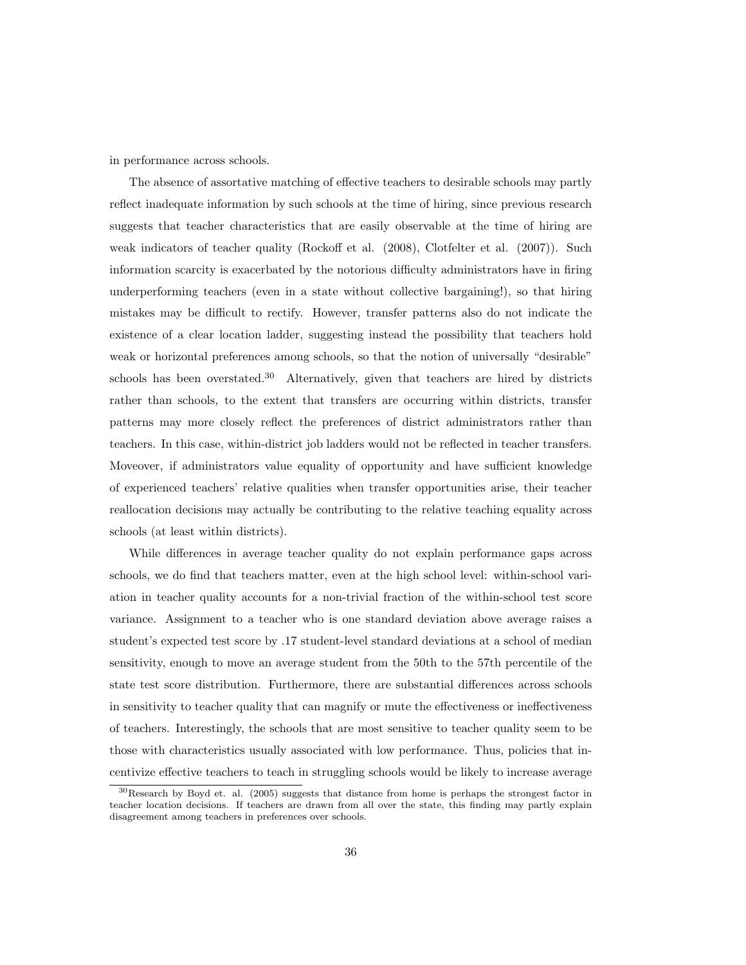in performance across schools.

The absence of assortative matching of effective teachers to desirable schools may partly reflect inadequate information by such schools at the time of hiring, since previous research suggests that teacher characteristics that are easily observable at the time of hiring are weak indicators of teacher quality (Rockoff et al. (2008), Clotfelter et al. (2007)). Such information scarcity is exacerbated by the notorious difficulty administrators have in firing underperforming teachers (even in a state without collective bargaining!), so that hiring mistakes may be difficult to rectify. However, transfer patterns also do not indicate the existence of a clear location ladder, suggesting instead the possibility that teachers hold weak or horizontal preferences among schools, so that the notion of universally "desirable" schools has been overstated.<sup>30</sup> Alternatively, given that teachers are hired by districts rather than schools, to the extent that transfers are occurring within districts, transfer patterns may more closely reflect the preferences of district administrators rather than teachers. In this case, within-district job ladders would not be reflected in teacher transfers. Moveover, if administrators value equality of opportunity and have sufficient knowledge of experienced teachers' relative qualities when transfer opportunities arise, their teacher reallocation decisions may actually be contributing to the relative teaching equality across schools (at least within districts).

While differences in average teacher quality do not explain performance gaps across schools, we do find that teachers matter, even at the high school level: within-school variation in teacher quality accounts for a non-trivial fraction of the within-school test score variance. Assignment to a teacher who is one standard deviation above average raises a student's expected test score by .17 student-level standard deviations at a school of median sensitivity, enough to move an average student from the 50th to the 57th percentile of the state test score distribution. Furthermore, there are substantial differences across schools in sensitivity to teacher quality that can magnify or mute the effectiveness or ineffectiveness of teachers. Interestingly, the schools that are most sensitive to teacher quality seem to be those with characteristics usually associated with low performance. Thus, policies that incentivize effective teachers to teach in struggling schools would be likely to increase average

<sup>30</sup>Research by Boyd et. al. (2005) suggests that distance from home is perhaps the strongest factor in teacher location decisions. If teachers are drawn from all over the state, this finding may partly explain disagreement among teachers in preferences over schools.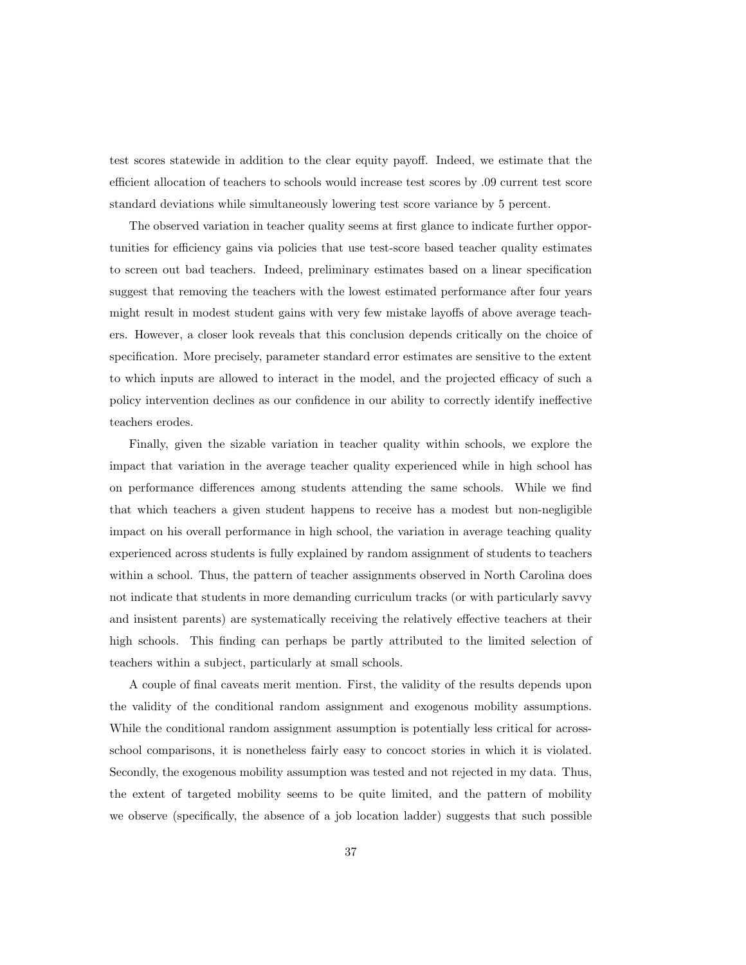test scores statewide in addition to the clear equity payoff. Indeed, we estimate that the efficient allocation of teachers to schools would increase test scores by .09 current test score standard deviations while simultaneously lowering test score variance by 5 percent.

The observed variation in teacher quality seems at first glance to indicate further opportunities for efficiency gains via policies that use test-score based teacher quality estimates to screen out bad teachers. Indeed, preliminary estimates based on a linear specification suggest that removing the teachers with the lowest estimated performance after four years might result in modest student gains with very few mistake layoffs of above average teachers. However, a closer look reveals that this conclusion depends critically on the choice of specification. More precisely, parameter standard error estimates are sensitive to the extent to which inputs are allowed to interact in the model, and the projected efficacy of such a policy intervention declines as our confidence in our ability to correctly identify ineffective teachers erodes.

Finally, given the sizable variation in teacher quality within schools, we explore the impact that variation in the average teacher quality experienced while in high school has on performance differences among students attending the same schools. While we find that which teachers a given student happens to receive has a modest but non-negligible impact on his overall performance in high school, the variation in average teaching quality experienced across students is fully explained by random assignment of students to teachers within a school. Thus, the pattern of teacher assignments observed in North Carolina does not indicate that students in more demanding curriculum tracks (or with particularly savvy and insistent parents) are systematically receiving the relatively effective teachers at their high schools. This finding can perhaps be partly attributed to the limited selection of teachers within a subject, particularly at small schools.

A couple of final caveats merit mention. First, the validity of the results depends upon the validity of the conditional random assignment and exogenous mobility assumptions. While the conditional random assignment assumption is potentially less critical for acrossschool comparisons, it is nonetheless fairly easy to concoct stories in which it is violated. Secondly, the exogenous mobility assumption was tested and not rejected in my data. Thus, the extent of targeted mobility seems to be quite limited, and the pattern of mobility we observe (specifically, the absence of a job location ladder) suggests that such possible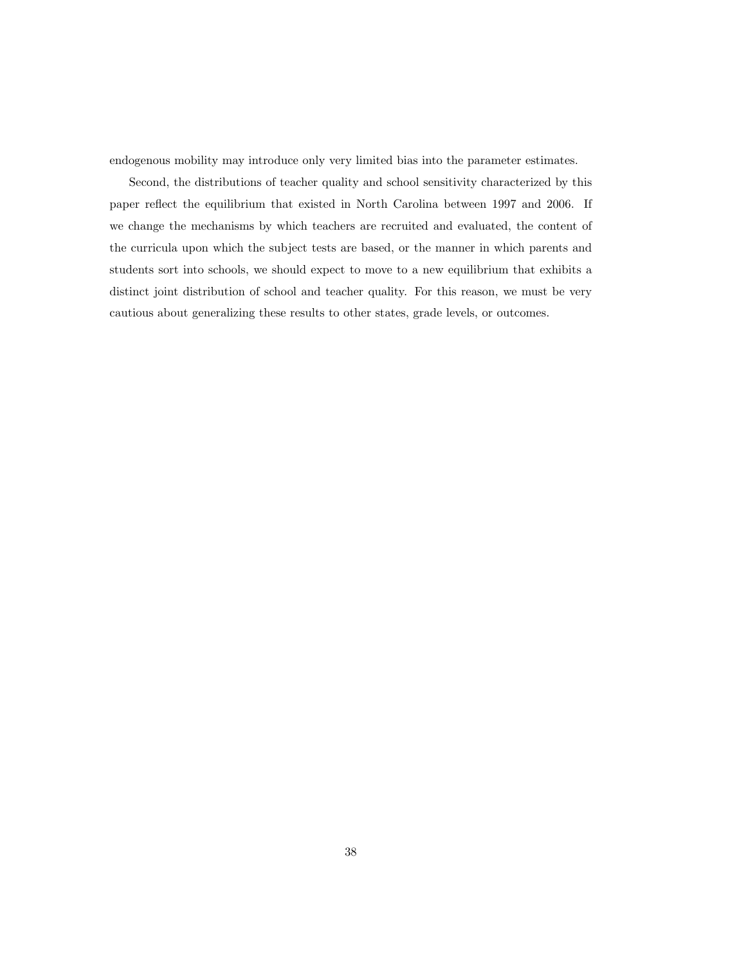endogenous mobility may introduce only very limited bias into the parameter estimates.

Second, the distributions of teacher quality and school sensitivity characterized by this paper reflect the equilibrium that existed in North Carolina between 1997 and 2006. If we change the mechanisms by which teachers are recruited and evaluated, the content of the curricula upon which the subject tests are based, or the manner in which parents and students sort into schools, we should expect to move to a new equilibrium that exhibits a distinct joint distribution of school and teacher quality. For this reason, we must be very cautious about generalizing these results to other states, grade levels, or outcomes.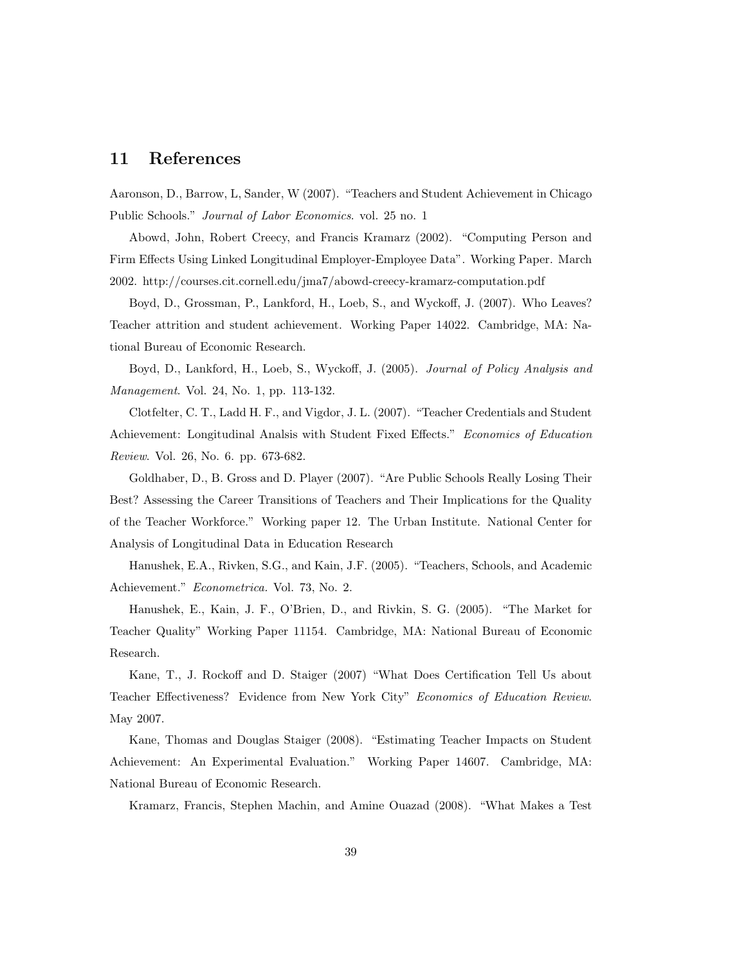## 11 References

Aaronson, D., Barrow, L, Sander, W (2007). "Teachers and Student Achievement in Chicago Public Schools." Journal of Labor Economics. vol. 25 no. 1

Abowd, John, Robert Creecy, and Francis Kramarz (2002). "Computing Person and Firm Effects Using Linked Longitudinal Employer-Employee Data". Working Paper. March 2002. http://courses.cit.cornell.edu/jma7/abowd-creecy-kramarz-computation.pdf

Boyd, D., Grossman, P., Lankford, H., Loeb, S., and Wyckoff, J. (2007). Who Leaves? Teacher attrition and student achievement. Working Paper 14022. Cambridge, MA: National Bureau of Economic Research.

Boyd, D., Lankford, H., Loeb, S., Wyckoff, J. (2005). Journal of Policy Analysis and Management. Vol. 24, No. 1, pp. 113-132.

Clotfelter, C. T., Ladd H. F., and Vigdor, J. L. (2007). "Teacher Credentials and Student Achievement: Longitudinal Analsis with Student Fixed Effects." Economics of Education Review. Vol. 26, No. 6. pp. 673-682.

Goldhaber, D., B. Gross and D. Player (2007). "Are Public Schools Really Losing Their Best? Assessing the Career Transitions of Teachers and Their Implications for the Quality of the Teacher Workforce." Working paper 12. The Urban Institute. National Center for Analysis of Longitudinal Data in Education Research

Hanushek, E.A., Rivken, S.G., and Kain, J.F. (2005). "Teachers, Schools, and Academic Achievement." Econometrica. Vol. 73, No. 2.

Hanushek, E., Kain, J. F., O'Brien, D., and Rivkin, S. G. (2005). "The Market for Teacher Quality" Working Paper 11154. Cambridge, MA: National Bureau of Economic Research.

Kane, T., J. Rockoff and D. Staiger (2007) "What Does Certification Tell Us about Teacher Effectiveness? Evidence from New York City" Economics of Education Review. May 2007.

Kane, Thomas and Douglas Staiger (2008). "Estimating Teacher Impacts on Student Achievement: An Experimental Evaluation." Working Paper 14607. Cambridge, MA: National Bureau of Economic Research.

Kramarz, Francis, Stephen Machin, and Amine Ouazad (2008). "What Makes a Test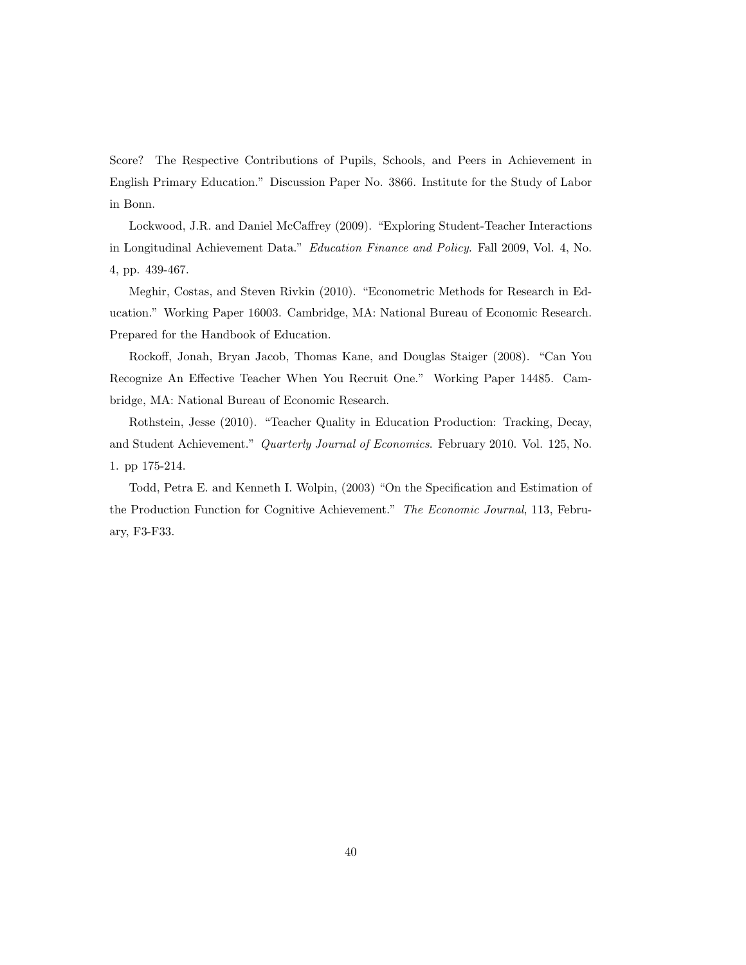Score? The Respective Contributions of Pupils, Schools, and Peers in Achievement in English Primary Education." Discussion Paper No. 3866. Institute for the Study of Labor in Bonn.

Lockwood, J.R. and Daniel McCaffrey (2009). "Exploring Student-Teacher Interactions in Longitudinal Achievement Data." Education Finance and Policy. Fall 2009, Vol. 4, No. 4, pp. 439-467.

Meghir, Costas, and Steven Rivkin (2010). "Econometric Methods for Research in Education." Working Paper 16003. Cambridge, MA: National Bureau of Economic Research. Prepared for the Handbook of Education.

Rockoff, Jonah, Bryan Jacob, Thomas Kane, and Douglas Staiger (2008). "Can You Recognize An Effective Teacher When You Recruit One." Working Paper 14485. Cambridge, MA: National Bureau of Economic Research.

Rothstein, Jesse (2010). "Teacher Quality in Education Production: Tracking, Decay, and Student Achievement." Quarterly Journal of Economics. February 2010. Vol. 125, No. 1. pp 175-214.

Todd, Petra E. and Kenneth I. Wolpin, (2003) "On the Specification and Estimation of the Production Function for Cognitive Achievement." The Economic Journal, 113, February, F3-F33.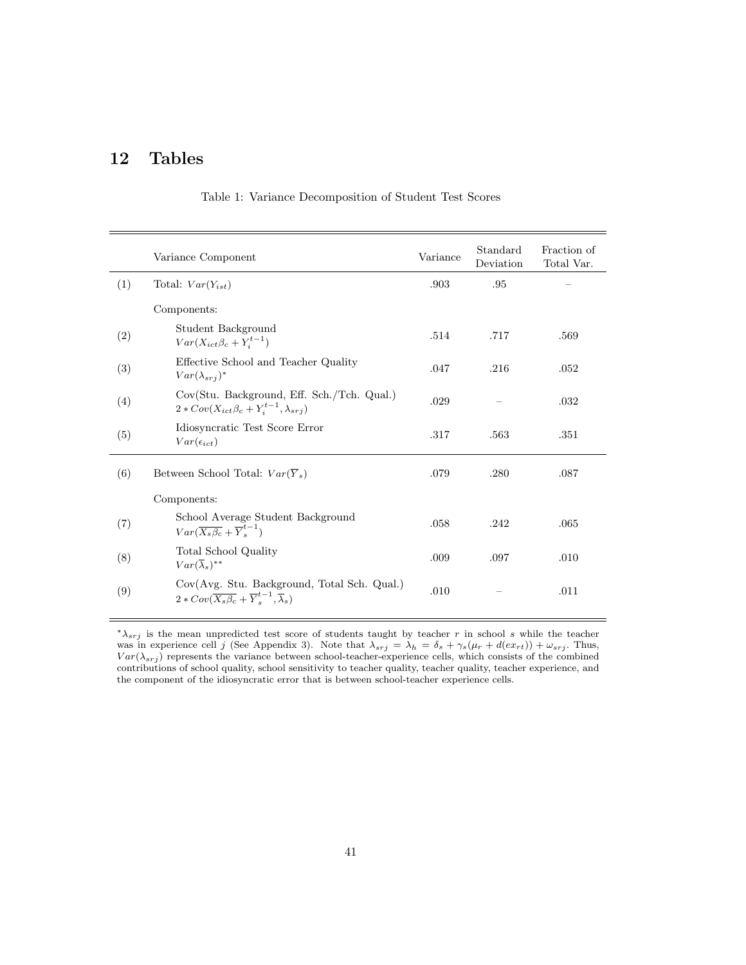# 12 Tables

|     | Variance Component                                                                                                            | Variance | Standard<br>Deviation | Fraction of<br>Total Var. |
|-----|-------------------------------------------------------------------------------------------------------------------------------|----------|-----------------------|---------------------------|
| (1) | Total: $Var(Y_{ist})$                                                                                                         | .903     | .95                   |                           |
|     | Components:                                                                                                                   |          |                       |                           |
| (2) | Student Background<br>$Var(X_{ict}\beta_c + Y_i^{t-1})$                                                                       | .514     | .717                  | .569                      |
| (3) | Effective School and Teacher Quality<br>$Var(\lambda_{srj})^*$                                                                | .047     | .216                  | .052                      |
| (4) | Cov(Stu. Background, Eff. Sch./Tch. Qual.)<br>$2 * Cov(X_{ict} \beta_c + Y_i^{t-1}, \lambda_{srj})$                           | .029     |                       | .032                      |
| (5) | Idiosyncratic Test Score Error<br>$Var(\epsilon_{ict})$                                                                       | .317     | .563                  | .351                      |
| (6) | Between School Total: $Var(\overline{Y}_s)$                                                                                   | .079     | .280                  | .087                      |
|     | Components:                                                                                                                   |          |                       |                           |
| (7) | School Average Student Background<br>$Var(\overline{X_s\beta_c} + \overline{Y}_s^{t-1})$                                      | .058     | .242                  | .065                      |
| (8) | Total School Quality<br>$Var(\overline{\lambda}_s)^{**}$                                                                      | .009     | .097                  | .010                      |
| (9) | Cov(Avg. Stu. Background, Total Sch. Qual.)<br>$2 * Cov(\overline{X_s \beta_c} + \overline{Y}_s^{t-1}, \overline{\lambda}_s)$ | .010     |                       | .011                      |

Table 1: Variance Decomposition of Student Test Scores

 $*λ<sub>srj</sub>$  is the mean unpredicted test score of students taught by teacher r in school s while the teacher was in experience cell j (See Appendix 3). Note that  $\lambda_{srj} = \lambda_h = \delta_s + \gamma_s(\mu_r + d(ex_{rt})) + \omega_{srj}$ . Thus,  $Var(\lambda_{srj})$  represents the variance between school-teacher-experience cells, which consists of the combined contributions of school quality, school sensitivity to teacher quality, teacher quality, teacher experience, and the component of the idiosyncratic error that is between school-teacher experience cells.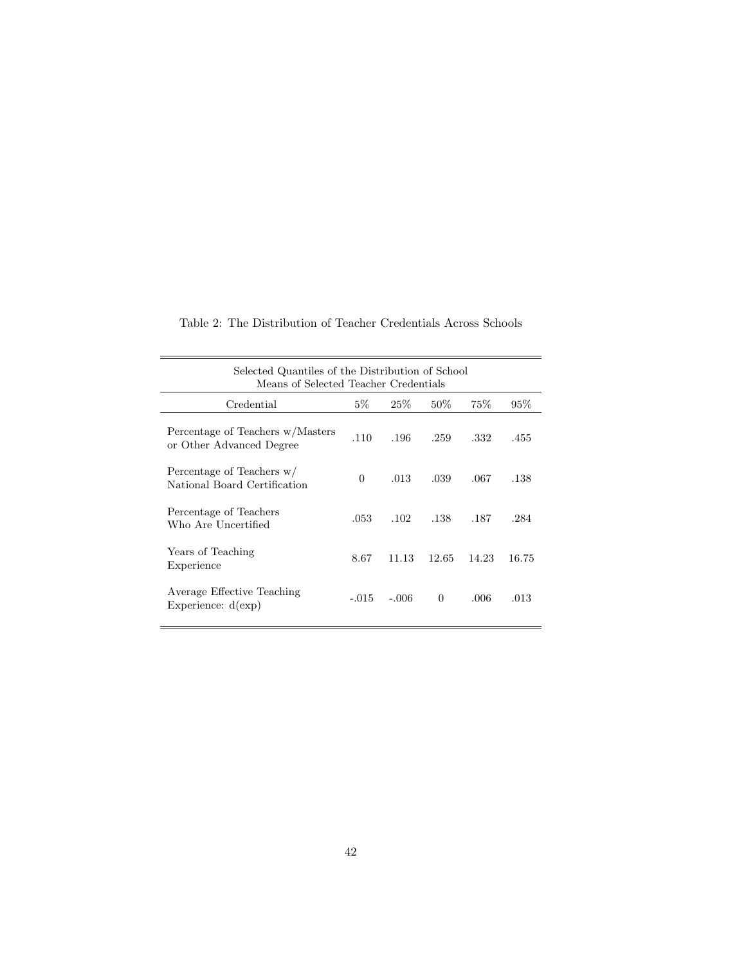| Selected Quantiles of the Distribution of School<br>Means of Selected Teacher Credentials |          |         |          |       |       |  |  |  |  |
|-------------------------------------------------------------------------------------------|----------|---------|----------|-------|-------|--|--|--|--|
| Credential                                                                                | $5\%$    | $25\%$  | $50\%$   | 75\%  | 95%   |  |  |  |  |
| Percentage of Teachers w/Masters<br>or Other Advanced Degree                              | .110     | .196    | .259     | .332  | .455  |  |  |  |  |
| Percentage of Teachers w/<br>National Board Certification                                 | $\Omega$ | .013    | .039     | .067  | .138  |  |  |  |  |
| Percentage of Teachers<br>Who Are Uncertified                                             | .053     | .102    | .138     | .187  | .284  |  |  |  |  |
| Years of Teaching<br>Experience                                                           | 8.67     | 11.13   | 12.65    | 14.23 | 16.75 |  |  |  |  |
| Average Effective Teaching<br>Experience: $d(exp)$                                        | $-.015$  | $-.006$ | $\Omega$ | .006  | .013  |  |  |  |  |

ċ

Table 2: The Distribution of Teacher Credentials Across Schools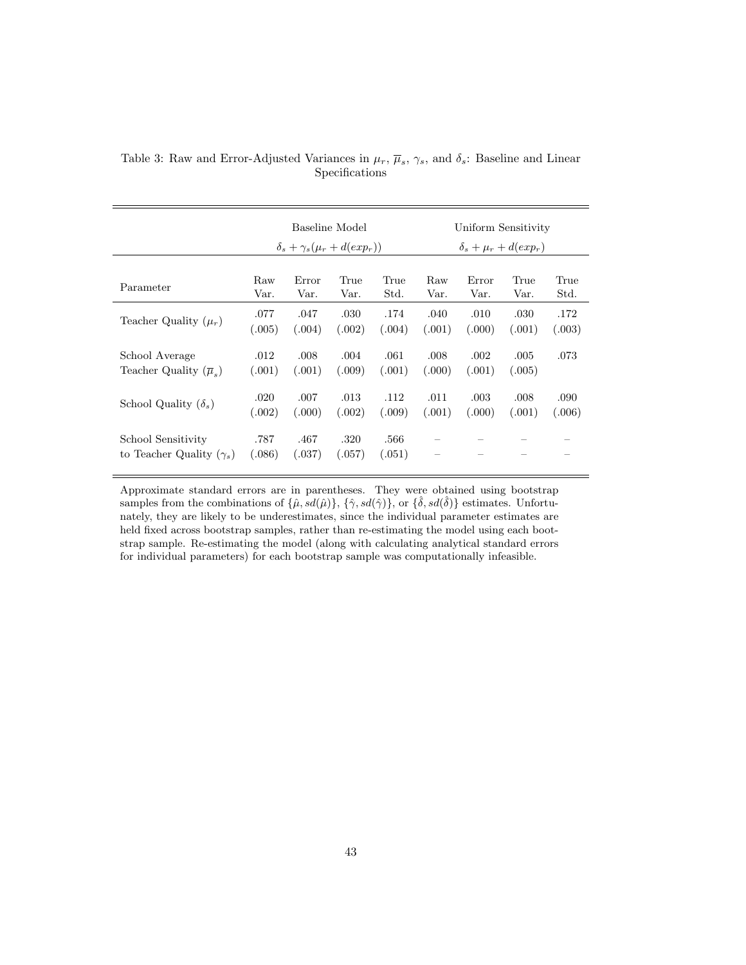|                                                       | Baseline Model<br>$\delta_s + \gamma_s(\mu_r + d(exp_r))$ |                |                |                | Uniform Sensitivity<br>$\delta_s + \mu_r + d(exp_r)$ |        |        |        |  |
|-------------------------------------------------------|-----------------------------------------------------------|----------------|----------------|----------------|------------------------------------------------------|--------|--------|--------|--|
| Parameter                                             | Raw                                                       | Error          | True           | True           | Raw                                                  | Error  | True   | True   |  |
|                                                       | Var.                                                      | Var.           | Var.           | Std.           | Var.                                                 | Var.   | Var.   | Std.   |  |
| Teacher Quality $(\mu_r)$                             | .077                                                      | .047           | .030           | .174           | .040                                                 | .010   | .030   | .172   |  |
|                                                       | (.005)                                                    | (.004)         | (.002)         | (.004)         | (.001)                                               | (.000) | (.001) | (.003) |  |
| School Average                                        | .012                                                      | .008           | .004           | .061           | .008                                                 | .002   | .005   | .073   |  |
| Teacher Quality $(\overline{\mu}_e)$                  | (.001)                                                    | (.001)         | (.009)         | (.001)         | (.000)                                               | (.001) | (.005) |        |  |
| School Quality $(\delta_s)$                           | .020                                                      | .007           | .013           | .112           | .011                                                 | .003   | .008   | .090   |  |
|                                                       | (.002)                                                    | (.000)         | (.002)         | (.009)         | (.001)                                               | (.000) | (.001) | (.006) |  |
| School Sensitivity<br>to Teacher Quality $(\gamma_s)$ | .787<br>(.086)                                            | .467<br>(.037) | .320<br>(.057) | .566<br>(.051) | —                                                    |        |        |        |  |

Table 3: Raw and Error-Adjusted Variances in  $\mu_r$ ,  $\overline{\mu}_s$ ,  $\gamma_s$ , and  $\delta_s$ : Baseline and Linear Specifications

Approximate standard errors are in parentheses. They were obtained using bootstrap samples from the combinations of  $\{\hat{\mu}, sd(\hat{\mu})\}, \{\hat{\gamma}, sd(\hat{\gamma})\}, \text{or } \{\hat{\delta}, sd(\hat{\delta})\}$  estimates. Unfortunately, they are likely to be underestimates, since the individual parameter estimates are held fixed across bootstrap samples, rather than re-estimating the model using each bootstrap sample. Re-estimating the model (along with calculating analytical standard errors for individual parameters) for each bootstrap sample was computationally infeasible.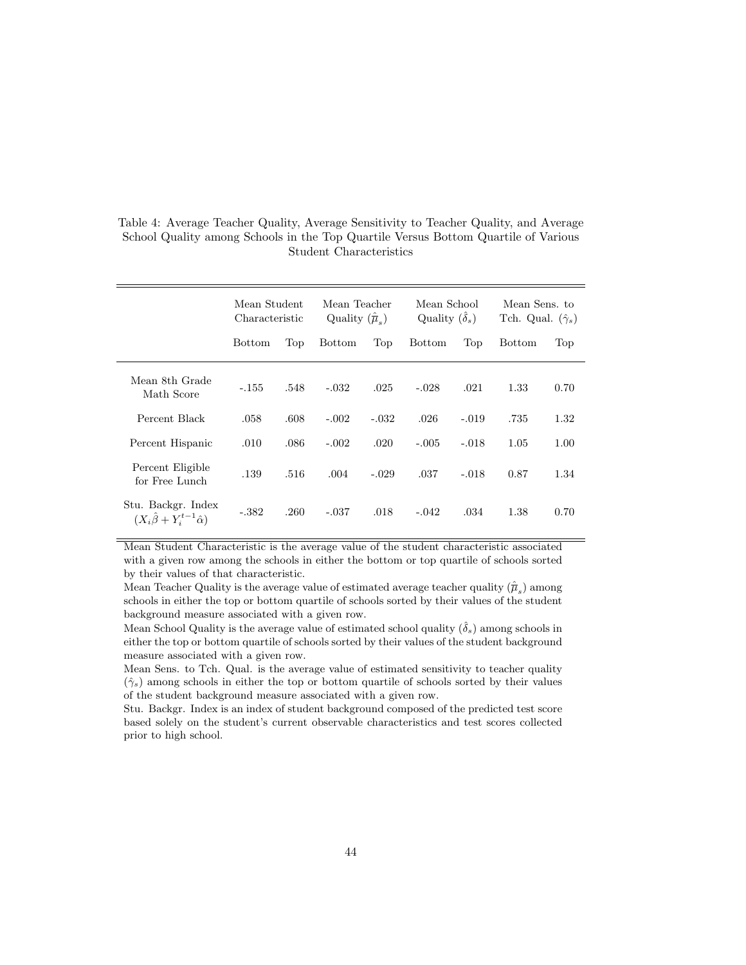|                                                                   | Mean Student<br>Characteristic |      | Mean Teacher<br>Quality $(\hat{\overline{\mu}}_s)$ |         | Mean School<br>Quality $(\delta_s)$ |         | Mean Sens. to<br>Tch. Qual. $(\hat{\gamma}_s)$ |      |
|-------------------------------------------------------------------|--------------------------------|------|----------------------------------------------------|---------|-------------------------------------|---------|------------------------------------------------|------|
|                                                                   | <b>Bottom</b>                  | Top  | <b>Bottom</b>                                      | Top     | <b>Bottom</b>                       | Top     | <b>Bottom</b>                                  | Top  |
| Mean 8th Grade<br>Math Score                                      | $-.155$                        | .548 | $-.032$                                            | .025    | $-.028$                             | .021    | 1.33                                           | 0.70 |
| Percent Black                                                     | .058                           | .608 | $-.002$                                            | $-.032$ | .026                                | $-.019$ | .735                                           | 1.32 |
| Percent Hispanic                                                  | .010                           | .086 | $-.002$                                            | .020    | $-.005$                             | $-.018$ | 1.05                                           | 1.00 |
| Percent Eligible<br>for Free Lunch                                | .139                           | .516 | .004                                               | $-.029$ | .037                                | $-.018$ | 0.87                                           | 1.34 |
| Stu. Backgr. Index<br>$(X_i\ddot{\beta} + Y_i^{t-1}\hat{\alpha})$ | $-.382$                        | .260 | $-.037$                                            | .018    | $-.042$                             | .034    | 1.38                                           | 0.70 |

Table 4: Average Teacher Quality, Average Sensitivity to Teacher Quality, and Average School Quality among Schools in the Top Quartile Versus Bottom Quartile of Various Student Characteristics

Mean Student Characteristic is the average value of the student characteristic associated with a given row among the schools in either the bottom or top quartile of schools sorted by their values of that characteristic.

Mean Teacher Quality is the average value of estimated average teacher quality  $(\hat{\overline{\mu}}_s)$  among schools in either the top or bottom quartile of schools sorted by their values of the student background measure associated with a given row.

Mean School Quality is the average value of estimated school quality  $(\hat{\delta}_s)$  among schools in either the top or bottom quartile of schools sorted by their values of the student background measure associated with a given row.

Mean Sens. to Tch. Qual. is the average value of estimated sensitivity to teacher quality  $(\hat{\gamma}_s)$  among schools in either the top or bottom quartile of schools sorted by their values of the student background measure associated with a given row.

Stu. Backgr. Index is an index of student background composed of the predicted test score based solely on the student's current observable characteristics and test scores collected prior to high school.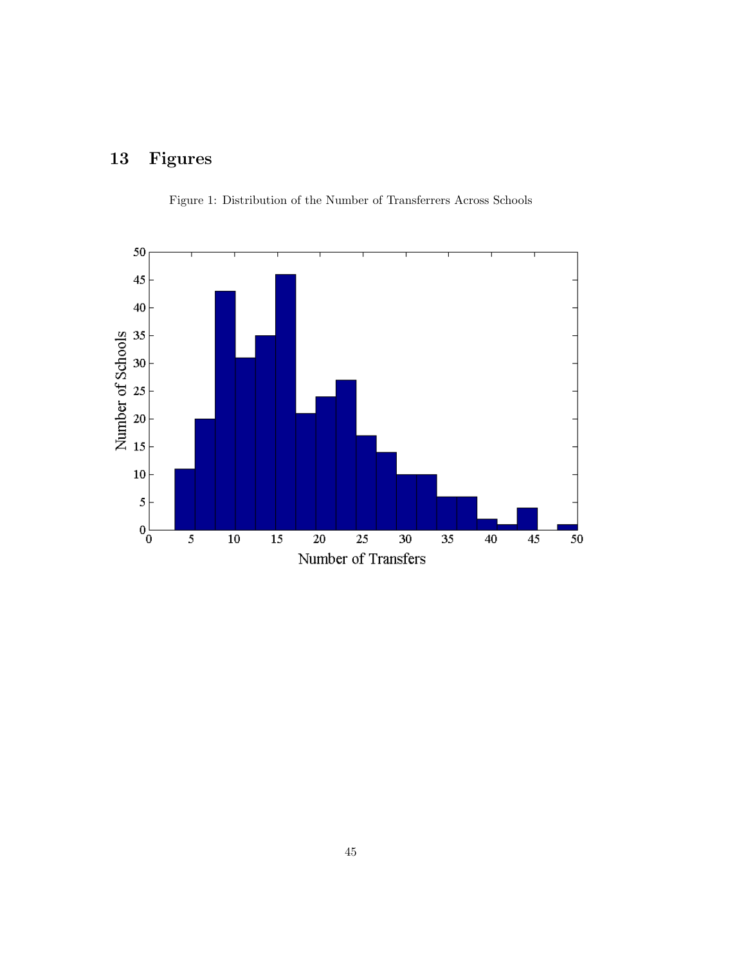# 13 Figures



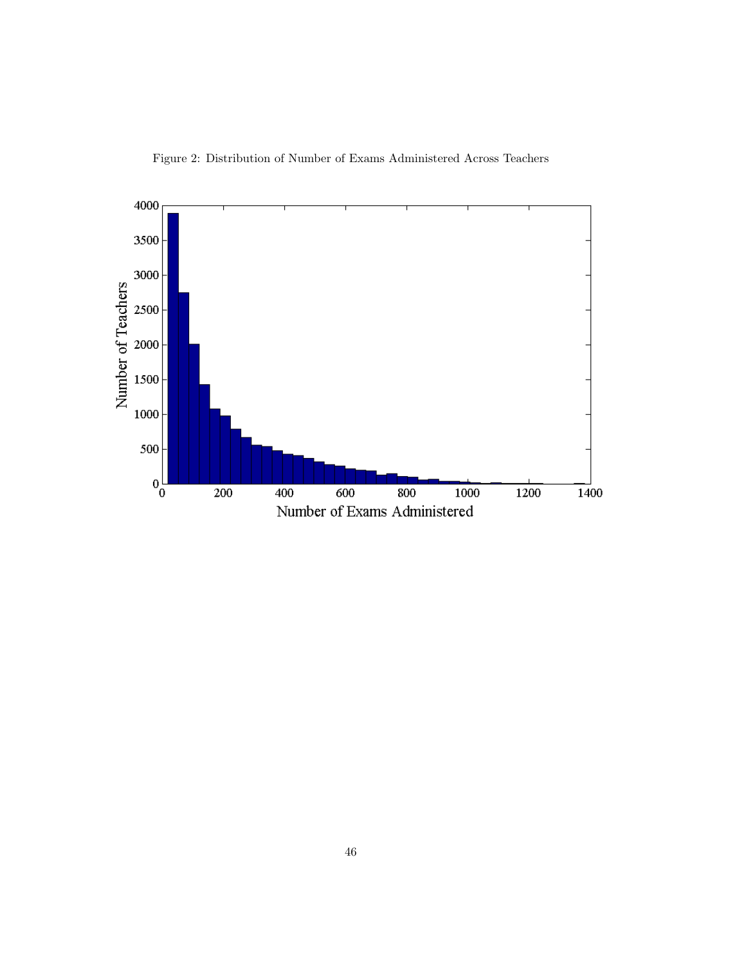Figure 2: Distribution of Number of Exams Administered Across Teachers

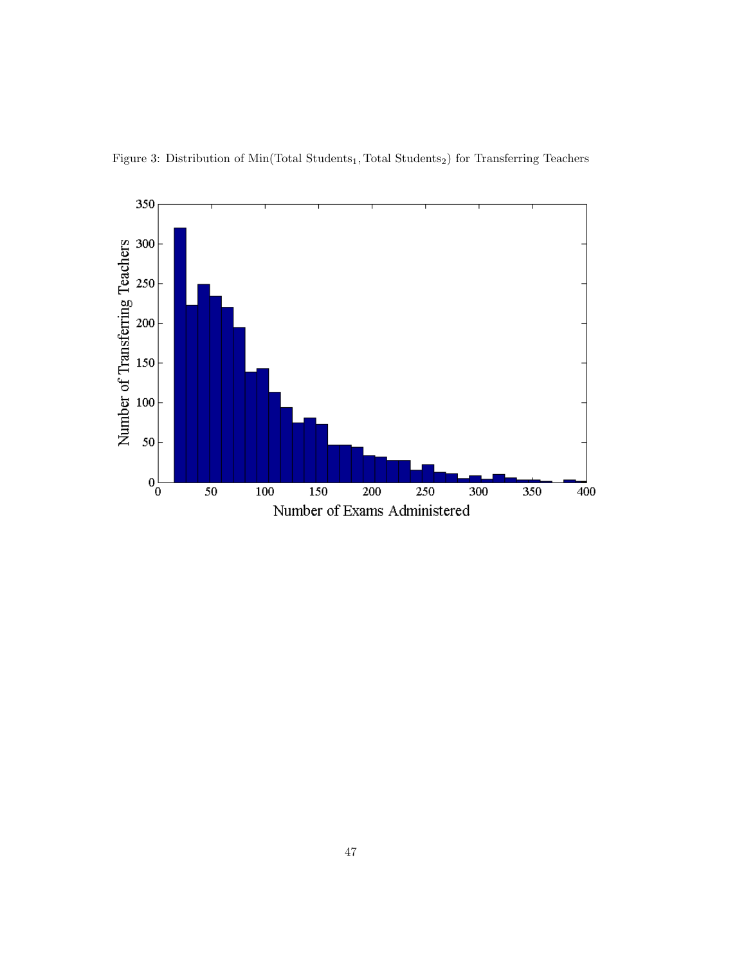

Figure 3: Distribution of  $\rm{Min}(\rm{Total\ Students}_{1}, \rm{Total\ Students}_{2})$  for  $\rm{Transferring\ Teachers}$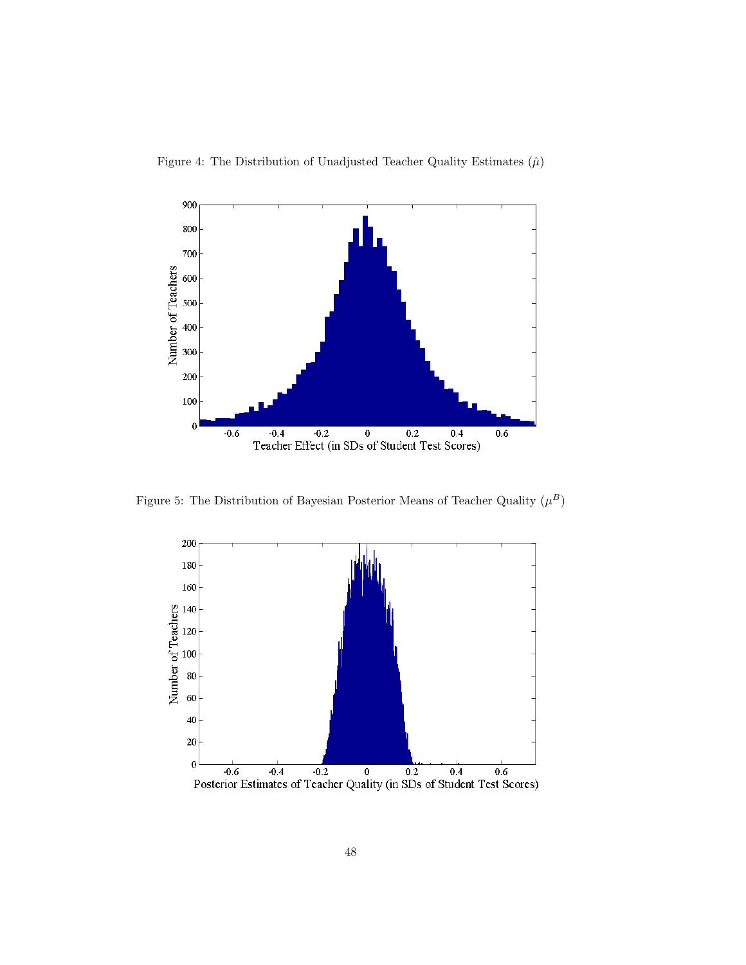



Figure 5: The Distribution of Bayesian Posterior Means of Teacher Quality  $(\mu^B)$ 

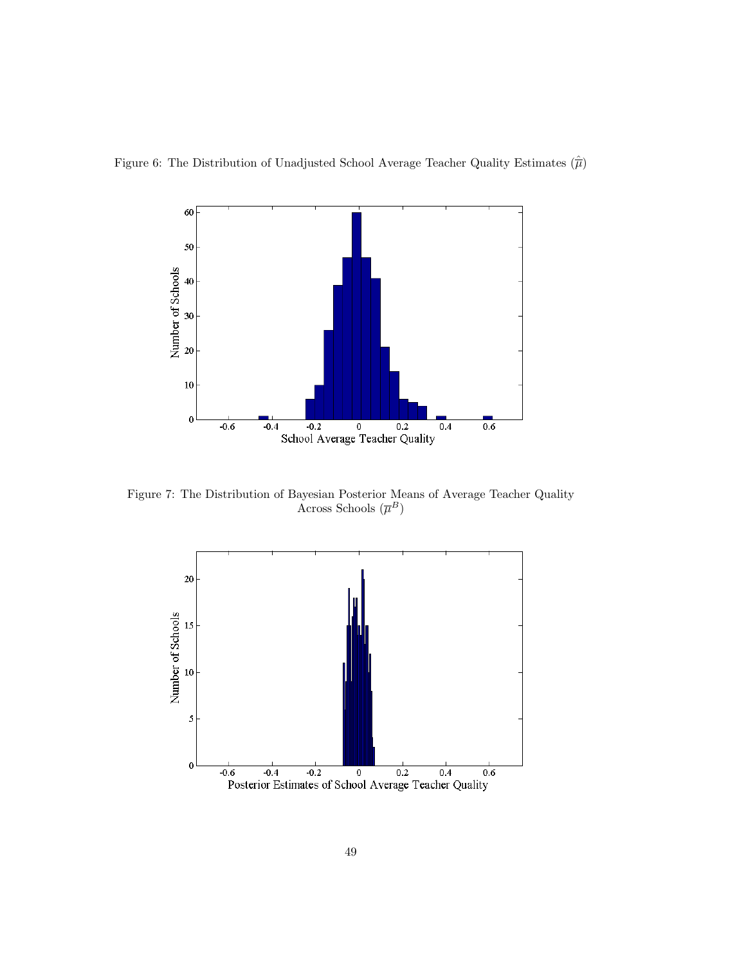



Figure 7: The Distribution of Bayesian Posterior Means of Average Teacher Quality Across Schools  $(\overline{\mu}^B)$ 

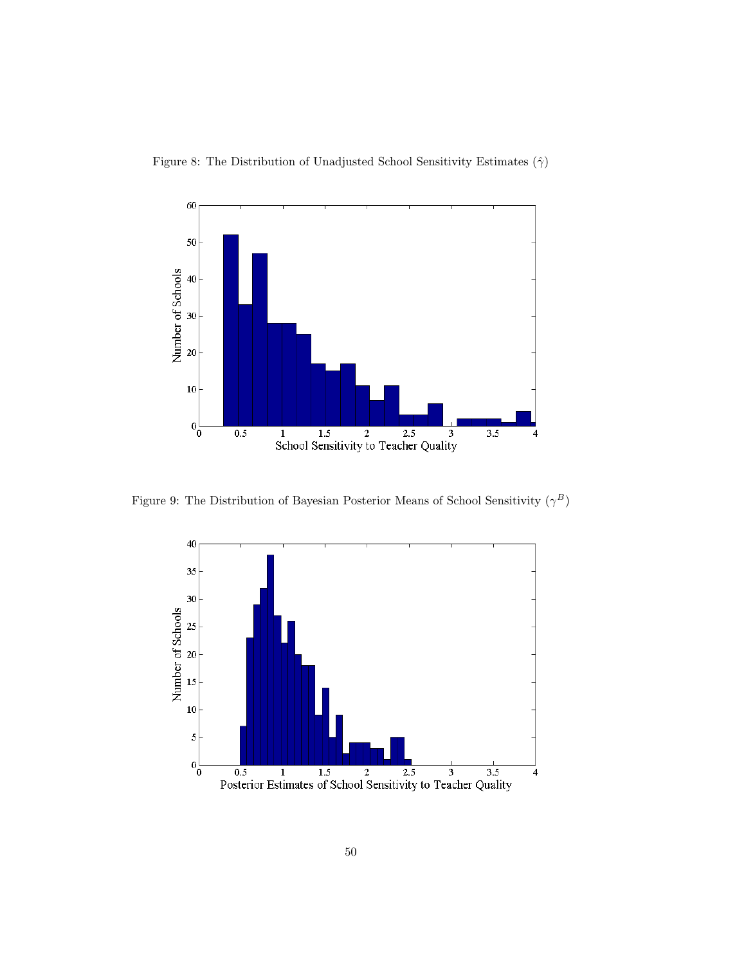



Figure 9: The Distribution of Bayesian Posterior Means of School Sensitivity  $(\gamma^B)$ 

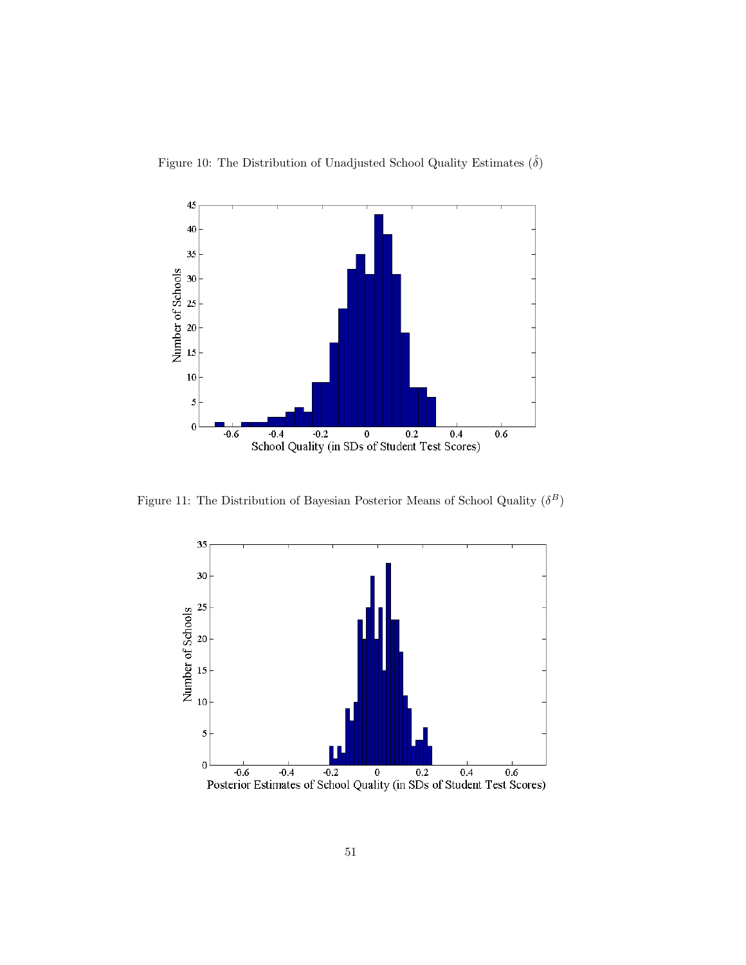Figure 10: The Distribution of Unadjusted School Quality Estimates  $(\hat{\delta})$ 



Figure 11: The Distribution of Bayesian Posterior Means of School Quality  $(\delta^B)$ 

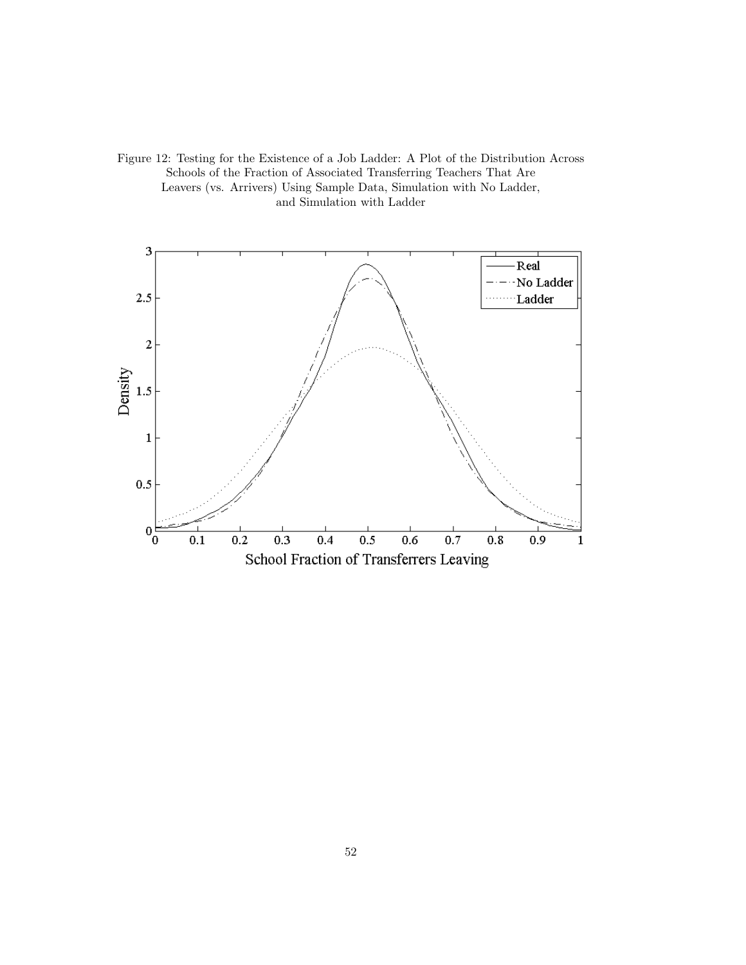Figure 12: Testing for the Existence of a Job Ladder: A Plot of the Distribution Across Schools of the Fraction of Associated Transferring Teachers That Are Leavers (vs. Arrivers) Using Sample Data, Simulation with No Ladder, and Simulation with Ladder

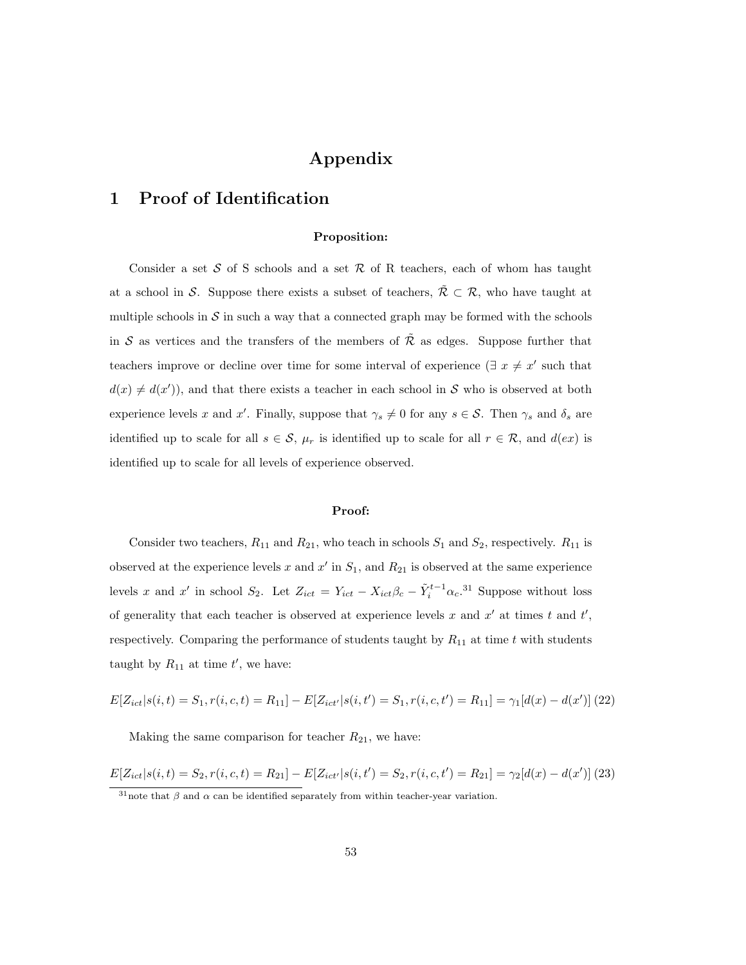# Appendix

# 1 Proof of Identification

#### Proposition:

Consider a set  $S$  of S schools and a set  $R$  of R teachers, each of whom has taught at a school in S. Suppose there exists a subset of teachers,  $\tilde{\mathcal{R}} \subset \mathcal{R}$ , who have taught at multiple schools in  $S$  in such a way that a connected graph may be formed with the schools in S as vertices and the transfers of the members of  $\tilde{\mathcal{R}}$  as edges. Suppose further that teachers improve or decline over time for some interval of experience ( $\exists x \neq x'$  such that  $d(x) \neq d(x')$ , and that there exists a teacher in each school in S who is observed at both experience levels x and x'. Finally, suppose that  $\gamma_s \neq 0$  for any  $s \in \mathcal{S}$ . Then  $\gamma_s$  and  $\delta_s$  are identified up to scale for all  $s \in \mathcal{S}$ ,  $\mu_r$  is identified up to scale for all  $r \in \mathcal{R}$ , and  $d(ex)$  is identified up to scale for all levels of experience observed.

#### Proof:

Consider two teachers,  $R_{11}$  and  $R_{21}$ , who teach in schools  $S_1$  and  $S_2$ , respectively.  $R_{11}$  is observed at the experience levels x and  $x'$  in  $S_1$ , and  $R_{21}$  is observed at the same experience levels x and x' in school  $S_2$ . Let  $Z_{ict} = Y_{ict} - X_{ict}\beta_c - \tilde{Y}_i^{t-1}\alpha_c$ .<sup>31</sup> Suppose without loss of generality that each teacher is observed at experience levels x and  $x'$  at times t and  $t'$ , respectively. Comparing the performance of students taught by  $R_{11}$  at time t with students taught by  $R_{11}$  at time  $t'$ , we have:

$$
E[Z_{ict}|s(i,t) = S_1, r(i,c,t) = R_{11}] - E[Z_{ict'}|s(i,t') = S_1, r(i,c,t') = R_{11}] = \gamma_1[d(x) - d(x')](22)
$$

Making the same comparison for teacher  $R_{21}$ , we have:

 $E[Z_{ict}|s(i,t) = S_2, r(i,c,t) = R_{21}] - E[Z_{ict'}|s(i,t') = S_2, r(i,c,t') = R_{21}] = \gamma_2[d(x) - d(x')]$  (23)

<sup>&</sup>lt;sup>31</sup>note that  $\beta$  and  $\alpha$  can be identified separately from within teacher-year variation.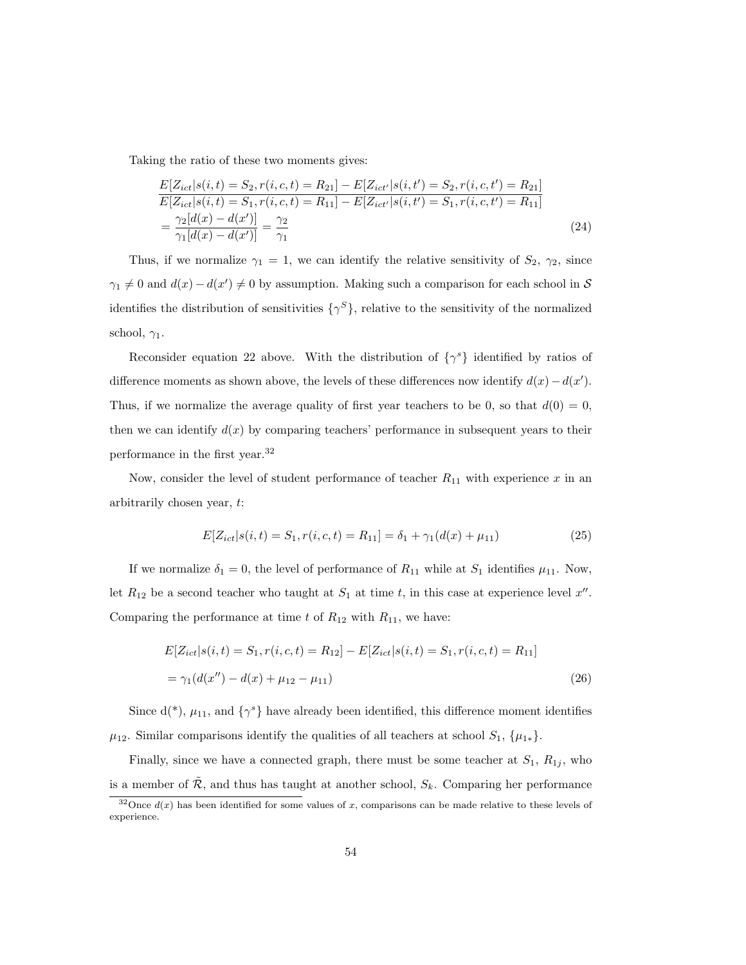Taking the ratio of these two moments gives:

$$
\frac{E[Z_{ict}|s(i,t) = S_2, r(i,c,t) = R_{21}] - E[Z_{ict'}|s(i,t') = S_2, r(i,c,t') = R_{21}]}{E[Z_{ict}|s(i,t) = S_1, r(i,c,t) = R_{11}] - E[Z_{ict'}|s(i,t') = S_1, r(i,c,t') = R_{11}]} = \frac{\gamma_2[d(x) - d(x')]}{\gamma_1[d(x) - d(x')]} = \frac{\gamma_2}{\gamma_1}
$$
\n(24)

Thus, if we normalize  $\gamma_1 = 1$ , we can identify the relative sensitivity of  $S_2$ ,  $\gamma_2$ , since  $\gamma_1 \neq 0$  and  $d(x) - d(x') \neq 0$  by assumption. Making such a comparison for each school in S identifies the distribution of sensitivities  $\{\gamma^S\}$ , relative to the sensitivity of the normalized school,  $\gamma_1$ .

Reconsider equation 22 above. With the distribution of  $\{\gamma^s\}$  identified by ratios of difference moments as shown above, the levels of these differences now identify  $d(x) - d(x')$ . Thus, if we normalize the average quality of first year teachers to be 0, so that  $d(0) = 0$ , then we can identify  $d(x)$  by comparing teachers' performance in subsequent years to their performance in the first year.<sup>32</sup>

Now, consider the level of student performance of teacher  $R_{11}$  with experience x in an arbitrarily chosen year, t:

$$
E[Z_{ict}|s(i,t) = S_1, r(i,c,t) = R_{11}] = \delta_1 + \gamma_1(d(x) + \mu_{11})
$$
\n(25)

If we normalize  $\delta_1 = 0$ , the level of performance of  $R_{11}$  while at  $S_1$  identifies  $\mu_{11}$ . Now, let  $R_{12}$  be a second teacher who taught at  $S_1$  at time t, in this case at experience level  $x''$ . Comparing the performance at time t of  $R_{12}$  with  $R_{11}$ , we have:

$$
E[Z_{ict}|s(i,t) = S_1, r(i,c,t) = R_{12}] - E[Z_{ict}|s(i,t) = S_1, r(i,c,t) = R_{11}]
$$
  
=  $\gamma_1(d(x'') - d(x) + \mu_{12} - \mu_{11})$  (26)

Since  $d(*)$ ,  $\mu_{11}$ , and  $\{\gamma^s\}$  have already been identified, this difference moment identifies  $\mu_{12}$ . Similar comparisons identify the qualities of all teachers at school  $S_1$ ,  $\{\mu_{1*}\}.$ 

Finally, since we have a connected graph, there must be some teacher at  $S_1$ ,  $R_{1j}$ , who is a member of  $\tilde{\mathcal{R}}$ , and thus has taught at another school,  $S_k$ . Comparing her performance

<sup>&</sup>lt;sup>32</sup>Once  $d(x)$  has been identified for some values of x, comparisons can be made relative to these levels of experience.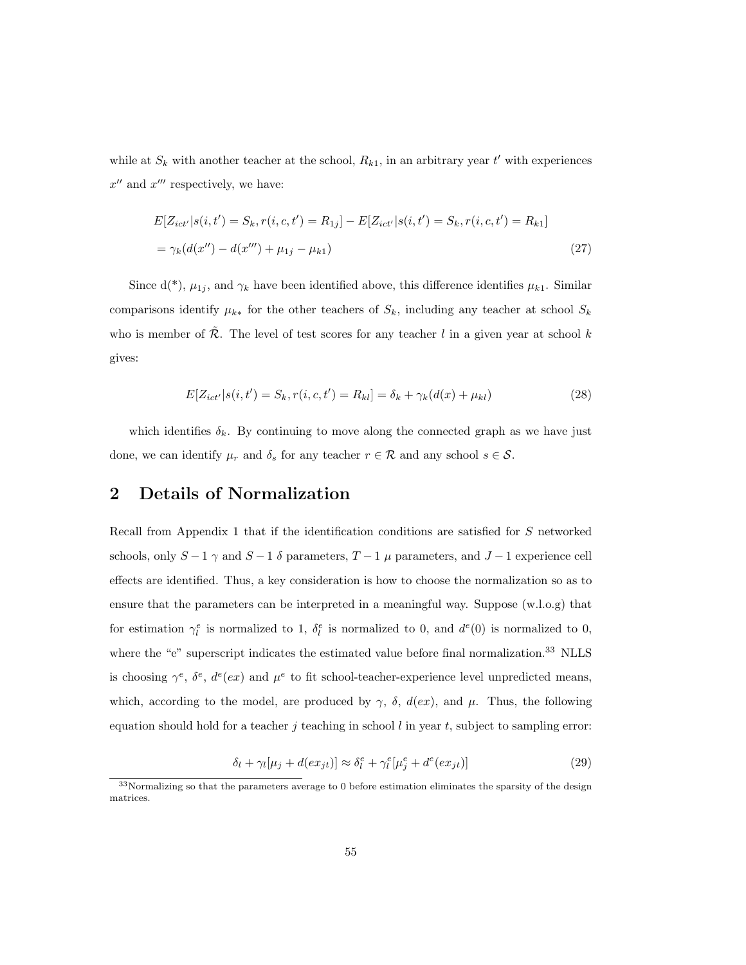while at  $S_k$  with another teacher at the school,  $R_{k1}$ , in an arbitrary year t' with experiences  $x''$  and  $x'''$  respectively, we have:

$$
E[Z_{ict'}|s(i, t') = S_k, r(i, c, t') = R_{1j}] - E[Z_{ict'}|s(i, t') = S_k, r(i, c, t') = R_{k1}]
$$
  
=  $\gamma_k(d(x'') - d(x''') + \mu_{1j} - \mu_{k1})$  (27)

Since  $d(*)$ ,  $\mu_{1j}$ , and  $\gamma_k$  have been identified above, this difference identifies  $\mu_{k1}$ . Similar comparisons identify  $\mu_{k*}$  for the other teachers of  $S_k$ , including any teacher at school  $S_k$ who is member of  $\tilde{\mathcal{R}}$ . The level of test scores for any teacher l in a given year at school k gives:

$$
E[Z_{ict'}|s(i, t') = S_k, r(i, c, t') = R_{kl}] = \delta_k + \gamma_k(d(x) + \mu_{kl})
$$
\n(28)

which identifies  $\delta_k$ . By continuing to move along the connected graph as we have just done, we can identify  $\mu_r$  and  $\delta_s$  for any teacher  $r \in \mathcal{R}$  and any school  $s \in \mathcal{S}$ .

### 2 Details of Normalization

Recall from Appendix 1 that if the identification conditions are satisfied for S networked schools, only  $S-1$   $\gamma$  and  $S-1$   $\delta$  parameters,  $T-1$   $\mu$  parameters, and  $J-1$  experience cell effects are identified. Thus, a key consideration is how to choose the normalization so as to ensure that the parameters can be interpreted in a meaningful way. Suppose (w.l.o.g) that for estimation  $\gamma_l^e$  is normalized to 1,  $\delta_l^e$  is normalized to 0, and  $d^e(0)$  is normalized to 0, where the "e" superscript indicates the estimated value before final normalization.<sup>33</sup> NLLS is choosing  $\gamma^e$ ,  $\delta^e$ ,  $d^e(ex)$  and  $\mu^e$  to fit school-teacher-experience level unpredicted means, which, according to the model, are produced by  $\gamma$ ,  $\delta$ ,  $d(ex)$ , and  $\mu$ . Thus, the following equation should hold for a teacher j teaching in school l in year t, subject to sampling error:

$$
\delta_l + \gamma_l[\mu_j + d(ex_{jt})] \approx \delta_l^e + \gamma_l^e[\mu_j^e + d^e(ex_{jt})]
$$
\n(29)

<sup>&</sup>lt;sup>33</sup>Normalizing so that the parameters average to 0 before estimation eliminates the sparsity of the design matrices.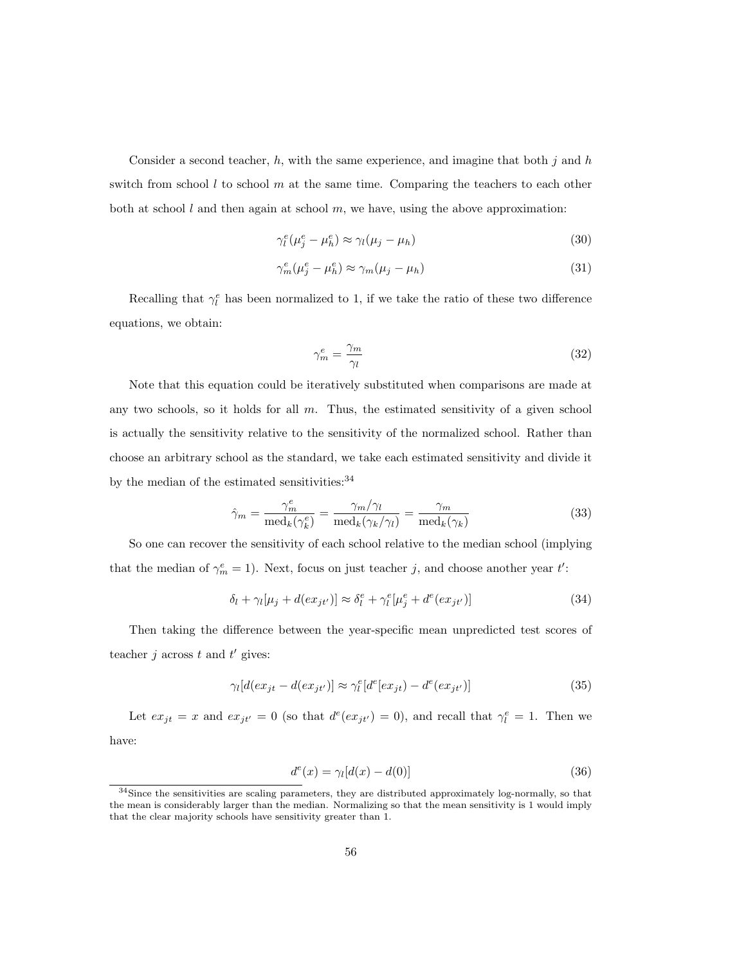Consider a second teacher,  $h$ , with the same experience, and imagine that both j and  $h$ switch from school  $l$  to school  $m$  at the same time. Comparing the teachers to each other both at school l and then again at school  $m$ , we have, using the above approximation:

$$
\gamma_l^e(\mu_j^e - \mu_h^e) \approx \gamma_l(\mu_j - \mu_h) \tag{30}
$$

$$
\gamma_m^e(\mu_j^e - \mu_h^e) \approx \gamma_m(\mu_j - \mu_h) \tag{31}
$$

Recalling that  $\gamma_l^e$  has been normalized to 1, if we take the ratio of these two difference equations, we obtain:

$$
\gamma_m^e = \frac{\gamma_m}{\gamma_l} \tag{32}
$$

Note that this equation could be iteratively substituted when comparisons are made at any two schools, so it holds for all  $m$ . Thus, the estimated sensitivity of a given school is actually the sensitivity relative to the sensitivity of the normalized school. Rather than choose an arbitrary school as the standard, we take each estimated sensitivity and divide it by the median of the estimated sensitivities:  $\!{}^{34}$ 

$$
\hat{\gamma}_m = \frac{\gamma_m^e}{\text{med}_k(\gamma_k^e)} = \frac{\gamma_m/\gamma_l}{\text{med}_k(\gamma_k/\gamma_l)} = \frac{\gamma_m}{\text{med}_k(\gamma_k)}\tag{33}
$$

So one can recover the sensitivity of each school relative to the median school (implying that the median of  $\gamma_m^e = 1$ ). Next, focus on just teacher j, and choose another year t':

$$
\delta_l + \gamma_l[\mu_j + d(ex_{jt'})] \approx \delta_l^e + \gamma_l^e[\mu_j^e + d^e(ex_{jt'})]
$$
\n(34)

Then taking the difference between the year-specific mean unpredicted test scores of teacher j across t and  $t'$  gives:

$$
\gamma_l[d(ex_{jt} - d(ex_{jt'})] \approx \gamma_l^e[d^e(ex_{jt}) - d^e(ex_{jt'})]
$$
\n(35)

Let  $ex_{jt} = x$  and  $ex_{jt'} = 0$  (so that  $d^e(ex_{jt'}) = 0$ ), and recall that  $\gamma_l^e = 1$ . Then we have:

$$
d^{e}(x) = \gamma_{l}[d(x) - d(0)] \qquad (36)
$$

<sup>34</sup>Since the sensitivities are scaling parameters, they are distributed approximately log-normally, so that the mean is considerably larger than the median. Normalizing so that the mean sensitivity is 1 would imply that the clear majority schools have sensitivity greater than 1.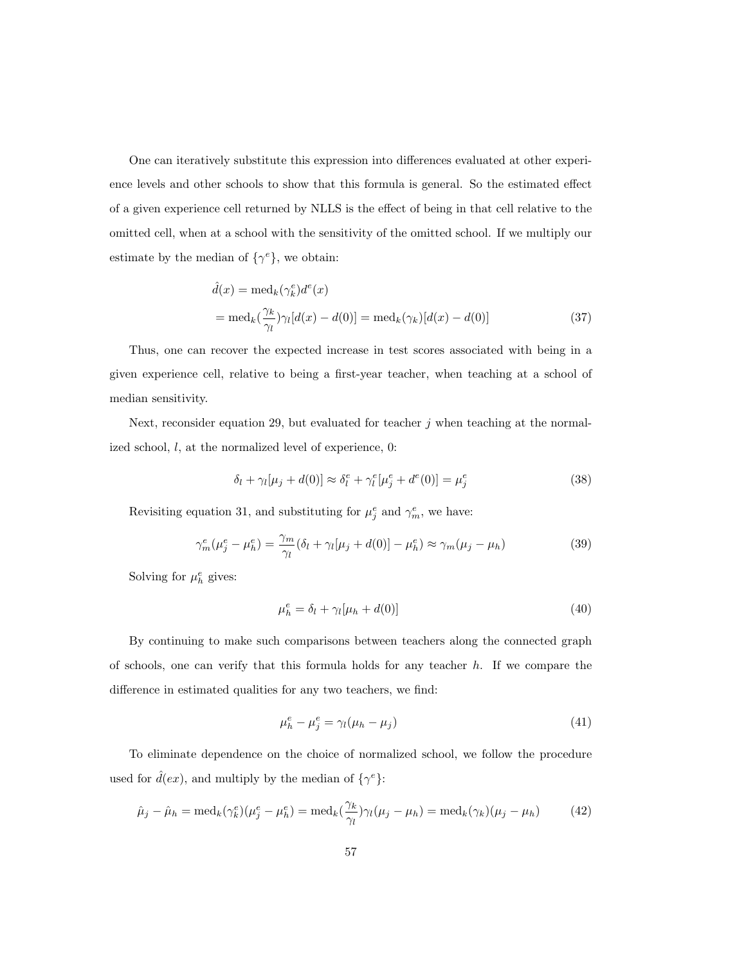One can iteratively substitute this expression into differences evaluated at other experience levels and other schools to show that this formula is general. So the estimated effect of a given experience cell returned by NLLS is the effect of being in that cell relative to the omitted cell, when at a school with the sensitivity of the omitted school. If we multiply our estimate by the median of  $\{\gamma^e\}$ , we obtain:

$$
\hat{d}(x) = \text{med}_k(\gamma_k^e) d^e(x)
$$
  
= 
$$
\text{med}_k(\frac{\gamma_k}{\gamma_l})\gamma_l[d(x) - d(0)] = \text{med}_k(\gamma_k)[d(x) - d(0)]
$$
 (37)

Thus, one can recover the expected increase in test scores associated with being in a given experience cell, relative to being a first-year teacher, when teaching at a school of median sensitivity.

Next, reconsider equation 29, but evaluated for teacher  $j$  when teaching at the normalized school,  $l$ , at the normalized level of experience,  $0$ :

$$
\delta_l + \gamma_l[\mu_j + d(0)] \approx \delta_l^e + \gamma_l^e[\mu_j^e + d^e(0)] = \mu_j^e \tag{38}
$$

Revisiting equation 31, and substituting for  $\mu_j^e$  and  $\gamma_m^e$ , we have:

$$
\gamma_m^e(\mu_j^e - \mu_h^e) = \frac{\gamma_m}{\gamma_l} (\delta_l + \gamma_l[\mu_j + d(0)] - \mu_h^e) \approx \gamma_m(\mu_j - \mu_h)
$$
\n(39)

Solving for  $\mu_h^e$  gives:

$$
\mu_h^e = \delta_l + \gamma_l[\mu_h + d(0)] \tag{40}
$$

By continuing to make such comparisons between teachers along the connected graph of schools, one can verify that this formula holds for any teacher  $h$ . If we compare the difference in estimated qualities for any two teachers, we find:

$$
\mu_h^e - \mu_j^e = \gamma_l(\mu_h - \mu_j) \tag{41}
$$

To eliminate dependence on the choice of normalized school, we follow the procedure used for  $\hat{d}(ex)$ , and multiply by the median of  $\{\gamma^e\}$ :

$$
\hat{\mu}_j - \hat{\mu}_h = \text{med}_k(\gamma_k^e)(\mu_j^e - \mu_h^e) = \text{med}_k(\frac{\gamma_k}{\gamma_l})\gamma_l(\mu_j - \mu_h) = \text{med}_k(\gamma_k)(\mu_j - \mu_h) \tag{42}
$$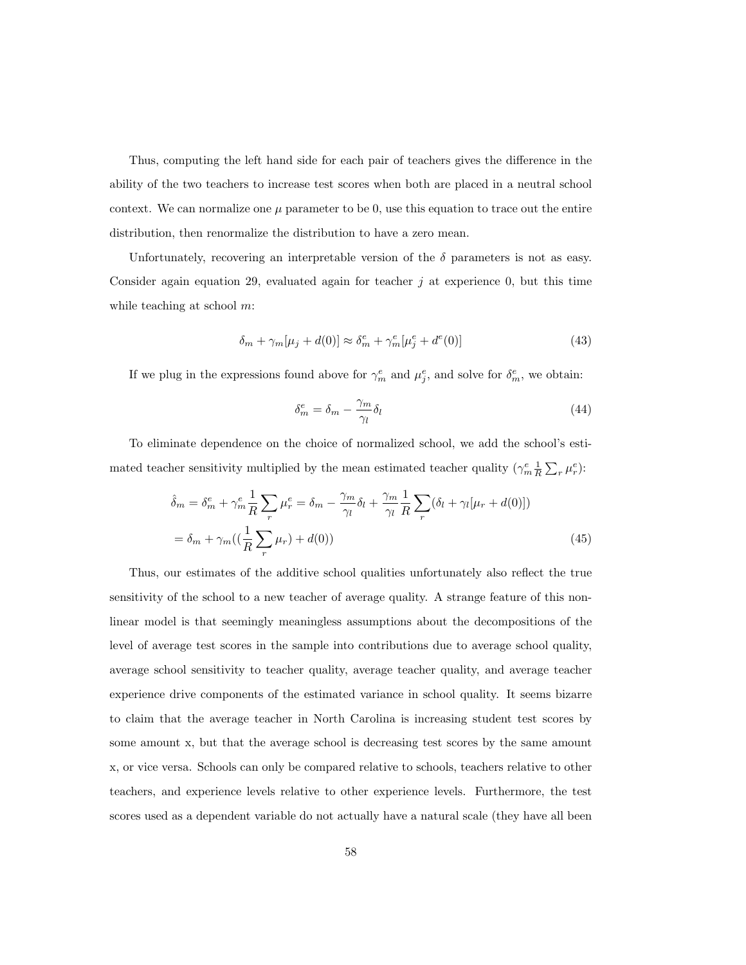Thus, computing the left hand side for each pair of teachers gives the difference in the ability of the two teachers to increase test scores when both are placed in a neutral school context. We can normalize one  $\mu$  parameter to be 0, use this equation to trace out the entire distribution, then renormalize the distribution to have a zero mean.

Unfortunately, recovering an interpretable version of the  $\delta$  parameters is not as easy. Consider again equation 29, evaluated again for teacher  $j$  at experience 0, but this time while teaching at school  $m$ :

$$
\delta_m + \gamma_m[\mu_j + d(0)] \approx \delta_m^e + \gamma_m^e[\mu_j^e + d^e(0)] \tag{43}
$$

If we plug in the expressions found above for  $\gamma_m^e$  and  $\mu_j^e$ , and solve for  $\delta_m^e$ , we obtain:

$$
\delta_m^e = \delta_m - \frac{\gamma_m}{\gamma_l} \delta_l \tag{44}
$$

To eliminate dependence on the choice of normalized school, we add the school's estimated teacher sensitivity multiplied by the mean estimated teacher quality  $(\gamma_m^e \frac{1}{R} \sum_r \mu_r^e)$ :

$$
\hat{\delta}_m = \delta_m^e + \gamma_m^e \frac{1}{R} \sum_r \mu_r^e = \delta_m - \frac{\gamma_m}{\gamma_l} \delta_l + \frac{\gamma_m}{\gamma_l} \frac{1}{R} \sum_r (\delta_l + \gamma_l [\mu_r + d(0)])
$$
  
=  $\delta_m + \gamma_m ((\frac{1}{R} \sum_r \mu_r) + d(0))$  (45)

Thus, our estimates of the additive school qualities unfortunately also reflect the true sensitivity of the school to a new teacher of average quality. A strange feature of this nonlinear model is that seemingly meaningless assumptions about the decompositions of the level of average test scores in the sample into contributions due to average school quality, average school sensitivity to teacher quality, average teacher quality, and average teacher experience drive components of the estimated variance in school quality. It seems bizarre to claim that the average teacher in North Carolina is increasing student test scores by some amount x, but that the average school is decreasing test scores by the same amount x, or vice versa. Schools can only be compared relative to schools, teachers relative to other teachers, and experience levels relative to other experience levels. Furthermore, the test scores used as a dependent variable do not actually have a natural scale (they have all been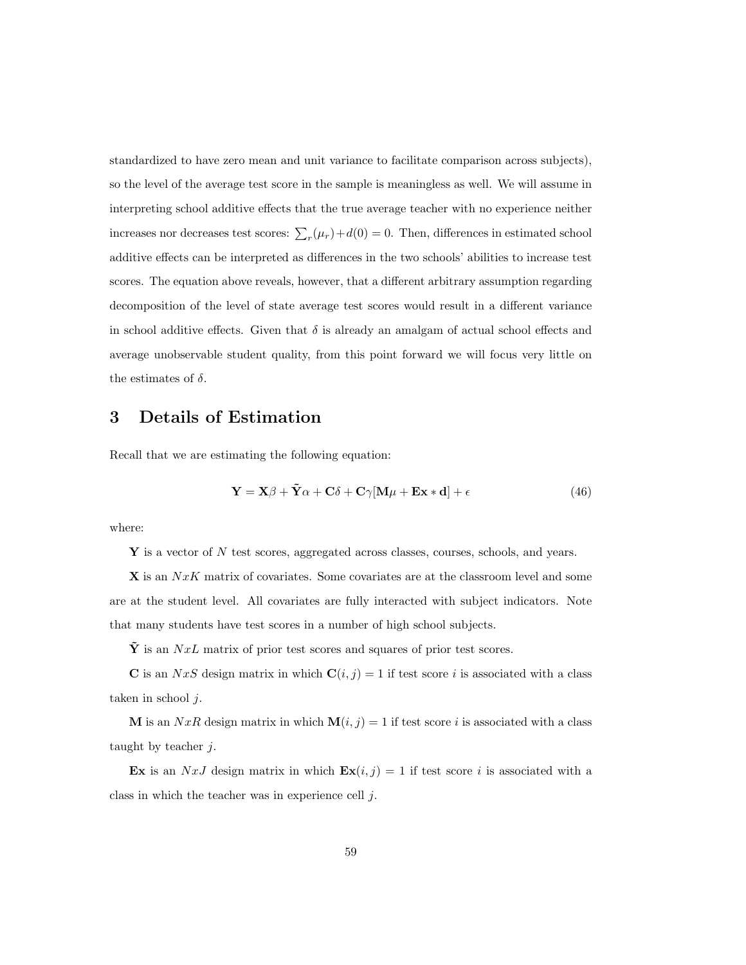standardized to have zero mean and unit variance to facilitate comparison across subjects), so the level of the average test score in the sample is meaningless as well. We will assume in interpreting school additive effects that the true average teacher with no experience neither increases nor decreases test scores:  $\sum_{r} (\mu_r) + d(0) = 0$ . Then, differences in estimated school additive effects can be interpreted as differences in the two schools' abilities to increase test scores. The equation above reveals, however, that a different arbitrary assumption regarding decomposition of the level of state average test scores would result in a different variance in school additive effects. Given that  $\delta$  is already an amalgam of actual school effects and average unobservable student quality, from this point forward we will focus very little on the estimates of  $\delta$ .

# 3 Details of Estimation

Recall that we are estimating the following equation:

$$
\mathbf{Y} = \mathbf{X}\boldsymbol{\beta} + \tilde{\mathbf{Y}}\boldsymbol{\alpha} + \mathbf{C}\boldsymbol{\delta} + \mathbf{C}\boldsymbol{\gamma}[\mathbf{M}\boldsymbol{\mu} + \mathbf{E}\mathbf{x} * \mathbf{d}] + \epsilon
$$
 (46)

where:

 $\bf{Y}$  is a vector of N test scores, aggregated across classes, courses, schools, and years.

 $X$  is an  $NxK$  matrix of covariates. Some covariates are at the classroom level and some are at the student level. All covariates are fully interacted with subject indicators. Note that many students have test scores in a number of high school subjects.

 $\tilde{\mathbf{Y}}$  is an NxL matrix of prior test scores and squares of prior test scores.

**C** is an NxS design matrix in which  $\mathbf{C}(i, j) = 1$  if test score i is associated with a class taken in school  $j$ .

**M** is an  $NxR$  design matrix in which  $\mathbf{M}(i, j) = 1$  if test score i is associated with a class taught by teacher  $j$ .

Ex is an NxJ design matrix in which  $\mathbf{Ex}(i, j) = 1$  if test score i is associated with a class in which the teacher was in experience cell j.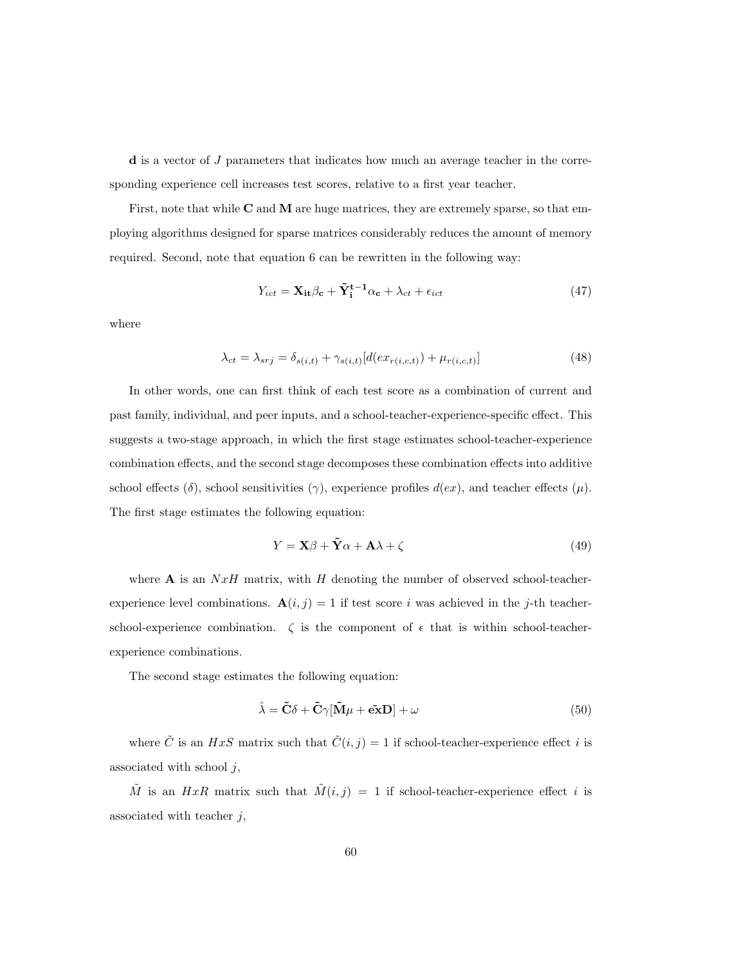d is a vector of J parameters that indicates how much an average teacher in the corresponding experience cell increases test scores, relative to a first year teacher.

First, note that while  $C$  and  $M$  are huge matrices, they are extremely sparse, so that employing algorithms designed for sparse matrices considerably reduces the amount of memory required. Second, note that equation 6 can be rewritten in the following way:

$$
Y_{ict} = \mathbf{X_{it}} \beta_{\mathbf{c}} + \tilde{\mathbf{Y}}_i^{\mathbf{t}-1} \alpha_{\mathbf{c}} + \lambda_{ct} + \epsilon_{ict}
$$
 (47)

where

$$
\lambda_{ct} = \lambda_{srj} = \delta_{s(i,t)} + \gamma_{s(i,t)}[d(ex_{r(i,c,t)}) + \mu_{r(i,c,t)}]
$$
\n(48)

In other words, one can first think of each test score as a combination of current and past family, individual, and peer inputs, and a school-teacher-experience-specific effect. This suggests a two-stage approach, in which the first stage estimates school-teacher-experience combination effects, and the second stage decomposes these combination effects into additive school effects (δ), school sensitivities ( $\gamma$ ), experience profiles  $d(ex)$ , and teacher effects ( $\mu$ ). The first stage estimates the following equation:

$$
Y = \mathbf{X}\beta + \tilde{\mathbf{Y}}\alpha + \mathbf{A}\lambda + \zeta
$$
\n(49)

where  $A$  is an  $NxH$  matrix, with H denoting the number of observed school-teacherexperience level combinations.  $\mathbf{A}(i, j) = 1$  if test score i was achieved in the j-th teacherschool-experience combination.  $\zeta$  is the component of  $\epsilon$  that is within school-teacherexperience combinations.

The second stage estimates the following equation:

$$
\hat{\lambda} = \tilde{\mathbf{C}}\delta + \tilde{\mathbf{C}}\gamma[\tilde{\mathbf{M}}\mu + \tilde{\mathbf{ex}}\mathbf{D}] + \omega \tag{50}
$$

where  $\tilde{C}$  is an  $HxS$  matrix such that  $\tilde{C}(i, j) = 1$  if school-teacher-experience effect i is associated with school  $j$ ,

 $\tilde{M}$  is an  $HxR$  matrix such that  $\tilde{M}(i, j) = 1$  if school-teacher-experience effect i is associated with teacher  $j$ ,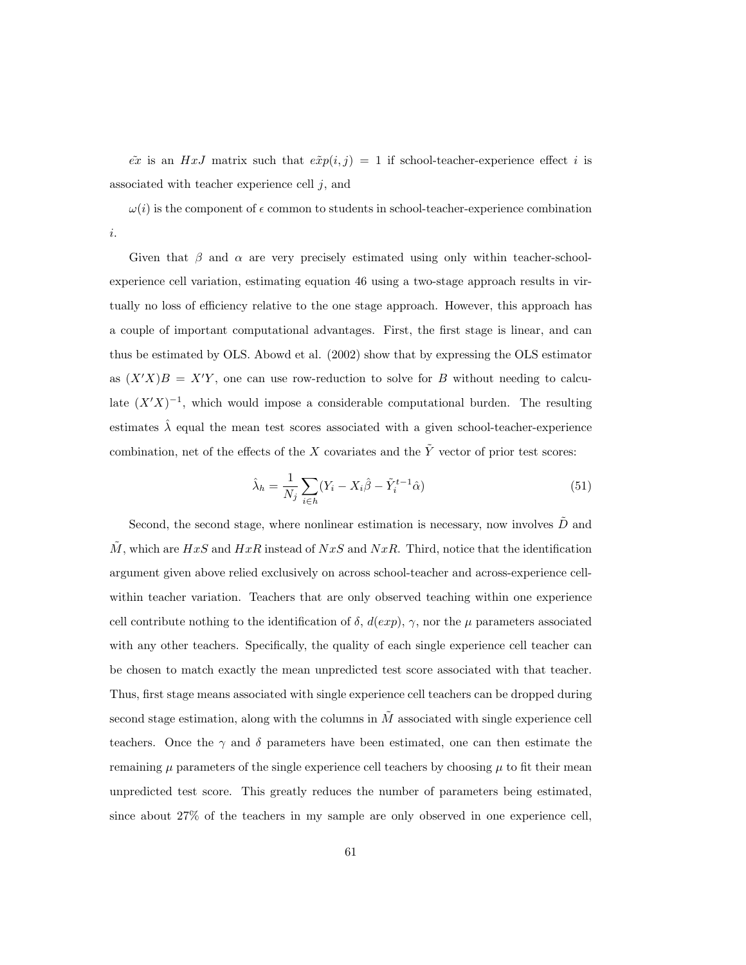$\tilde{ex}$  is an HxJ matrix such that  $\tilde{exp}(i, j) = 1$  if school-teacher-experience effect i is associated with teacher experience cell  $j$ , and

 $\omega(i)$  is the component of  $\epsilon$  common to students in school-teacher-experience combination i.

Given that  $\beta$  and  $\alpha$  are very precisely estimated using only within teacher-schoolexperience cell variation, estimating equation 46 using a two-stage approach results in virtually no loss of efficiency relative to the one stage approach. However, this approach has a couple of important computational advantages. First, the first stage is linear, and can thus be estimated by OLS. Abowd et al. (2002) show that by expressing the OLS estimator as  $(X'X)B = X'Y$ , one can use row-reduction to solve for B without needing to calculate  $(X'X)^{-1}$ , which would impose a considerable computational burden. The resulting estimates  $\hat{\lambda}$  equal the mean test scores associated with a given school-teacher-experience combination, net of the effects of the X covariates and the  $\tilde{Y}$  vector of prior test scores:

$$
\hat{\lambda}_h = \frac{1}{N_j} \sum_{i \in h} (Y_i - X_i \hat{\beta} - \tilde{Y}_i^{t-1} \hat{\alpha})
$$
\n(51)

Second, the second stage, where nonlinear estimation is necessary, now involves  $\tilde{D}$  and  $\tilde{M}$ , which are  $HxS$  and  $HxR$  instead of  $NxS$  and  $NxR$ . Third, notice that the identification argument given above relied exclusively on across school-teacher and across-experience cellwithin teacher variation. Teachers that are only observed teaching within one experience cell contribute nothing to the identification of  $\delta$ ,  $d(exp)$ ,  $\gamma$ , nor the  $\mu$  parameters associated with any other teachers. Specifically, the quality of each single experience cell teacher can be chosen to match exactly the mean unpredicted test score associated with that teacher. Thus, first stage means associated with single experience cell teachers can be dropped during second stage estimation, along with the columns in  $\tilde{M}$  associated with single experience cell teachers. Once the  $\gamma$  and  $\delta$  parameters have been estimated, one can then estimate the remaining  $\mu$  parameters of the single experience cell teachers by choosing  $\mu$  to fit their mean unpredicted test score. This greatly reduces the number of parameters being estimated, since about 27% of the teachers in my sample are only observed in one experience cell,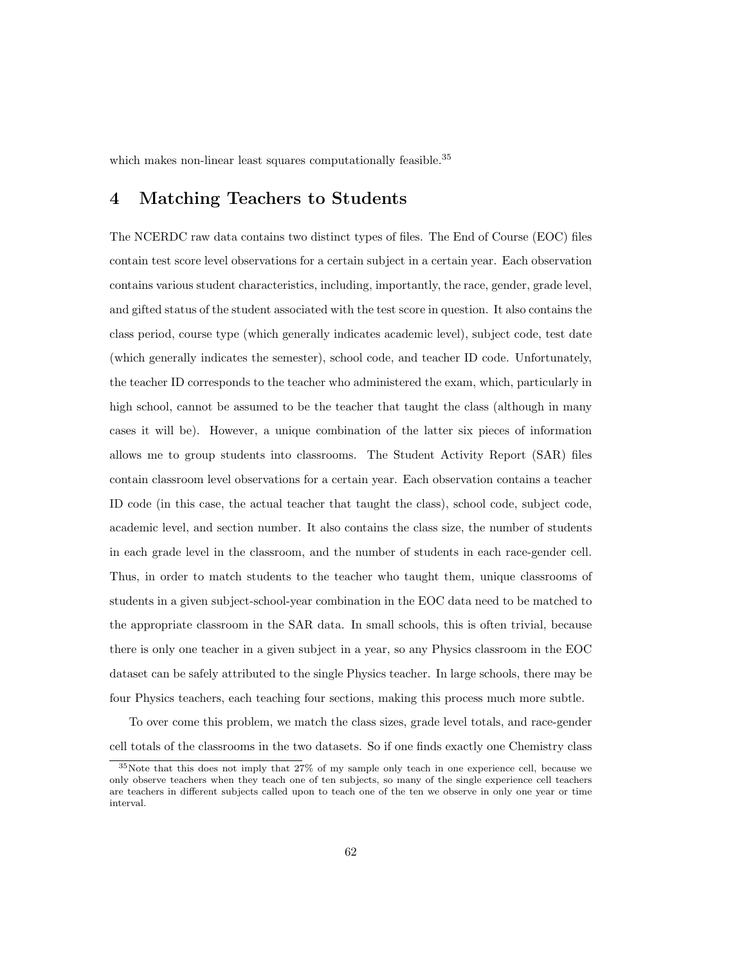which makes non-linear least squares computationally feasible.<sup>35</sup>

# 4 Matching Teachers to Students

The NCERDC raw data contains two distinct types of files. The End of Course (EOC) files contain test score level observations for a certain subject in a certain year. Each observation contains various student characteristics, including, importantly, the race, gender, grade level, and gifted status of the student associated with the test score in question. It also contains the class period, course type (which generally indicates academic level), subject code, test date (which generally indicates the semester), school code, and teacher ID code. Unfortunately, the teacher ID corresponds to the teacher who administered the exam, which, particularly in high school, cannot be assumed to be the teacher that taught the class (although in many cases it will be). However, a unique combination of the latter six pieces of information allows me to group students into classrooms. The Student Activity Report (SAR) files contain classroom level observations for a certain year. Each observation contains a teacher ID code (in this case, the actual teacher that taught the class), school code, subject code, academic level, and section number. It also contains the class size, the number of students in each grade level in the classroom, and the number of students in each race-gender cell. Thus, in order to match students to the teacher who taught them, unique classrooms of students in a given subject-school-year combination in the EOC data need to be matched to the appropriate classroom in the SAR data. In small schools, this is often trivial, because there is only one teacher in a given subject in a year, so any Physics classroom in the EOC dataset can be safely attributed to the single Physics teacher. In large schools, there may be four Physics teachers, each teaching four sections, making this process much more subtle.

To over come this problem, we match the class sizes, grade level totals, and race-gender cell totals of the classrooms in the two datasets. So if one finds exactly one Chemistry class

<sup>35</sup>Note that this does not imply that 27% of my sample only teach in one experience cell, because we only observe teachers when they teach one of ten subjects, so many of the single experience cell teachers are teachers in different subjects called upon to teach one of the ten we observe in only one year or time interval.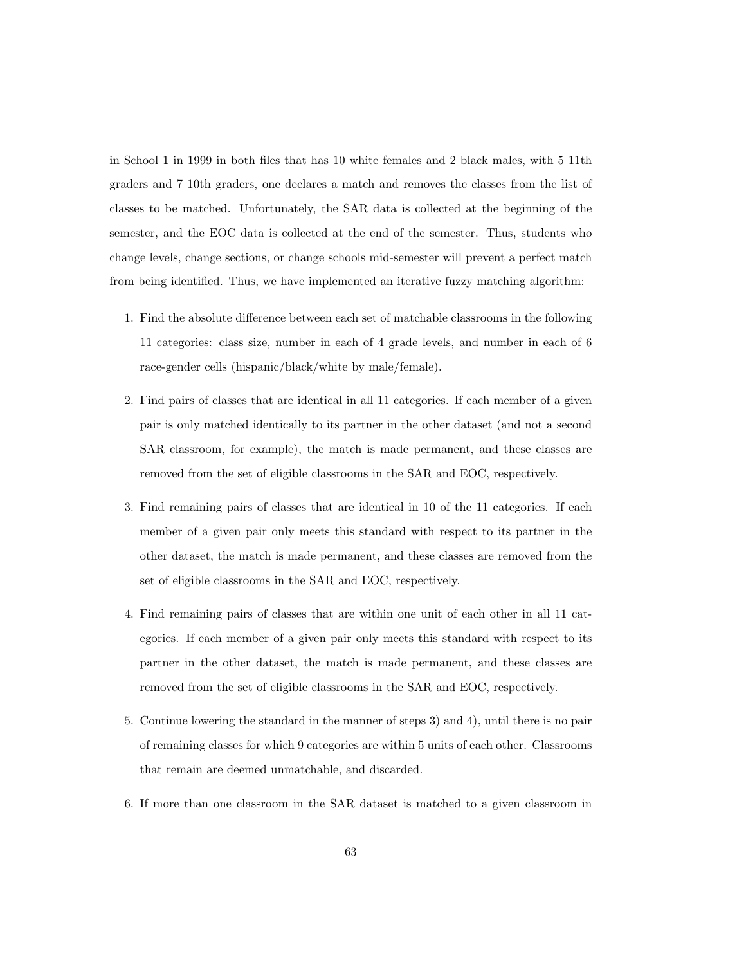in School 1 in 1999 in both files that has 10 white females and 2 black males, with 5 11th graders and 7 10th graders, one declares a match and removes the classes from the list of classes to be matched. Unfortunately, the SAR data is collected at the beginning of the semester, and the EOC data is collected at the end of the semester. Thus, students who change levels, change sections, or change schools mid-semester will prevent a perfect match from being identified. Thus, we have implemented an iterative fuzzy matching algorithm:

- 1. Find the absolute difference between each set of matchable classrooms in the following 11 categories: class size, number in each of 4 grade levels, and number in each of 6 race-gender cells (hispanic/black/white by male/female).
- 2. Find pairs of classes that are identical in all 11 categories. If each member of a given pair is only matched identically to its partner in the other dataset (and not a second SAR classroom, for example), the match is made permanent, and these classes are removed from the set of eligible classrooms in the SAR and EOC, respectively.
- 3. Find remaining pairs of classes that are identical in 10 of the 11 categories. If each member of a given pair only meets this standard with respect to its partner in the other dataset, the match is made permanent, and these classes are removed from the set of eligible classrooms in the SAR and EOC, respectively.
- 4. Find remaining pairs of classes that are within one unit of each other in all 11 categories. If each member of a given pair only meets this standard with respect to its partner in the other dataset, the match is made permanent, and these classes are removed from the set of eligible classrooms in the SAR and EOC, respectively.
- 5. Continue lowering the standard in the manner of steps 3) and 4), until there is no pair of remaining classes for which 9 categories are within 5 units of each other. Classrooms that remain are deemed unmatchable, and discarded.
- 6. If more than one classroom in the SAR dataset is matched to a given classroom in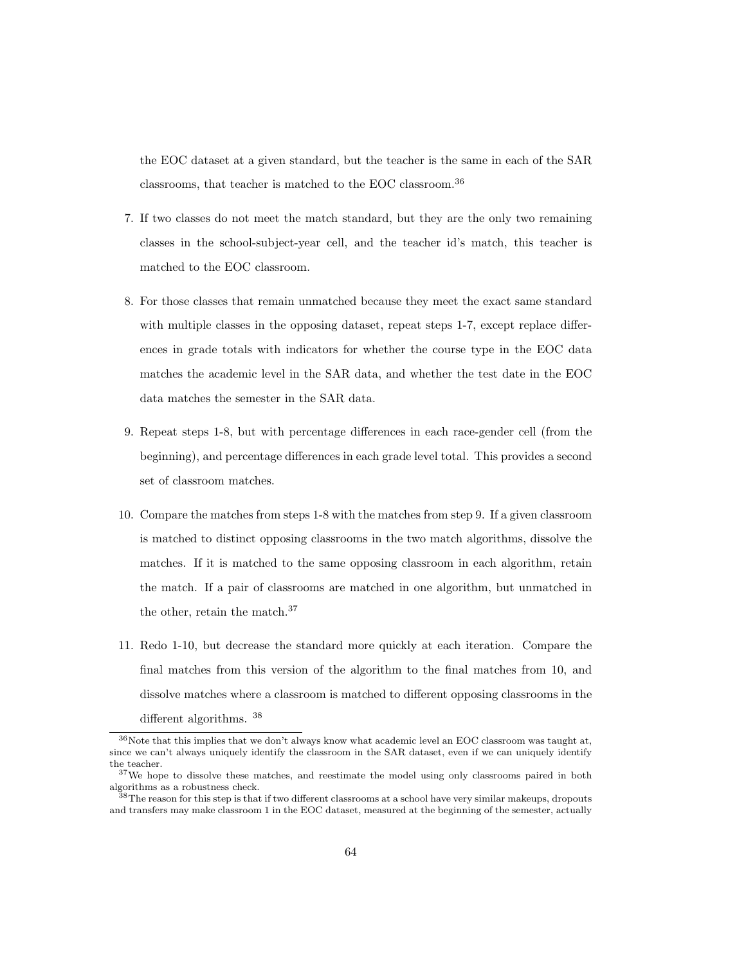the EOC dataset at a given standard, but the teacher is the same in each of the SAR classrooms, that teacher is matched to the EOC classroom.<sup>36</sup>

- 7. If two classes do not meet the match standard, but they are the only two remaining classes in the school-subject-year cell, and the teacher id's match, this teacher is matched to the EOC classroom.
- 8. For those classes that remain unmatched because they meet the exact same standard with multiple classes in the opposing dataset, repeat steps 1-7, except replace differences in grade totals with indicators for whether the course type in the EOC data matches the academic level in the SAR data, and whether the test date in the EOC data matches the semester in the SAR data.
- 9. Repeat steps 1-8, but with percentage differences in each race-gender cell (from the beginning), and percentage differences in each grade level total. This provides a second set of classroom matches.
- 10. Compare the matches from steps 1-8 with the matches from step 9. If a given classroom is matched to distinct opposing classrooms in the two match algorithms, dissolve the matches. If it is matched to the same opposing classroom in each algorithm, retain the match. If a pair of classrooms are matched in one algorithm, but unmatched in the other, retain the match.<sup>37</sup>
- 11. Redo 1-10, but decrease the standard more quickly at each iteration. Compare the final matches from this version of the algorithm to the final matches from 10, and dissolve matches where a classroom is matched to different opposing classrooms in the different algorithms.  $^{38}$

<sup>36</sup>Note that this implies that we don't always know what academic level an EOC classroom was taught at, since we can't always uniquely identify the classroom in the SAR dataset, even if we can uniquely identify the teacher.

<sup>&</sup>lt;sup>37</sup>We hope to dissolve these matches, and reestimate the model using only classrooms paired in both algorithms as a robustness check.

 $^{38}$ The reason for this step is that if two different classrooms at a school have very similar makeups, dropouts and transfers may make classroom 1 in the EOC dataset, measured at the beginning of the semester, actually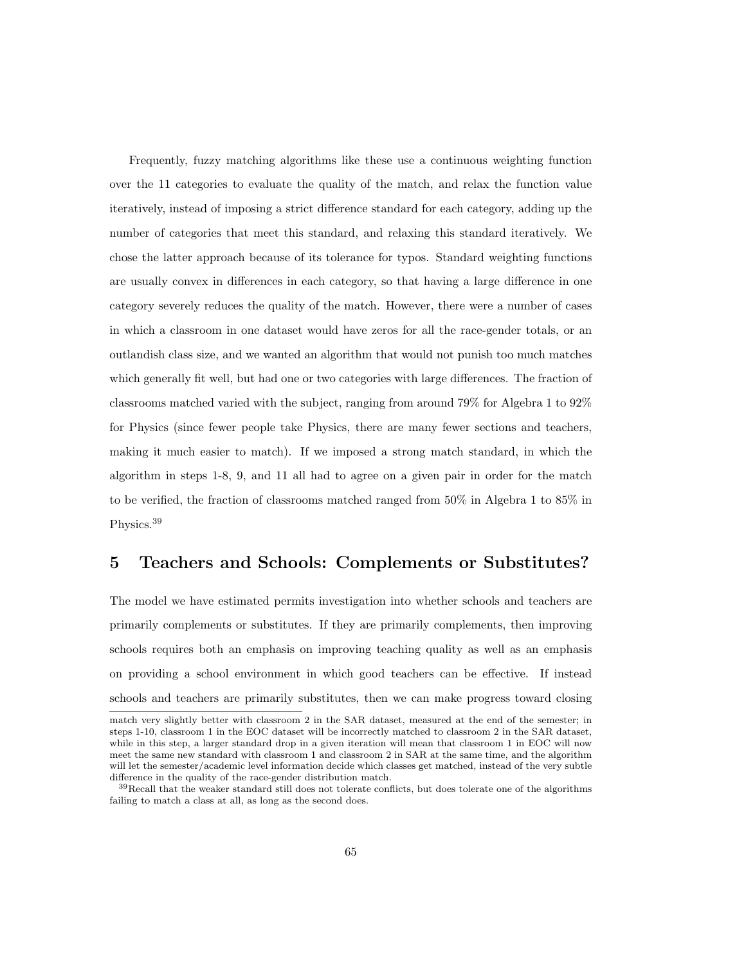Frequently, fuzzy matching algorithms like these use a continuous weighting function over the 11 categories to evaluate the quality of the match, and relax the function value iteratively, instead of imposing a strict difference standard for each category, adding up the number of categories that meet this standard, and relaxing this standard iteratively. We chose the latter approach because of its tolerance for typos. Standard weighting functions are usually convex in differences in each category, so that having a large difference in one category severely reduces the quality of the match. However, there were a number of cases in which a classroom in one dataset would have zeros for all the race-gender totals, or an outlandish class size, and we wanted an algorithm that would not punish too much matches which generally fit well, but had one or two categories with large differences. The fraction of classrooms matched varied with the subject, ranging from around 79% for Algebra 1 to 92% for Physics (since fewer people take Physics, there are many fewer sections and teachers, making it much easier to match). If we imposed a strong match standard, in which the algorithm in steps 1-8, 9, and 11 all had to agree on a given pair in order for the match to be verified, the fraction of classrooms matched ranged from 50% in Algebra 1 to 85% in Physics.<sup>39</sup>

## 5 Teachers and Schools: Complements or Substitutes?

The model we have estimated permits investigation into whether schools and teachers are primarily complements or substitutes. If they are primarily complements, then improving schools requires both an emphasis on improving teaching quality as well as an emphasis on providing a school environment in which good teachers can be effective. If instead schools and teachers are primarily substitutes, then we can make progress toward closing

match very slightly better with classroom 2 in the SAR dataset, measured at the end of the semester; in steps 1-10, classroom 1 in the EOC dataset will be incorrectly matched to classroom 2 in the SAR dataset, while in this step, a larger standard drop in a given iteration will mean that classroom 1 in EOC will now meet the same new standard with classroom 1 and classroom 2 in SAR at the same time, and the algorithm will let the semester/academic level information decide which classes get matched, instead of the very subtle difference in the quality of the race-gender distribution match.

<sup>39</sup>Recall that the weaker standard still does not tolerate conflicts, but does tolerate one of the algorithms failing to match a class at all, as long as the second does.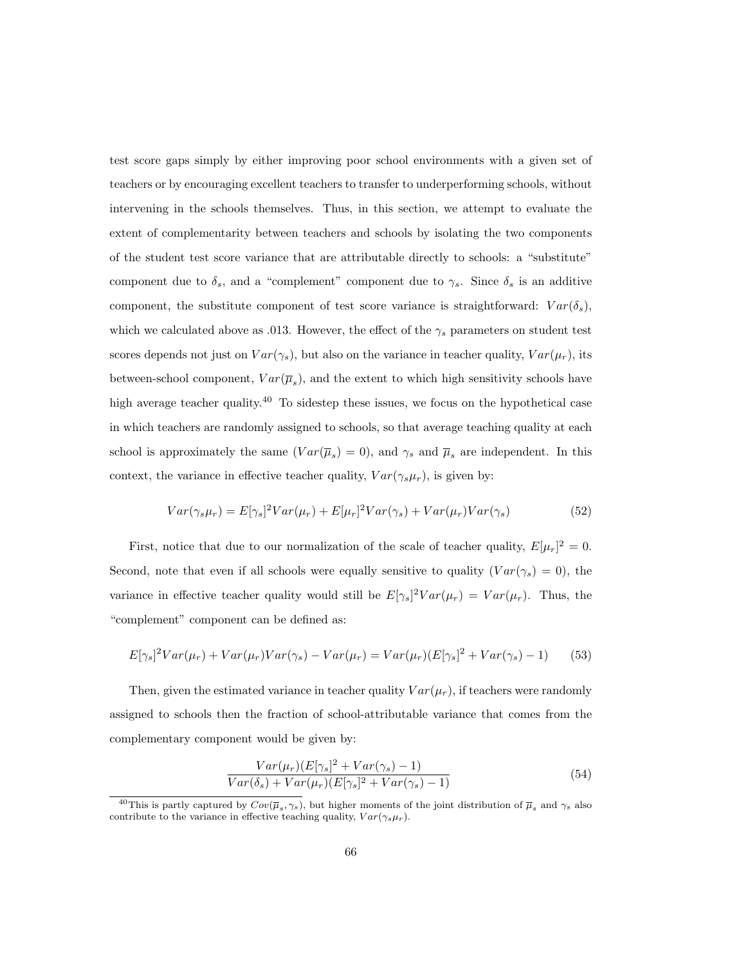test score gaps simply by either improving poor school environments with a given set of teachers or by encouraging excellent teachers to transfer to underperforming schools, without intervening in the schools themselves. Thus, in this section, we attempt to evaluate the extent of complementarity between teachers and schools by isolating the two components of the student test score variance that are attributable directly to schools: a "substitute" component due to  $\delta_s$ , and a "complement" component due to  $\gamma_s$ . Since  $\delta_s$  is an additive component, the substitute component of test score variance is straightforward:  $Var(\delta_s)$ , which we calculated above as .013. However, the effect of the  $\gamma_s$  parameters on student test scores depends not just on  $Var(\gamma_s)$ , but also on the variance in teacher quality,  $Var(\mu_r)$ , its between-school component,  $Var(\overline{\mu}_s)$ , and the extent to which high sensitivity schools have high average teacher quality.<sup>40</sup> To sidestep these issues, we focus on the hypothetical case in which teachers are randomly assigned to schools, so that average teaching quality at each school is approximately the same  $(Var(\overline{\mu}_s) = 0)$ , and  $\gamma_s$  and  $\overline{\mu}_s$  are independent. In this context, the variance in effective teacher quality,  $Var(\gamma_s \mu_r)$ , is given by:

$$
Var(\gamma_s \mu_r) = E[\gamma_s]^2 Var(\mu_r) + E[\mu_r]^2 Var(\gamma_s) + Var(\mu_r) Var(\gamma_s)
$$
\n(52)

First, notice that due to our normalization of the scale of teacher quality,  $E[\mu_r]^2 = 0$ . Second, note that even if all schools were equally sensitive to quality  $(Var(\gamma_s) = 0)$ , the variance in effective teacher quality would still be  $E[\gamma_s]^2 Var(\mu_r) = Var(\mu_r)$ . Thus, the "complement" component can be defined as:

$$
E[\gamma_s]^2 Var(\mu_r) + Var(\mu_r) Var(\gamma_s) - Var(\mu_r) = Var(\mu_r)(E[\gamma_s]^2 + Var(\gamma_s) - 1)
$$
 (53)

Then, given the estimated variance in teacher quality  $Var(\mu_r)$ , if teachers were randomly assigned to schools then the fraction of school-attributable variance that comes from the complementary component would be given by:

$$
\frac{Var(\mu_r)(E[\gamma_s]^2 + Var(\gamma_s) - 1)}{Var(\delta_s) + Var(\mu_r)(E[\gamma_s]^2 + Var(\gamma_s) - 1)}
$$
(54)

<sup>&</sup>lt;sup>40</sup>This is partly captured by  $Cov(\overline{\mu}_s, \gamma_s)$ , but higher moments of the joint distribution of  $\overline{\mu}_s$  and  $\gamma_s$  also contribute to the variance in effective teaching quality,  $Var(\gamma_s \mu_r)$ .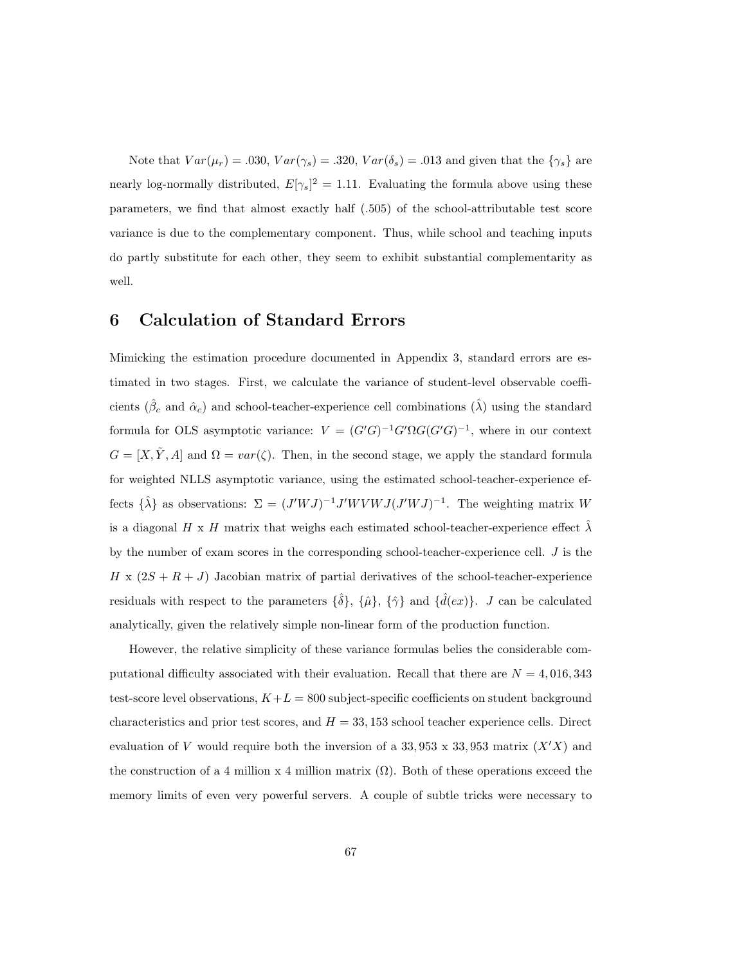Note that  $Var(\mu_r) = .030, Var(\gamma_s) = .320, Var(\delta_s) = .013$  and given that the  $\{\gamma_s\}$  are nearly log-normally distributed,  $E[\gamma_s]^2 = 1.11$ . Evaluating the formula above using these parameters, we find that almost exactly half (.505) of the school-attributable test score variance is due to the complementary component. Thus, while school and teaching inputs do partly substitute for each other, they seem to exhibit substantial complementarity as well.

## 6 Calculation of Standard Errors

Mimicking the estimation procedure documented in Appendix 3, standard errors are estimated in two stages. First, we calculate the variance of student-level observable coefficients ( $\hat{\beta}_c$  and  $\hat{\alpha}_c$ ) and school-teacher-experience cell combinations ( $\hat{\lambda}$ ) using the standard formula for OLS asymptotic variance:  $V = (G'G)^{-1}G' \Omega G (G'G)^{-1}$ , where in our context  $G = [X, \tilde{Y}, A]$  and  $\Omega = var(\zeta)$ . Then, in the second stage, we apply the standard formula for weighted NLLS asymptotic variance, using the estimated school-teacher-experience effects  $\{\hat{\lambda}\}\$ as observations:  $\Sigma = (J'WJ)^{-1}J'WVWJ(J'WJ)^{-1}$ . The weighting matrix W is a diagonal H x H matrix that weighs each estimated school-teacher-experience effect  $\hat{\lambda}$ by the number of exam scores in the corresponding school-teacher-experience cell. J is the  $H \times (2S + R + J)$  Jacobian matrix of partial derivatives of the school-teacher-experience residuals with respect to the parameters  $\{\hat{\delta}\}, \{\hat{\mu}\}, \{\hat{\gamma}\}\$  and  $\{\hat{d}(ex)\}\$ . J can be calculated analytically, given the relatively simple non-linear form of the production function.

However, the relative simplicity of these variance formulas belies the considerable computational difficulty associated with their evaluation. Recall that there are  $N = 4,016,343$ test-score level observations,  $K+L = 800$  subject-specific coefficients on student background characteristics and prior test scores, and  $H = 33,153$  school teacher experience cells. Direct evaluation of V would require both the inversion of a 33, 953 x 33, 953 matrix  $(X'X)$  and the construction of a 4 million x 4 million matrix  $(\Omega)$ . Both of these operations exceed the memory limits of even very powerful servers. A couple of subtle tricks were necessary to